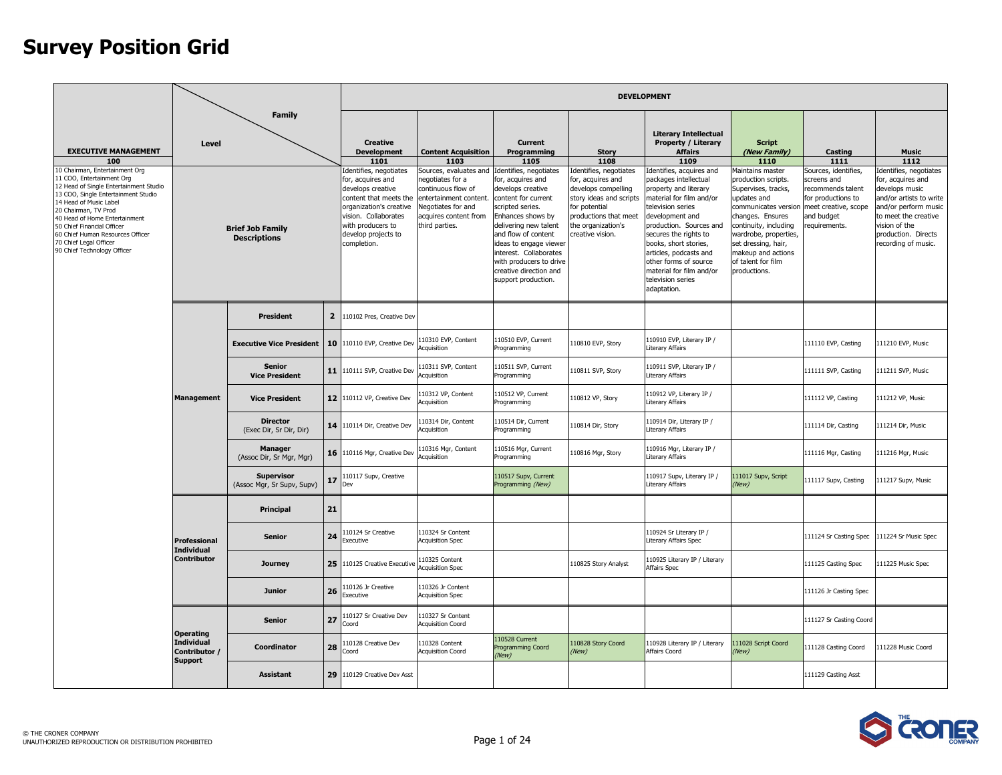|                                                                                                                                                                                                                                                                                                                                                                                                  |                                                                                      |                                                                 |                                |                                                                                                                                                                                                                                                           |                                                                                                                                                                                                   |                                                                                                                                                                                                                                                                                                                                                    |                                                                                                                                                                                                           | <b>DEVELOPMENT</b>                                                                                                                                                                                                                                                                                                                                                                                                     |                                                                                                                                                                                                                                                                                                         |                                                                                                                                                          |                                                                                                                                                                                                                                 |                                                  |  |                        |                      |
|--------------------------------------------------------------------------------------------------------------------------------------------------------------------------------------------------------------------------------------------------------------------------------------------------------------------------------------------------------------------------------------------------|--------------------------------------------------------------------------------------|-----------------------------------------------------------------|--------------------------------|-----------------------------------------------------------------------------------------------------------------------------------------------------------------------------------------------------------------------------------------------------------|---------------------------------------------------------------------------------------------------------------------------------------------------------------------------------------------------|----------------------------------------------------------------------------------------------------------------------------------------------------------------------------------------------------------------------------------------------------------------------------------------------------------------------------------------------------|-----------------------------------------------------------------------------------------------------------------------------------------------------------------------------------------------------------|------------------------------------------------------------------------------------------------------------------------------------------------------------------------------------------------------------------------------------------------------------------------------------------------------------------------------------------------------------------------------------------------------------------------|---------------------------------------------------------------------------------------------------------------------------------------------------------------------------------------------------------------------------------------------------------------------------------------------------------|----------------------------------------------------------------------------------------------------------------------------------------------------------|---------------------------------------------------------------------------------------------------------------------------------------------------------------------------------------------------------------------------------|--------------------------------------------------|--|------------------------|----------------------|
| <b>EXECUTIVE MANAGEMENT</b><br>100<br>10 Chairman, Entertainment Org<br>11 COO, Entertainment Org<br>12 Head of Single Entertainment Studio<br>13 COO, Single Entertainment Studio<br>14 Head of Music Label<br>20 Chairman, TV Prod<br>40 Head of Home Entertainment<br>50 Chief Financial Officer<br>60 Chief Human Resources Officer<br>70 Chief Legal Officer<br>90 Chief Technology Officer | Level                                                                                | <b>Family</b><br><b>Brief Job Family</b><br><b>Descriptions</b> |                                | <b>Creative</b><br><b>Development</b><br>1101<br>Identifies, negotiates<br>for, acquires and<br>develops creative<br>content that meets the<br>organization's creative<br>vision. Collaborates<br>with producers to<br>develop projects to<br>completion. | <b>Content Acquisition</b><br>1103<br>Sources, evaluates and<br>negotiates for a<br>continuous flow of<br>entertainment content.<br>Negotiates for and<br>acquires content from<br>third parties. | Current<br>Programming<br>1105<br>Identifies, negotiates<br>for, acquires and<br>develops creative<br>content for current<br>scripted series.<br>Enhances shows by<br>delivering new talent<br>and flow of content<br>ideas to engage viewer<br>interest. Collaborates<br>with producers to drive<br>creative direction and<br>support production. | <b>Story</b><br>1108<br>Identifies, negotiates<br>for, acquires and<br>develops compelling<br>story ideas and scripts<br>for potential<br>productions that meet<br>the organization's<br>creative vision. | <b>Literary Intellectual</b><br><b>Property / Literary</b><br><b>Affairs</b><br>1109<br>Identifies, acquires and<br>packages intellectual<br>property and literary<br>material for film and/or<br>elevision series<br>development and<br>production. Sources and<br>secures the rights to<br>books, short stories,<br>articles, podcasts and<br>other forms of source<br>material for film and/or<br>television series | <b>Script</b><br>(New Family)<br>1110<br>Maintains master<br>production scripts.<br>Supervises, tracks,<br>updates and<br>communicates version<br>changes. Ensures<br>continuity, including<br>wardrobe, properties,<br>set dressing, hair,<br>makeup and actions<br>of talent for film<br>productions. | Casting<br>1111<br>Sources, identifies,<br>screens and<br>recommends talent<br>for productions to<br>meet creative, scope<br>and budget<br>requirements. | <b>Music</b><br>1112<br>Identifies, negotiates<br>for, acquires and<br>develops music<br>and/or artists to write<br>and/or perform music<br>to meet the creative<br>vision of the<br>production. Directs<br>recording of music. |                                                  |  |                        |                      |
|                                                                                                                                                                                                                                                                                                                                                                                                  |                                                                                      | <b>President</b><br><b>Executive Vice President</b>             |                                |                                                                                                                                                                                                                                                           |                                                                                                                                                                                                   |                                                                                                                                                                                                                                                                                                                                                    |                                                                                                                                                                                                           | adaptation.                                                                                                                                                                                                                                                                                                                                                                                                            |                                                                                                                                                                                                                                                                                                         |                                                                                                                                                          |                                                                                                                                                                                                                                 |                                                  |  |                        |                      |
|                                                                                                                                                                                                                                                                                                                                                                                                  |                                                                                      |                                                                 | $\overline{2}$                 | 110102 Pres, Creative Dev                                                                                                                                                                                                                                 |                                                                                                                                                                                                   |                                                                                                                                                                                                                                                                                                                                                    |                                                                                                                                                                                                           |                                                                                                                                                                                                                                                                                                                                                                                                                        |                                                                                                                                                                                                                                                                                                         |                                                                                                                                                          |                                                                                                                                                                                                                                 |                                                  |  |                        |                      |
|                                                                                                                                                                                                                                                                                                                                                                                                  | <b>Senior</b><br><b>Vice President</b><br><b>Management</b><br><b>Vice President</b> |                                                                 | 10                             | 110110 EVP, Creative Dev                                                                                                                                                                                                                                  | 110310 EVP, Content<br>Acquisition                                                                                                                                                                | 110510 EVP, Current<br>Programming                                                                                                                                                                                                                                                                                                                 | 10810 EVP, Story                                                                                                                                                                                          | 110910 EVP, Literary IP /<br>Literary Affairs                                                                                                                                                                                                                                                                                                                                                                          |                                                                                                                                                                                                                                                                                                         | 111110 EVP, Casting                                                                                                                                      | 111210 EVP, Music                                                                                                                                                                                                               |                                                  |  |                        |                      |
|                                                                                                                                                                                                                                                                                                                                                                                                  |                                                                                      |                                                                 | 11                             | 110111 SVP, Creative Dev                                                                                                                                                                                                                                  | 110311 SVP, Content<br>Acquisition                                                                                                                                                                | 110511 SVP, Current<br>Programming                                                                                                                                                                                                                                                                                                                 | 110811 SVP, Story                                                                                                                                                                                         | 110911 SVP, Literary IP /<br><b>Literary Affairs</b>                                                                                                                                                                                                                                                                                                                                                                   |                                                                                                                                                                                                                                                                                                         | 111111 SVP, Casting                                                                                                                                      | 111211 SVP, Music                                                                                                                                                                                                               |                                                  |  |                        |                      |
|                                                                                                                                                                                                                                                                                                                                                                                                  |                                                                                      |                                                                 | 12 <sup>2</sup>                | 110112 VP, Creative Dev                                                                                                                                                                                                                                   | 110312 VP, Content<br>Acquisition                                                                                                                                                                 | 110512 VP, Current<br>Programming                                                                                                                                                                                                                                                                                                                  | 110812 VP, Story                                                                                                                                                                                          | 110912 VP, Literary IP /<br>Literary Affairs                                                                                                                                                                                                                                                                                                                                                                           |                                                                                                                                                                                                                                                                                                         | 111112 VP, Casting                                                                                                                                       | 111212 VP, Music                                                                                                                                                                                                                |                                                  |  |                        |                      |
|                                                                                                                                                                                                                                                                                                                                                                                                  |                                                                                      | <b>Director</b><br>(Exec Dir, Sr Dir, Dir)                      | 14                             | 110114 Dir, Creative Dev                                                                                                                                                                                                                                  | 110314 Dir, Content<br>Acquisition                                                                                                                                                                | 110514 Dir, Current<br>Programming                                                                                                                                                                                                                                                                                                                 | 110814 Dir, Story                                                                                                                                                                                         | 110914 Dir, Literary IP /<br>Literary Affairs                                                                                                                                                                                                                                                                                                                                                                          |                                                                                                                                                                                                                                                                                                         | 111114 Dir, Casting                                                                                                                                      | 111214 Dir, Music                                                                                                                                                                                                               |                                                  |  |                        |                      |
|                                                                                                                                                                                                                                                                                                                                                                                                  |                                                                                      | <b>Manager</b><br>(Assoc Dir, Sr Mgr, Mgr)                      | 16                             | 110116 Mgr, Creative Dev                                                                                                                                                                                                                                  | 110316 Mgr, Content<br>Acquisition                                                                                                                                                                | 110516 Mgr, Current<br>Programming                                                                                                                                                                                                                                                                                                                 | 10816 Mgr, Story                                                                                                                                                                                          | 110916 Mgr, Literary IP /<br><b>Literary Affairs</b>                                                                                                                                                                                                                                                                                                                                                                   |                                                                                                                                                                                                                                                                                                         | 111116 Mgr, Casting                                                                                                                                      | 111216 Mgr, Music                                                                                                                                                                                                               |                                                  |  |                        |                      |
|                                                                                                                                                                                                                                                                                                                                                                                                  |                                                                                      | <b>Supervisor</b><br>(Assoc Mgr, Sr Supv, Supv)                 | 17                             | 110117 Supv, Creative<br>Dev                                                                                                                                                                                                                              |                                                                                                                                                                                                   | 110517 Supv, Current<br>Programming (New)                                                                                                                                                                                                                                                                                                          |                                                                                                                                                                                                           | 110917 Supv, Literary IP /<br>iterary Affairs                                                                                                                                                                                                                                                                                                                                                                          | 111017 Supv, Script<br>(New)                                                                                                                                                                                                                                                                            | 111117 Supv, Casting                                                                                                                                     | 111217 Supv, Music                                                                                                                                                                                                              |                                                  |  |                        |                      |
|                                                                                                                                                                                                                                                                                                                                                                                                  |                                                                                      | Principal                                                       | 21                             |                                                                                                                                                                                                                                                           |                                                                                                                                                                                                   |                                                                                                                                                                                                                                                                                                                                                    |                                                                                                                                                                                                           |                                                                                                                                                                                                                                                                                                                                                                                                                        |                                                                                                                                                                                                                                                                                                         |                                                                                                                                                          |                                                                                                                                                                                                                                 |                                                  |  |                        |                      |
|                                                                                                                                                                                                                                                                                                                                                                                                  |                                                                                      |                                                                 |                                | Professional<br><b>Individual</b>                                                                                                                                                                                                                         |                                                                                                                                                                                                   | <b>Senior</b>                                                                                                                                                                                                                                                                                                                                      | 24                                                                                                                                                                                                        | 10124 Sr Creative<br>Executive                                                                                                                                                                                                                                                                                                                                                                                         | 110324 Sr Content<br><b>Acquisition Spec</b>                                                                                                                                                                                                                                                            |                                                                                                                                                          |                                                                                                                                                                                                                                 | 110924 Sr Literary IP /<br>Literary Affairs Spec |  | 111124 Sr Casting Spec | 111224 Sr Music Spec |
|                                                                                                                                                                                                                                                                                                                                                                                                  | <b>Contributor</b>                                                                   | <b>Journey</b>                                                  | 25                             | 110125 Creative Executive                                                                                                                                                                                                                                 | 110325 Content<br><b>Acquisition Spec</b>                                                                                                                                                         |                                                                                                                                                                                                                                                                                                                                                    | 110825 Story Analyst                                                                                                                                                                                      | 110925 Literary IP / Literary<br>Affairs Spec                                                                                                                                                                                                                                                                                                                                                                          |                                                                                                                                                                                                                                                                                                         | 111125 Casting Spec                                                                                                                                      | 111225 Music Spec                                                                                                                                                                                                               |                                                  |  |                        |                      |
|                                                                                                                                                                                                                                                                                                                                                                                                  | <b>Junior</b>                                                                        |                                                                 | 26                             | 10126 Jr Creative<br>Executive                                                                                                                                                                                                                            | 110326 Jr Content<br><b>Acquisition Spec</b>                                                                                                                                                      |                                                                                                                                                                                                                                                                                                                                                    |                                                                                                                                                                                                           |                                                                                                                                                                                                                                                                                                                                                                                                                        |                                                                                                                                                                                                                                                                                                         | 111126 Jr Casting Spec                                                                                                                                   |                                                                                                                                                                                                                                 |                                                  |  |                        |                      |
|                                                                                                                                                                                                                                                                                                                                                                                                  | Senior<br><b>Operating</b>                                                           | 27                                                              | 10127 Sr Creative Dev<br>Coord | 110327 Sr Content<br><b>Acquisition Coord</b>                                                                                                                                                                                                             |                                                                                                                                                                                                   |                                                                                                                                                                                                                                                                                                                                                    |                                                                                                                                                                                                           |                                                                                                                                                                                                                                                                                                                                                                                                                        | 111127 Sr Casting Coord                                                                                                                                                                                                                                                                                 |                                                                                                                                                          |                                                                                                                                                                                                                                 |                                                  |  |                        |                      |
|                                                                                                                                                                                                                                                                                                                                                                                                  | <b>Individual</b><br>Contributor /<br><b>Support</b>                                 | Coordinator                                                     | 28                             | 10128 Creative Dev<br>Coord                                                                                                                                                                                                                               | 110328 Content<br><b>Acquisition Coord</b>                                                                                                                                                        | 110528 Current<br>Programming Coord<br>(New)                                                                                                                                                                                                                                                                                                       | 10828 Story Coord<br>(New)                                                                                                                                                                                | 110928 Literary IP / Literary<br>Affairs Coord                                                                                                                                                                                                                                                                                                                                                                         | 111028 Script Coord<br>(New)                                                                                                                                                                                                                                                                            | 111128 Casting Coord                                                                                                                                     | 111228 Music Coord                                                                                                                                                                                                              |                                                  |  |                        |                      |
|                                                                                                                                                                                                                                                                                                                                                                                                  |                                                                                      | <b>Assistant</b>                                                | 29                             | 110129 Creative Dev Asst                                                                                                                                                                                                                                  |                                                                                                                                                                                                   |                                                                                                                                                                                                                                                                                                                                                    |                                                                                                                                                                                                           |                                                                                                                                                                                                                                                                                                                                                                                                                        |                                                                                                                                                                                                                                                                                                         | 111129 Casting Asst                                                                                                                                      |                                                                                                                                                                                                                                 |                                                  |  |                        |                      |

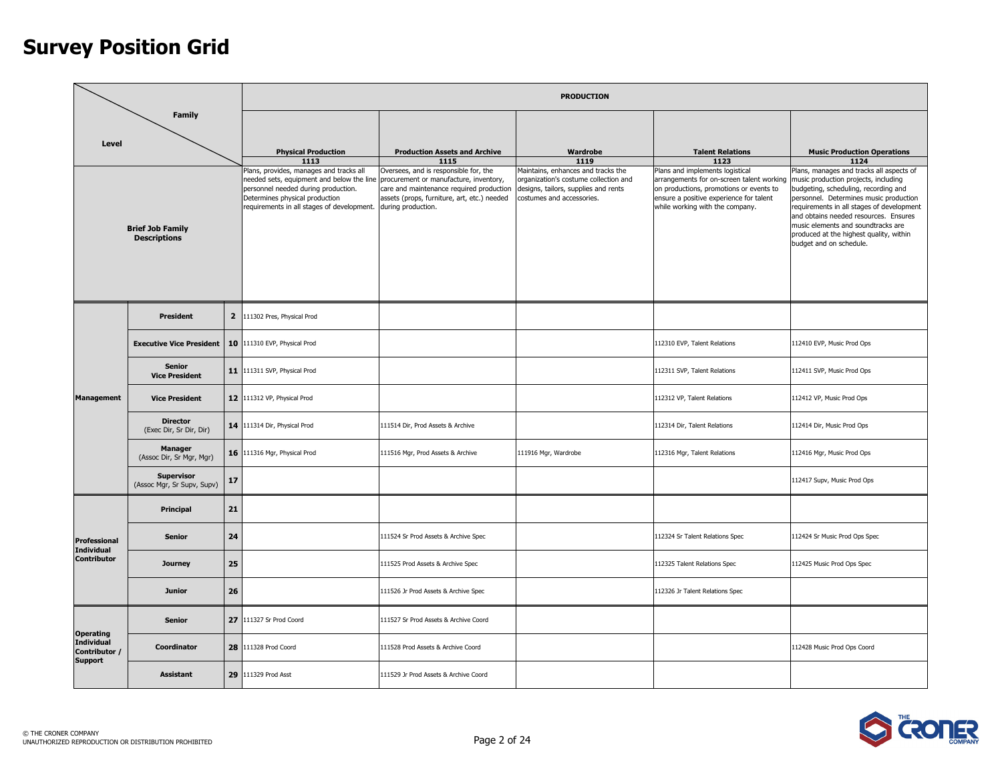|                                                      |                                                 |    |                                                                                                                                                                                                                                                    |                                                                                                                                                        | <b>PRODUCTION</b>                                                                                                                                |                                                                                                                                                                                                       |                                                                                                                                                                                                                                                                                                                                                                      |
|------------------------------------------------------|-------------------------------------------------|----|----------------------------------------------------------------------------------------------------------------------------------------------------------------------------------------------------------------------------------------------------|--------------------------------------------------------------------------------------------------------------------------------------------------------|--------------------------------------------------------------------------------------------------------------------------------------------------|-------------------------------------------------------------------------------------------------------------------------------------------------------------------------------------------------------|----------------------------------------------------------------------------------------------------------------------------------------------------------------------------------------------------------------------------------------------------------------------------------------------------------------------------------------------------------------------|
| Level                                                | <b>Family</b>                                   |    | <b>Physical Production</b>                                                                                                                                                                                                                         | <b>Production Assets and Archive</b>                                                                                                                   | Wardrobe                                                                                                                                         | <b>Talent Relations</b>                                                                                                                                                                               | <b>Music Production Operations</b>                                                                                                                                                                                                                                                                                                                                   |
|                                                      |                                                 |    | 1113                                                                                                                                                                                                                                               | 1115                                                                                                                                                   | 1119                                                                                                                                             | 1123                                                                                                                                                                                                  | 1124                                                                                                                                                                                                                                                                                                                                                                 |
|                                                      | <b>Brief Job Family</b><br><b>Descriptions</b>  |    | Plans, provides, manages and tracks all<br>needed sets, equipment and below the line procurement or manufacture, inventory,<br>personnel needed during production.<br>Determines physical production<br>requirements in all stages of development. | Oversees, and is responsible for, the<br>care and maintenance required production<br>assets (props, furniture, art, etc.) needed<br>during production. | Maintains, enhances and tracks the<br>organization's costume collection and<br>designs, tailors, supplies and rents<br>costumes and accessories. | Plans and implements logistical<br>arrangements for on-screen talent working<br>on productions, promotions or events to<br>ensure a positive experience for talent<br>while working with the company. | Plans, manages and tracks all aspects of<br>music production projects, including<br>budgeting, scheduling, recording and<br>personnel. Determines music production<br>requirements in all stages of development<br>and obtains needed resources. Ensures<br>music elements and soundtracks are<br>produced at the highest quality, within<br>budget and on schedule. |
|                                                      | <b>President</b>                                |    | 2 111302 Pres, Physical Prod                                                                                                                                                                                                                       |                                                                                                                                                        |                                                                                                                                                  |                                                                                                                                                                                                       |                                                                                                                                                                                                                                                                                                                                                                      |
|                                                      | <b>Executive Vice President</b>                 | 10 | 111310 EVP, Physical Prod                                                                                                                                                                                                                          |                                                                                                                                                        |                                                                                                                                                  | 112310 EVP, Talent Relations                                                                                                                                                                          | 112410 EVP, Music Prod Ops                                                                                                                                                                                                                                                                                                                                           |
|                                                      | <b>Senior</b><br><b>Vice President</b>          |    | 11 11311 SVP, Physical Prod                                                                                                                                                                                                                        |                                                                                                                                                        |                                                                                                                                                  | 112311 SVP, Talent Relations                                                                                                                                                                          | 112411 SVP, Music Prod Ops                                                                                                                                                                                                                                                                                                                                           |
| <b>Management</b>                                    | <b>Vice President</b>                           |    | 12 111312 VP, Physical Prod                                                                                                                                                                                                                        |                                                                                                                                                        |                                                                                                                                                  | 112312 VP, Talent Relations                                                                                                                                                                           | 112412 VP, Music Prod Ops                                                                                                                                                                                                                                                                                                                                            |
|                                                      | <b>Director</b><br>(Exec Dir, Sr Dir, Dir)      |    | 14 111314 Dir, Physical Prod                                                                                                                                                                                                                       | 111514 Dir, Prod Assets & Archive                                                                                                                      |                                                                                                                                                  | 112314 Dir, Talent Relations                                                                                                                                                                          | 112414 Dir, Music Prod Ops                                                                                                                                                                                                                                                                                                                                           |
|                                                      | <b>Manager</b><br>(Assoc Dir, Sr Mgr, Mgr)      |    | 16 111316 Mgr, Physical Prod                                                                                                                                                                                                                       | 111516 Mgr, Prod Assets & Archive                                                                                                                      | 111916 Mgr, Wardrobe                                                                                                                             | 112316 Mgr, Talent Relations                                                                                                                                                                          | 112416 Mgr, Music Prod Ops                                                                                                                                                                                                                                                                                                                                           |
|                                                      | <b>Supervisor</b><br>(Assoc Mgr, Sr Supv, Supv) | 17 |                                                                                                                                                                                                                                                    |                                                                                                                                                        |                                                                                                                                                  |                                                                                                                                                                                                       | 112417 Supv, Music Prod Ops                                                                                                                                                                                                                                                                                                                                          |
|                                                      | Principal                                       | 21 |                                                                                                                                                                                                                                                    |                                                                                                                                                        |                                                                                                                                                  |                                                                                                                                                                                                       |                                                                                                                                                                                                                                                                                                                                                                      |
| Professional<br><b>Individual</b>                    | <b>Senior</b>                                   | 24 |                                                                                                                                                                                                                                                    | 111524 Sr Prod Assets & Archive Spec                                                                                                                   |                                                                                                                                                  | 112324 Sr Talent Relations Spec                                                                                                                                                                       | 112424 Sr Music Prod Ops Spec                                                                                                                                                                                                                                                                                                                                        |
| Contributor                                          | <b>Journey</b>                                  | 25 |                                                                                                                                                                                                                                                    | 111525 Prod Assets & Archive Spec                                                                                                                      |                                                                                                                                                  | 112325 Talent Relations Spec                                                                                                                                                                          | 112425 Music Prod Ops Spec                                                                                                                                                                                                                                                                                                                                           |
|                                                      | <b>Junior</b>                                   | 26 |                                                                                                                                                                                                                                                    | 111526 Jr Prod Assets & Archive Spec                                                                                                                   |                                                                                                                                                  | 112326 Jr Talent Relations Spec                                                                                                                                                                       |                                                                                                                                                                                                                                                                                                                                                                      |
| <b>Operating</b>                                     | <b>Senior</b>                                   | 27 | 111327 Sr Prod Coord                                                                                                                                                                                                                               | 111527 Sr Prod Assets & Archive Coord                                                                                                                  |                                                                                                                                                  |                                                                                                                                                                                                       |                                                                                                                                                                                                                                                                                                                                                                      |
| <b>Individual</b><br>Contributor /<br><b>Support</b> | Coordinator                                     |    | 28 111328 Prod Coord                                                                                                                                                                                                                               | 111528 Prod Assets & Archive Coord                                                                                                                     |                                                                                                                                                  |                                                                                                                                                                                                       | 112428 Music Prod Ops Coord                                                                                                                                                                                                                                                                                                                                          |
|                                                      | <b>Assistant</b>                                | 29 | 111329 Prod Asst                                                                                                                                                                                                                                   | 111529 Jr Prod Assets & Archive Coord                                                                                                                  |                                                                                                                                                  |                                                                                                                                                                                                       |                                                                                                                                                                                                                                                                                                                                                                      |

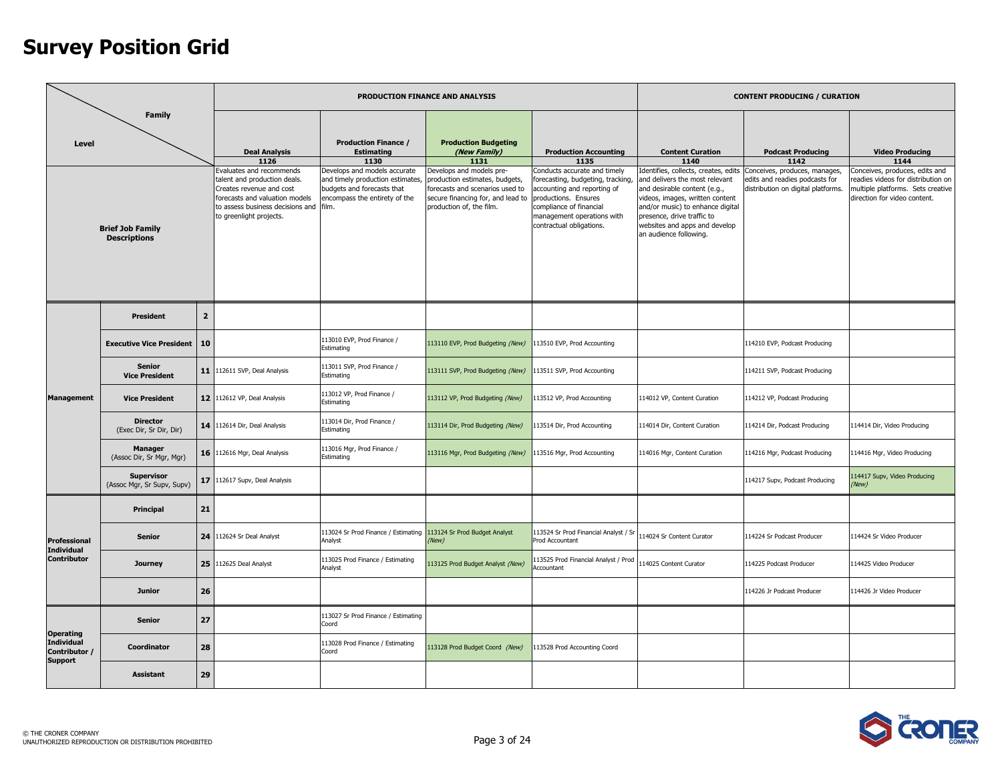|                                    |                                                                 |                |                                                                                                                                                                 |                                                                                                | PRODUCTION FINANCE AND ANALYSIS                                                                                                    |                                                                                                                                                                               |                                                                                                                                                                                                                                | <b>CONTENT PRODUCING / CURATION</b>                                  |                                                                                                        |
|------------------------------------|-----------------------------------------------------------------|----------------|-----------------------------------------------------------------------------------------------------------------------------------------------------------------|------------------------------------------------------------------------------------------------|------------------------------------------------------------------------------------------------------------------------------------|-------------------------------------------------------------------------------------------------------------------------------------------------------------------------------|--------------------------------------------------------------------------------------------------------------------------------------------------------------------------------------------------------------------------------|----------------------------------------------------------------------|--------------------------------------------------------------------------------------------------------|
| Level                              | <b>Family</b><br><b>Brief Job Family</b><br><b>Descriptions</b> |                | <b>Deal Analysis</b><br>1126<br>Evaluates and recommends                                                                                                        | <b>Production Finance /</b><br><b>Estimating</b><br>1130<br>Develops and models accurate       | <b>Production Budgeting</b><br>(New Family)<br>1131<br>Develops and models pre-                                                    | <b>Production Accounting</b><br>1135<br>Conducts accurate and timely                                                                                                          | <b>Content Curation</b><br>1140<br>Identifies, collects, creates, edits                                                                                                                                                        | <b>Podcast Producing</b><br>1142<br>Conceives, produces, manages,    | <b>Video Producing</b><br>1144<br>Conceives, produces, edits and                                       |
|                                    |                                                                 |                | talent and production deals.<br>Creates revenue and cost<br>forecasts and valuation models<br>to assess business decisions and film.<br>to greenlight projects. | and timely production estimates<br>budgets and forecasts that<br>encompass the entirety of the | production estimates, budgets,<br>forecasts and scenarios used to<br>secure financing for, and lead to<br>production of, the film. | forecasting, budgeting, tracking,<br>accounting and reporting of<br>productions, Ensures<br>compliance of financial<br>nanagement operations with<br>contractual obligations. | and delivers the most relevant<br>and desirable content (e.g.,<br>videos, images, written content<br>and/or music) to enhance digital<br>presence, drive traffic to<br>websites and apps and develop<br>an audience following. | edits and readies podcasts for<br>distribution on digital platforms. | eadies videos for distribution on<br>multiple platforms. Sets creative<br>direction for video content. |
|                                    | <b>President</b>                                                | $\overline{2}$ |                                                                                                                                                                 |                                                                                                |                                                                                                                                    |                                                                                                                                                                               |                                                                                                                                                                                                                                |                                                                      |                                                                                                        |
|                                    | <b>Executive Vice President</b>                                 | 10             |                                                                                                                                                                 | 113010 EVP, Prod Finance /<br>Estimating                                                       | 113110 EVP, Prod Budgeting (New)                                                                                                   | 113510 EVP, Prod Accounting                                                                                                                                                   |                                                                                                                                                                                                                                | 114210 EVP, Podcast Producing                                        |                                                                                                        |
|                                    | Senior<br><b>Vice President</b>                                 | 11             | 112611 SVP, Deal Analysis                                                                                                                                       | 113011 SVP, Prod Finance /<br>Estimating                                                       | 113111 SVP, Prod Budgeting (New)                                                                                                   | 113511 SVP, Prod Accounting                                                                                                                                                   |                                                                                                                                                                                                                                | 114211 SVP, Podcast Producing                                        |                                                                                                        |
| <b>Management</b>                  | <b>Vice President</b>                                           |                | 12 112612 VP, Deal Analysis                                                                                                                                     | 113012 VP, Prod Finance /<br>Estimating                                                        | 113112 VP, Prod Budgeting (New)                                                                                                    | 113512 VP, Prod Accounting                                                                                                                                                    | 114012 VP, Content Curation                                                                                                                                                                                                    | 114212 VP, Podcast Producing                                         |                                                                                                        |
|                                    | <b>Director</b><br>(Exec Dir, Sr Dir, Dir)                      |                | 14 112614 Dir, Deal Analysis                                                                                                                                    | 113014 Dir, Prod Finance /<br>Estimating                                                       | 113114 Dir, Prod Budgeting (New)                                                                                                   | 113514 Dir, Prod Accounting                                                                                                                                                   | 114014 Dir, Content Curation                                                                                                                                                                                                   | 114214 Dir, Podcast Producing                                        | 114414 Dir, Video Producing                                                                            |
|                                    | <b>Manager</b><br>(Assoc Dir, Sr Mgr, Mgr)                      |                | 16 112616 Mgr, Deal Analysis                                                                                                                                    | 113016 Mgr, Prod Finance /<br>Estimating                                                       | 113116 Mgr, Prod Budgeting (New)                                                                                                   | 113516 Mgr, Prod Accounting                                                                                                                                                   | 114016 Mgr, Content Curation                                                                                                                                                                                                   | 114216 Mgr, Podcast Producing                                        | 114416 Mgr, Video Producing                                                                            |
|                                    | <b>Supervisor</b><br>(Assoc Mgr, Sr Supv, Supv)                 | 17             | 112617 Supv, Deal Analysis                                                                                                                                      |                                                                                                |                                                                                                                                    |                                                                                                                                                                               |                                                                                                                                                                                                                                | 114217 Supv, Podcast Producing                                       | 14417 Supv, Video Producing<br>(New)                                                                   |
|                                    | Principal                                                       | 21             |                                                                                                                                                                 |                                                                                                |                                                                                                                                    |                                                                                                                                                                               |                                                                                                                                                                                                                                |                                                                      |                                                                                                        |
| Professional<br><b>Individual</b>  | Senior                                                          | 24             | 112624 Sr Deal Analyst                                                                                                                                          | 113024 Sr Prod Finance / Estimating<br>Analyst                                                 | 113124 Sr Prod Budget Analyst<br>(New)                                                                                             | 13524 Sr Prod Financial Analyst / S<br>rod Accountant                                                                                                                         | 114024 Sr Content Curator                                                                                                                                                                                                      | 114224 Sr Podcast Producer                                           | 114424 Sr Video Producer                                                                               |
| <b>Contributor</b>                 | <b>Journey</b>                                                  | 25             | 112625 Deal Analyst                                                                                                                                             | 113025 Prod Finance / Estimating<br>Analyst                                                    | 113125 Prod Budget Analyst (New)                                                                                                   | 13525 Prod Financial Analyst / Prod<br>Accountant                                                                                                                             | 114025 Content Curator                                                                                                                                                                                                         | 114225 Podcast Producer                                              | 114425 Video Producer                                                                                  |
|                                    | <b>Junior</b>                                                   | 26             |                                                                                                                                                                 |                                                                                                |                                                                                                                                    |                                                                                                                                                                               |                                                                                                                                                                                                                                | 114226 Jr Podcast Producer                                           | 114426 Jr Video Producer                                                                               |
| <b>Operating</b>                   | <b>Senior</b>                                                   | 27             |                                                                                                                                                                 | 113027 Sr Prod Finance / Estimating<br>Coord                                                   |                                                                                                                                    |                                                                                                                                                                               |                                                                                                                                                                                                                                |                                                                      |                                                                                                        |
| <b>Individual</b><br>Contributor / | Coordinator                                                     | 28             |                                                                                                                                                                 | 113028 Prod Finance / Estimating<br>Coord                                                      | 113128 Prod Budget Coord (New)                                                                                                     | 13528 Prod Accounting Coord                                                                                                                                                   |                                                                                                                                                                                                                                |                                                                      |                                                                                                        |
| <b>Support</b>                     | <b>Assistant</b>                                                | 29             |                                                                                                                                                                 |                                                                                                |                                                                                                                                    |                                                                                                                                                                               |                                                                                                                                                                                                                                |                                                                      |                                                                                                        |

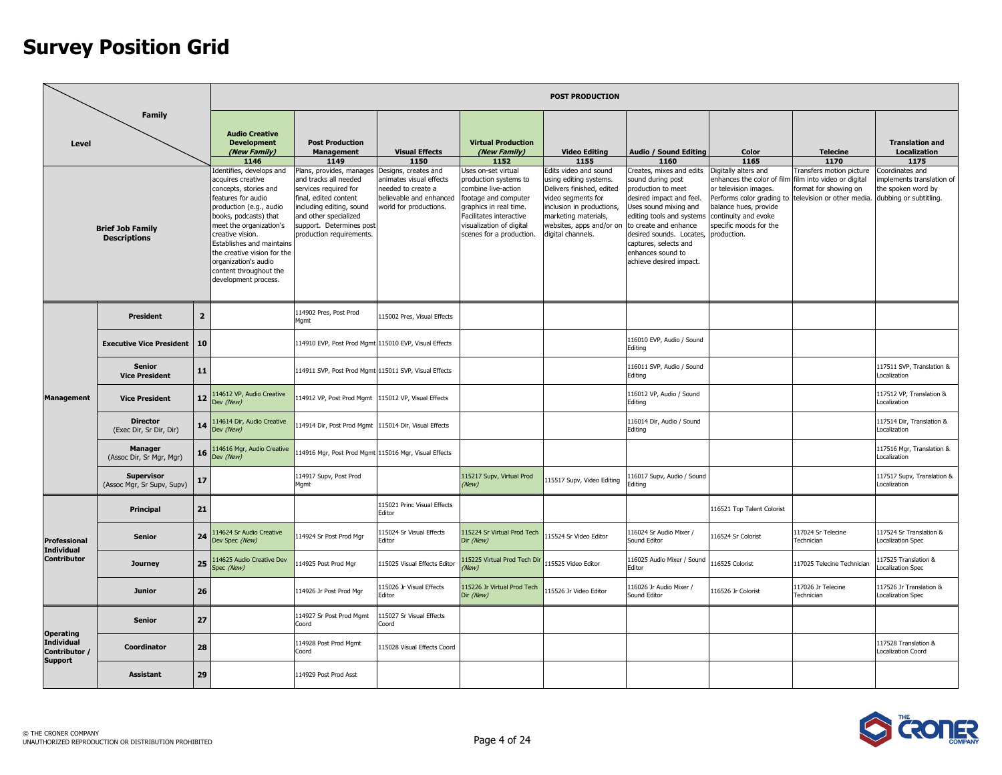|                                                        |                                                 |                |                                                                                                                                                                                                                                                                                                                                       |                                                                                                                                                                                                                  |                                                                                                                            |                                                                                                                                                                                                          | <b>POST PRODUCTION</b>                                                                                                                                                                                   |                                                                                                                                                                                                                                                                                     |                                                                                                                                                                       |                                                                                                                                        |                                                                                             |
|--------------------------------------------------------|-------------------------------------------------|----------------|---------------------------------------------------------------------------------------------------------------------------------------------------------------------------------------------------------------------------------------------------------------------------------------------------------------------------------------|------------------------------------------------------------------------------------------------------------------------------------------------------------------------------------------------------------------|----------------------------------------------------------------------------------------------------------------------------|----------------------------------------------------------------------------------------------------------------------------------------------------------------------------------------------------------|----------------------------------------------------------------------------------------------------------------------------------------------------------------------------------------------------------|-------------------------------------------------------------------------------------------------------------------------------------------------------------------------------------------------------------------------------------------------------------------------------------|-----------------------------------------------------------------------------------------------------------------------------------------------------------------------|----------------------------------------------------------------------------------------------------------------------------------------|---------------------------------------------------------------------------------------------|
| Level                                                  | <b>Family</b>                                   |                | <b>Audio Creative</b><br><b>Development</b><br>(New Family)<br>1146                                                                                                                                                                                                                                                                   | <b>Post Production</b><br><b>Management</b><br>1149                                                                                                                                                              | <b>Visual Effects</b><br>1150                                                                                              | <b>Virtual Production</b><br>(New Family)<br>1152                                                                                                                                                        | <b>Video Editing</b><br>1155                                                                                                                                                                             | Audio / Sound Editing<br>1160                                                                                                                                                                                                                                                       | Color<br>1165                                                                                                                                                         | <b>Telecine</b><br>1170                                                                                                                | <b>Translation and</b><br><b>Localization</b><br>1175                                       |
|                                                        | <b>Brief Job Family</b><br><b>Descriptions</b>  |                | Identifies, develops and<br>acquires creative<br>concepts, stories and<br>features for audio<br>production (e.g., audio<br>books, podcasts) that<br>meet the organization's<br>creative vision.<br>Establishes and maintains<br>the creative vision for the<br>organization's audio<br>content throughout the<br>development process. | Plans, provides, manages<br>and tracks all needed<br>services required for<br>final, edited content<br>including editing, sound<br>and other specialized<br>support. Determines post<br>production requirements. | Designs, creates and<br>animates visual effects<br>needed to create a<br>believable and enhanced<br>world for productions. | Uses on-set virtual<br>production systems to<br>combine live-action<br>footage and computer<br>graphics in real time.<br>Facilitates interactive<br>visualization of digital<br>scenes for a production. | Edits video and sound<br>using editing systems.<br>Delivers finished, edited<br>video segments for<br>inclusion in productions,<br>marketing materials,<br>websites, apps and/or on<br>digital channels. | Creates, mixes and edits<br>sound during post<br>production to meet<br>desired impact and feel.<br>Uses sound mixing and<br>editing tools and systems<br>to create and enhance<br>desired sounds. Locates,<br>captures, selects and<br>enhances sound to<br>achieve desired impact. | Digitally alters and<br>enhances the color of film<br>or television images.<br>balance hues, provide<br>continuity and evoke<br>specific moods for the<br>production. | Fransfers motion picture<br>film into video or digital<br>ormat for showing on<br>Performs color grading to television or other media. | Coordinates and<br>mplements translation of<br>the spoken word by<br>dubbing or subtitling. |
|                                                        | <b>President</b>                                | $\overline{2}$ |                                                                                                                                                                                                                                                                                                                                       | 114902 Pres, Post Prod<br>Mgmt                                                                                                                                                                                   | 115002 Pres, Visual Effects                                                                                                |                                                                                                                                                                                                          |                                                                                                                                                                                                          |                                                                                                                                                                                                                                                                                     |                                                                                                                                                                       |                                                                                                                                        |                                                                                             |
|                                                        | <b>Executive Vice President</b>                 | 10             |                                                                                                                                                                                                                                                                                                                                       | 114910 EVP, Post Prod Mgmt 115010 EVP, Visual Effects                                                                                                                                                            |                                                                                                                            |                                                                                                                                                                                                          |                                                                                                                                                                                                          | 116010 EVP, Audio / Sound<br>Editing                                                                                                                                                                                                                                                |                                                                                                                                                                       |                                                                                                                                        |                                                                                             |
|                                                        | <b>Senior</b><br><b>Vice President</b>          | 11             |                                                                                                                                                                                                                                                                                                                                       | 114911 SVP, Post Prod Mgmt 115011 SVP, Visual Effects                                                                                                                                                            |                                                                                                                            |                                                                                                                                                                                                          |                                                                                                                                                                                                          | 116011 SVP, Audio / Sound<br>Editina                                                                                                                                                                                                                                                |                                                                                                                                                                       |                                                                                                                                        | 117511 SVP, Translation &<br>Localization                                                   |
| <b>Management</b>                                      | <b>Vice President</b>                           | 12             | 114612 VP, Audio Creative<br>Dev (New)                                                                                                                                                                                                                                                                                                | 114912 VP, Post Prod Mgmt 115012 VP, Visual Effects                                                                                                                                                              |                                                                                                                            |                                                                                                                                                                                                          |                                                                                                                                                                                                          | 116012 VP, Audio / Sound<br>Editing                                                                                                                                                                                                                                                 |                                                                                                                                                                       |                                                                                                                                        | 117512 VP, Translation &<br>ocalization                                                     |
|                                                        | <b>Director</b><br>(Exec Dir, Sr Dir, Dir)      | 14             | 114614 Dir, Audio Creative<br>Dev (New)                                                                                                                                                                                                                                                                                               | 114914 Dir, Post Prod Mgmt 115014 Dir, Visual Effects                                                                                                                                                            |                                                                                                                            |                                                                                                                                                                                                          |                                                                                                                                                                                                          | 116014 Dir, Audio / Sound<br>Editing                                                                                                                                                                                                                                                |                                                                                                                                                                       |                                                                                                                                        | 117514 Dir, Translation &<br>Localization                                                   |
|                                                        | <b>Manager</b><br>(Assoc Dir, Sr Mgr, Mgr)      | 16             | 14616 Mgr, Audio Creative<br>Dev (New)                                                                                                                                                                                                                                                                                                | 114916 Mgr, Post Prod Mgmt 115016 Mgr, Visual Effects                                                                                                                                                            |                                                                                                                            |                                                                                                                                                                                                          |                                                                                                                                                                                                          |                                                                                                                                                                                                                                                                                     |                                                                                                                                                                       |                                                                                                                                        | 117516 Mgr, Translation &<br>Localization                                                   |
|                                                        | <b>Supervisor</b><br>(Assoc Mgr, Sr Supv, Supv) | 17             |                                                                                                                                                                                                                                                                                                                                       | 114917 Supv, Post Prod<br>Mgmt                                                                                                                                                                                   |                                                                                                                            | 115217 Supv, Virtual Prod<br>New)                                                                                                                                                                        | 115517 Supv, Video Editing                                                                                                                                                                               | 116017 Supv, Audio / Sound<br>Editing                                                                                                                                                                                                                                               |                                                                                                                                                                       |                                                                                                                                        | 117517 Supv, Translation &<br>Localization                                                  |
|                                                        | Principal                                       | 21             |                                                                                                                                                                                                                                                                                                                                       |                                                                                                                                                                                                                  | 115021 Princ Visual Effects<br>Editor                                                                                      |                                                                                                                                                                                                          |                                                                                                                                                                                                          |                                                                                                                                                                                                                                                                                     | 116521 Top Talent Colorist                                                                                                                                            |                                                                                                                                        |                                                                                             |
| Professional<br>Individual                             | <b>Senior</b>                                   | 24             | 114624 Sr Audio Creative<br>Dev Spec (New)                                                                                                                                                                                                                                                                                            | 114924 Sr Post Prod Mar                                                                                                                                                                                          | 115024 Sr Visual Effects<br>Editor                                                                                         | 115224 Sr Virtual Prod Tech<br>Dir (New)                                                                                                                                                                 | 15524 Sr Video Editor                                                                                                                                                                                    | 16024 Sr Audio Mixer /<br>Sound Editor                                                                                                                                                                                                                                              | 116524 Sr Colorist                                                                                                                                                    | 117024 Sr Telecine<br>Technician                                                                                                       | 117524 Sr Translation &<br>Localization Spec                                                |
| <b>Contributor</b>                                     | <b>Journey</b>                                  | 25             | 14625 Audio Creative Dev<br>Spec (New)                                                                                                                                                                                                                                                                                                | 114925 Post Prod Mgr                                                                                                                                                                                             | 115025 Visual Effects Editor                                                                                               | 15225 Virtual Prod Tech Dir<br>New)                                                                                                                                                                      | 115525 Video Editor                                                                                                                                                                                      | 116025 Audio Mixer / Sound<br>Editor                                                                                                                                                                                                                                                | 116525 Colorist                                                                                                                                                       | 117025 Telecine Technician                                                                                                             | 17525 Translation &<br>ocalization Spec                                                     |
|                                                        | <b>Junior</b>                                   | 26             |                                                                                                                                                                                                                                                                                                                                       | 114926 Jr Post Prod Mgr                                                                                                                                                                                          | 115026 Jr Visual Effects<br>Editor                                                                                         | 15226 Jr Virtual Prod Tech<br>Dir (New)                                                                                                                                                                  | 115526 Jr Video Editor                                                                                                                                                                                   | 116026 Jr Audio Mixer /<br>Sound Editor                                                                                                                                                                                                                                             | 116526 Jr Colorist                                                                                                                                                    | 117026 Jr Telecine<br>Technician                                                                                                       | 117526 Jr Translation &<br>Localization Spec                                                |
|                                                        | <b>Senior</b>                                   | 27             |                                                                                                                                                                                                                                                                                                                                       | 114927 Sr Post Prod Mgmt<br>Coord                                                                                                                                                                                | 115027 Sr Visual Effects<br>Coord                                                                                          |                                                                                                                                                                                                          |                                                                                                                                                                                                          |                                                                                                                                                                                                                                                                                     |                                                                                                                                                                       |                                                                                                                                        |                                                                                             |
| <b>Operating</b><br><b>Individual</b><br>Contributor / | Coordinator                                     | 28             |                                                                                                                                                                                                                                                                                                                                       | 114928 Post Prod Mgmt<br>Coord                                                                                                                                                                                   | 115028 Visual Effects Coord                                                                                                |                                                                                                                                                                                                          |                                                                                                                                                                                                          |                                                                                                                                                                                                                                                                                     |                                                                                                                                                                       |                                                                                                                                        | 117528 Translation &<br>Localization Coord                                                  |
| <b>Support</b>                                         | <b>Assistant</b>                                | 29             |                                                                                                                                                                                                                                                                                                                                       | 114929 Post Prod Asst                                                                                                                                                                                            |                                                                                                                            |                                                                                                                                                                                                          |                                                                                                                                                                                                          |                                                                                                                                                                                                                                                                                     |                                                                                                                                                                       |                                                                                                                                        |                                                                                             |

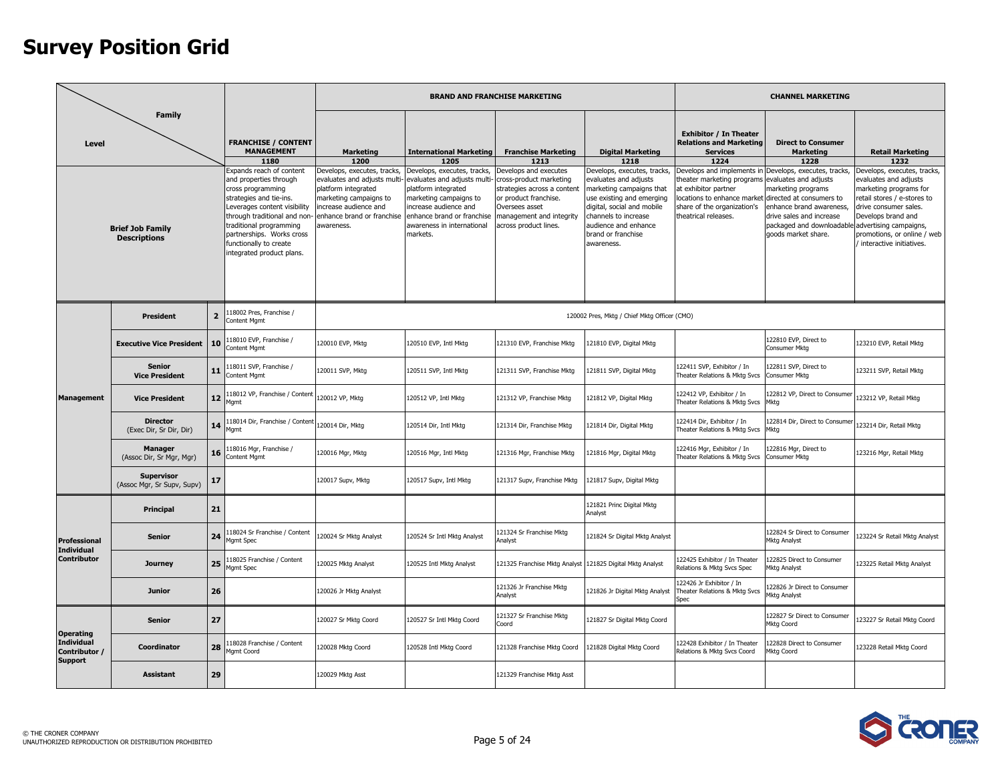|                                                      |                                                                                                                |                |                                                                                                                                                                                                                                                                                                                                             |                                                                                                                                                                                                              |                                                                                                                                                                                                                                                         | <b>BRAND AND FRANCHISE MARKETING</b>                                                                                                                                                                                  |                                                                                                                                                                                                                                                                     |                                                                                                                                                                                                                                                                                          | <b>CHANNEL MARKETING</b>                                                                                                                                                                                                                                                  |                                                                                                                                                                                                                                                            |
|------------------------------------------------------|----------------------------------------------------------------------------------------------------------------|----------------|---------------------------------------------------------------------------------------------------------------------------------------------------------------------------------------------------------------------------------------------------------------------------------------------------------------------------------------------|--------------------------------------------------------------------------------------------------------------------------------------------------------------------------------------------------------------|---------------------------------------------------------------------------------------------------------------------------------------------------------------------------------------------------------------------------------------------------------|-----------------------------------------------------------------------------------------------------------------------------------------------------------------------------------------------------------------------|---------------------------------------------------------------------------------------------------------------------------------------------------------------------------------------------------------------------------------------------------------------------|------------------------------------------------------------------------------------------------------------------------------------------------------------------------------------------------------------------------------------------------------------------------------------------|---------------------------------------------------------------------------------------------------------------------------------------------------------------------------------------------------------------------------------------------------------------------------|------------------------------------------------------------------------------------------------------------------------------------------------------------------------------------------------------------------------------------------------------------|
| <b>Level</b>                                         | Family<br><b>Descriptions</b>                                                                                  |                | <b>FRANCHISE / CONTENT</b><br><b>MANAGEMENT</b><br>1180<br>xpands reach of content<br>and properties through<br>cross programming<br>strategies and tie-ins.<br>Leverages content visibility<br>through traditional and non-<br>traditional programming<br>partnerships. Works cross<br>functionally to create<br>integrated product plans. | <b>Marketing</b><br>1200<br>Develops, executes, tracks,<br>evaluates and adjusts multi<br>platform integrated<br>marketing campaigns to<br>increase audience and<br>enhance brand or franchise<br>awareness. | <b>International Marketing</b><br>1205<br>Develops, executes, tracks,<br>evaluates and adjusts multi-<br>platform integrated<br>marketing campaigns to<br>increase audience and<br>enhance brand or franchise<br>awareness in international<br>markets. | <b>Franchise Marketing</b><br>1213<br>Develops and executes<br>cross-product marketing<br>strategies across a content<br>or product franchise.<br>Oversees asset<br>management and integrity<br>across product lines. | <b>Digital Marketing</b><br>1218<br>Develops, executes, tracks,<br>evaluates and adjusts<br>marketing campaigns that<br>use existing and emerging<br>digital, social and mobile<br>channels to increase<br>audience and enhance<br>brand or franchise<br>awareness. | <b>Exhibitor / In Theater</b><br><b>Relations and Marketing</b><br><b>Services</b><br>1224<br>Develops and implements in<br>heater marketing programs evaluates and adjusts<br>at exhibitor partner<br>ocations to enhance market<br>share of the organization's<br>theatrical releases. | <b>Direct to Consumer</b><br><b>Marketing</b><br>1228<br>Develops, executes, tracks,<br>marketing programs<br>directed at consumers to<br>enhance brand awareness,<br>drive sales and increase<br>packaged and downloadable advertising campaigns,<br>goods market share. | <b>Retail Marketing</b><br>1232<br>Develops, executes, tracks,<br>evaluates and adjusts<br>marketing programs for<br>retail stores / e-stores to<br>drive consumer sales.<br>Develops brand and<br>promotions, or online / web<br>interactive initiatives. |
|                                                      | <b>Brief Job Family</b><br><b>President</b><br><b>Senior</b><br><b>Vice President</b><br><b>Vice President</b> |                |                                                                                                                                                                                                                                                                                                                                             |                                                                                                                                                                                                              |                                                                                                                                                                                                                                                         |                                                                                                                                                                                                                       |                                                                                                                                                                                                                                                                     |                                                                                                                                                                                                                                                                                          |                                                                                                                                                                                                                                                                           |                                                                                                                                                                                                                                                            |
|                                                      |                                                                                                                | $\overline{2}$ | 18002 Pres, Franchise /<br>Content Mgmt                                                                                                                                                                                                                                                                                                     |                                                                                                                                                                                                              |                                                                                                                                                                                                                                                         |                                                                                                                                                                                                                       | 120002 Pres, Mktg / Chief Mktg Officer (CMO)                                                                                                                                                                                                                        |                                                                                                                                                                                                                                                                                          |                                                                                                                                                                                                                                                                           |                                                                                                                                                                                                                                                            |
|                                                      | <b>Executive Vice President</b>                                                                                | 10             | 18010 EVP, Franchise /<br>Content Mgmt                                                                                                                                                                                                                                                                                                      | 120010 EVP, Mktg                                                                                                                                                                                             | 120510 EVP, Intl Mktg                                                                                                                                                                                                                                   | 121310 EVP, Franchise Mktg                                                                                                                                                                                            | 121810 EVP, Digital Mktg                                                                                                                                                                                                                                            |                                                                                                                                                                                                                                                                                          | 122810 EVP, Direct to<br>Consumer Mktg                                                                                                                                                                                                                                    | 123210 EVP, Retail Mktg                                                                                                                                                                                                                                    |
|                                                      |                                                                                                                | 11             | 18011 SVP, Franchise /<br>Content Mgmt                                                                                                                                                                                                                                                                                                      | 120011 SVP, Mktg                                                                                                                                                                                             | 120511 SVP, Intl Mktg                                                                                                                                                                                                                                   | 121311 SVP, Franchise Mktg                                                                                                                                                                                            | 121811 SVP, Digital Mktg                                                                                                                                                                                                                                            | 22411 SVP, Exhibitor / In<br>Theater Relations & Mktg Svcs                                                                                                                                                                                                                               | 122811 SVP, Direct to<br>Consumer Mktg                                                                                                                                                                                                                                    | 123211 SVP, Retail Mktg                                                                                                                                                                                                                                    |
| <b>Management</b>                                    |                                                                                                                | 12             | 18012 VP, Franchise / Content<br>Mgmt                                                                                                                                                                                                                                                                                                       | 120012 VP, Mktg                                                                                                                                                                                              | 120512 VP, Intl Mktg                                                                                                                                                                                                                                    | 121312 VP, Franchise Mktg                                                                                                                                                                                             | 121812 VP, Digital Mktg                                                                                                                                                                                                                                             | 22412 VP, Exhibitor / In<br>heater Relations & Mktg Svcs                                                                                                                                                                                                                                 | 122812 VP, Direct to Consumer<br>Mktg                                                                                                                                                                                                                                     | 123212 VP, Retail Mktg                                                                                                                                                                                                                                     |
|                                                      | <b>Director</b><br>(Exec Dir, Sr Dir, Dir)                                                                     | 14             | 18014 Dir, Franchise / Content<br>Mgmt                                                                                                                                                                                                                                                                                                      | 120014 Dir, Mktq                                                                                                                                                                                             | 120514 Dir, Intl Mktg                                                                                                                                                                                                                                   | 121314 Dir, Franchise Mktg                                                                                                                                                                                            | 121814 Dir, Digital Mktg                                                                                                                                                                                                                                            | 122414 Dir, Exhibitor / In<br>Theater Relations & Mktg Svcs                                                                                                                                                                                                                              | 122814 Dir, Direct to Consumer<br>Mktg                                                                                                                                                                                                                                    | 123214 Dir, Retail Mktg                                                                                                                                                                                                                                    |
|                                                      | <b>Manager</b><br>(Assoc Dir, Sr Mgr, Mgr)                                                                     | 16             | 18016 Mgr, Franchise /<br>Content Mgmt                                                                                                                                                                                                                                                                                                      | 120016 Mgr, Mktg                                                                                                                                                                                             | 120516 Mgr, Intl Mktg                                                                                                                                                                                                                                   | 121316 Mgr, Franchise Mktg                                                                                                                                                                                            | 121816 Mgr, Digital Mktg                                                                                                                                                                                                                                            | 22416 Mgr, Exhibitor / In<br>Theater Relations & Mktg Svcs                                                                                                                                                                                                                               | 122816 Mgr, Direct to<br>Consumer Mktg                                                                                                                                                                                                                                    | 123216 Mgr, Retail Mktg                                                                                                                                                                                                                                    |
|                                                      | <b>Supervisor</b><br>(Assoc Mgr, Sr Supv, Supv)                                                                | 17             |                                                                                                                                                                                                                                                                                                                                             | 120017 Supv, Mktg                                                                                                                                                                                            | 120517 Supv, Intl Mktg                                                                                                                                                                                                                                  | 121317 Supv, Franchise Mktg                                                                                                                                                                                           | 121817 Supv, Digital Mktg                                                                                                                                                                                                                                           |                                                                                                                                                                                                                                                                                          |                                                                                                                                                                                                                                                                           |                                                                                                                                                                                                                                                            |
|                                                      | Principal                                                                                                      | 21             |                                                                                                                                                                                                                                                                                                                                             |                                                                                                                                                                                                              |                                                                                                                                                                                                                                                         |                                                                                                                                                                                                                       | 121821 Princ Digital Mktg<br>Analyst                                                                                                                                                                                                                                |                                                                                                                                                                                                                                                                                          |                                                                                                                                                                                                                                                                           |                                                                                                                                                                                                                                                            |
| <b>Professional</b><br><b>Individual</b>             | <b>Senior</b>                                                                                                  | 24             | 18024 Sr Franchise / Content<br>Mgmt Spec                                                                                                                                                                                                                                                                                                   | 120024 Sr Mktg Analyst                                                                                                                                                                                       | 120524 Sr Intl Mktg Analyst                                                                                                                                                                                                                             | 121324 Sr Franchise Mktg<br>Analyst                                                                                                                                                                                   | 121824 Sr Digital Mktg Analyst                                                                                                                                                                                                                                      |                                                                                                                                                                                                                                                                                          | 122824 Sr Direct to Consumer<br>Mktg Analyst                                                                                                                                                                                                                              | 23224 Sr Retail Mktg Analyst                                                                                                                                                                                                                               |
| <b>Contributor</b>                                   | <b>Journey</b>                                                                                                 | 25             | 18025 Franchise / Content<br>Mgmt Spec                                                                                                                                                                                                                                                                                                      | 120025 Mktg Analyst                                                                                                                                                                                          | 120525 Intl Mktg Analyst                                                                                                                                                                                                                                | 121325 Franchise Mktg Analyst 121825 Digital Mktg Analyst                                                                                                                                                             |                                                                                                                                                                                                                                                                     | 22425 Exhibitor / In Theater<br>Relations & Mktg Svcs Spec                                                                                                                                                                                                                               | 122825 Direct to Consumer<br>Mktg Analyst                                                                                                                                                                                                                                 | 123225 Retail Mktg Analyst                                                                                                                                                                                                                                 |
|                                                      | <b>Junior</b>                                                                                                  | 26             |                                                                                                                                                                                                                                                                                                                                             | 120026 Jr Mktg Analyst                                                                                                                                                                                       |                                                                                                                                                                                                                                                         | 121326 Jr Franchise Mktg<br>Analyst                                                                                                                                                                                   | 121826 Jr Digital Mktg Analyst                                                                                                                                                                                                                                      | 122426 Jr Exhibitor / In<br>Theater Relations & Mktg Svcs<br>Spec                                                                                                                                                                                                                        | 22826 Jr Direct to Consumer<br><b>Mktg Analyst</b>                                                                                                                                                                                                                        |                                                                                                                                                                                                                                                            |
| <b>Operating</b>                                     | <b>Senior</b>                                                                                                  | 27             |                                                                                                                                                                                                                                                                                                                                             | 120027 Sr Mktg Coord                                                                                                                                                                                         | 120527 Sr Intl Mktg Coord                                                                                                                                                                                                                               | 121327 Sr Franchise Mktg<br>Coord                                                                                                                                                                                     | 121827 Sr Digital Mktg Coord                                                                                                                                                                                                                                        |                                                                                                                                                                                                                                                                                          | 122827 Sr Direct to Consumer<br>Mktg Coord                                                                                                                                                                                                                                | 23227 Sr Retail Mktg Coord                                                                                                                                                                                                                                 |
| <b>Individual</b><br>Contributor /<br><b>Support</b> | Coordinator                                                                                                    | 28             | 18028 Franchise / Content<br>Mgmt Coord                                                                                                                                                                                                                                                                                                     | 120028 Mktg Coord                                                                                                                                                                                            | 120528 Intl Mktg Coord                                                                                                                                                                                                                                  | 121328 Franchise Mktg Coord                                                                                                                                                                                           | 121828 Digital Mktg Coord                                                                                                                                                                                                                                           | 22428 Exhibitor / In Theater<br>Relations & Mktg Svcs Coord                                                                                                                                                                                                                              | 22828 Direct to Consumer<br>Mktg Coord                                                                                                                                                                                                                                    | 23228 Retail Mktg Coord                                                                                                                                                                                                                                    |
|                                                      | <b>Assistant</b>                                                                                               | 29             |                                                                                                                                                                                                                                                                                                                                             | 120029 Mktg Asst                                                                                                                                                                                             |                                                                                                                                                                                                                                                         | 121329 Franchise Mktg Asst                                                                                                                                                                                            |                                                                                                                                                                                                                                                                     |                                                                                                                                                                                                                                                                                          |                                                                                                                                                                                                                                                                           |                                                                                                                                                                                                                                                            |

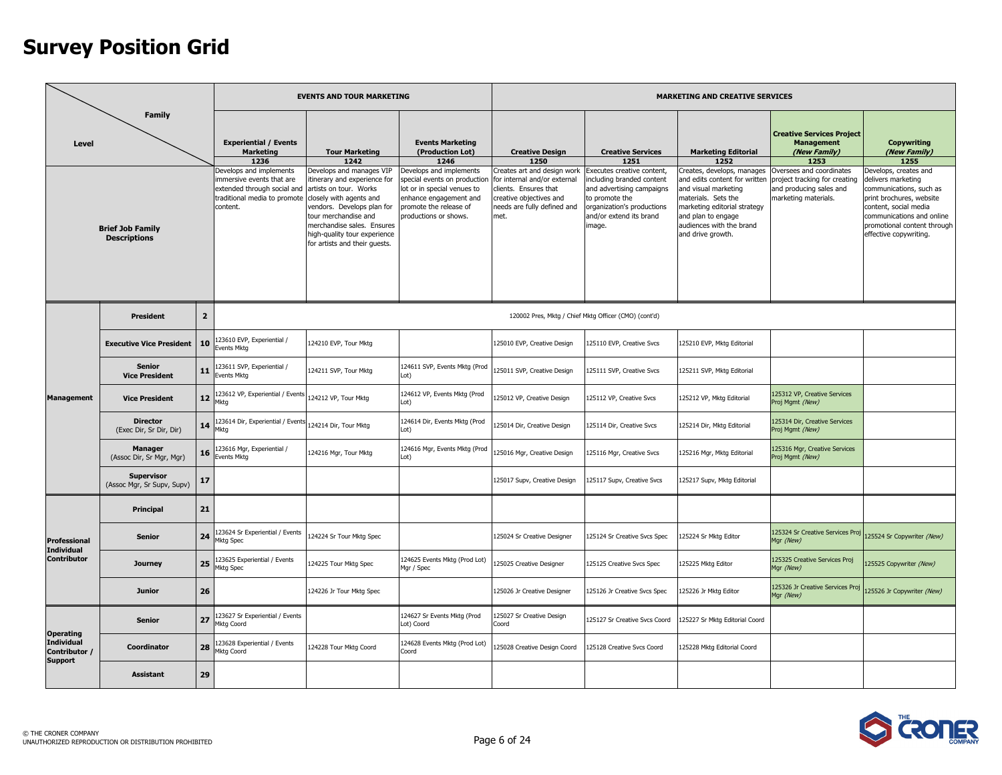|                                                        |                                                 |                |                                                                                                                                | <b>EVENTS AND TOUR MARKETING</b>                                                                                                                                                                                                                                   |                                                                                                                                                                    |                                                                                                                                                        |                                                                                                                                                                           | <b>MARKETING AND CREATIVE SERVICES</b>                                                                                                                                                                            |                                                                                                              |                                                                                                                                                                                                                   |
|--------------------------------------------------------|-------------------------------------------------|----------------|--------------------------------------------------------------------------------------------------------------------------------|--------------------------------------------------------------------------------------------------------------------------------------------------------------------------------------------------------------------------------------------------------------------|--------------------------------------------------------------------------------------------------------------------------------------------------------------------|--------------------------------------------------------------------------------------------------------------------------------------------------------|---------------------------------------------------------------------------------------------------------------------------------------------------------------------------|-------------------------------------------------------------------------------------------------------------------------------------------------------------------------------------------------------------------|--------------------------------------------------------------------------------------------------------------|-------------------------------------------------------------------------------------------------------------------------------------------------------------------------------------------------------------------|
| Level                                                  | <b>Family</b>                                   |                | <b>Experiential / Events</b><br><b>Marketing</b><br>1236                                                                       | <b>Tour Marketing</b><br>1242                                                                                                                                                                                                                                      | <b>Events Marketing</b><br>(Production Lot)<br>1246                                                                                                                | <b>Creative Design</b><br>1250                                                                                                                         | <b>Creative Services</b><br>1251                                                                                                                                          | <b>Marketing Editorial</b><br>1252                                                                                                                                                                                | <b>Creative Services Project</b><br><b>Management</b><br>(New Family)<br>1253                                | <b>Copywriting</b><br>(New Family)<br>1255                                                                                                                                                                        |
|                                                        | <b>Brief Job Family</b><br><b>Descriptions</b>  |                | Develops and implements<br>mmersive events that are<br>extended through social and<br>traditional media to promote<br>content. | Develops and manages VIP<br>itinerary and experience for<br>artists on tour. Works<br>closely with agents and<br>vendors. Develops plan for<br>tour merchandise and<br>merchandise sales. Ensures<br>high-quality tour experience<br>for artists and their guests. | Develops and implements<br>special events on productio<br>lot or in special venues to<br>enhance engagement and<br>promote the release of<br>productions or shows. | Creates art and design work<br>for internal and/or external<br>clients. Ensures that<br>creative objectives and<br>needs are fully defined and<br>met. | Executes creative content,<br>including branded content<br>and advertising campaigns<br>to promote the<br>organization's productions<br>and/or extend its brand<br>image. | Creates, develops, manages<br>and edits content for written<br>and visual marketing<br>materials. Sets the<br>marketing editorial strategy<br>and plan to engage<br>audiences with the brand<br>and drive growth. | Oversees and coordinates<br>project tracking for creating<br>and producing sales and<br>marketing materials. | Develops, creates and<br>delivers marketing<br>communications, such as<br>print brochures, website<br>content, social media<br>communications and online<br>promotional content through<br>effective copywriting. |
|                                                        | <b>President</b>                                | $\overline{2}$ |                                                                                                                                |                                                                                                                                                                                                                                                                    |                                                                                                                                                                    |                                                                                                                                                        | 120002 Pres, Mktg / Chief Mktg Officer (CMO) (cont'd)                                                                                                                     |                                                                                                                                                                                                                   |                                                                                                              |                                                                                                                                                                                                                   |
|                                                        | <b>Executive Vice President</b>                 | 10             | 23610 EVP, Experiential /<br>vents Mktg                                                                                        | 124210 EVP, Tour Mktg                                                                                                                                                                                                                                              |                                                                                                                                                                    | 125010 EVP, Creative Design                                                                                                                            | 125110 EVP, Creative Svcs                                                                                                                                                 | 125210 EVP, Mktg Editorial                                                                                                                                                                                        |                                                                                                              |                                                                                                                                                                                                                   |
|                                                        | <b>Senior</b><br><b>Vice President</b>          | 11             | 23611 SVP, Experiential /<br>Events Mkta                                                                                       | 124211 SVP, Tour Mktg                                                                                                                                                                                                                                              | 124611 SVP, Events Mktg (Prod<br>Lot)                                                                                                                              | 125011 SVP, Creative Design                                                                                                                            | 125111 SVP, Creative Svcs                                                                                                                                                 | 125211 SVP, Mktg Editorial                                                                                                                                                                                        |                                                                                                              |                                                                                                                                                                                                                   |
| <b>Management</b>                                      | <b>Vice President</b>                           | 12             | 23612 VP, Experiential / Events<br>Mktg                                                                                        | 124212 VP, Tour Mktg                                                                                                                                                                                                                                               | 124612 VP, Events Mktg (Prod<br>Lot)                                                                                                                               | 125012 VP, Creative Design                                                                                                                             | 125112 VP, Creative Svcs                                                                                                                                                  | 125212 VP, Mktg Editorial                                                                                                                                                                                         | 125312 VP, Creative Services<br>Proj Mgmt (New)                                                              |                                                                                                                                                                                                                   |
|                                                        | <b>Director</b><br>(Exec Dir, Sr Dir, Dir)      | 14             | 23614 Dir, Experiential / Event<br><b>1ktg</b>                                                                                 | 124214 Dir. Tour Mkta                                                                                                                                                                                                                                              | 124614 Dir, Events Mktg (Prod<br>Lot)                                                                                                                              | 25014 Dir, Creative Design                                                                                                                             | 125114 Dir, Creative Svcs                                                                                                                                                 | 125214 Dir, Mktg Editorial                                                                                                                                                                                        | 125314 Dir, Creative Services<br>Proj Mgmt (New)                                                             |                                                                                                                                                                                                                   |
|                                                        | <b>Manager</b><br>(Assoc Dir, Sr Mgr, Mgr)      | 16             | 23616 Mgr, Experiential /<br>Events Mktg                                                                                       | 124216 Mgr, Tour Mktg                                                                                                                                                                                                                                              | 124616 Mgr, Events Mktg (Prod<br>Lot)                                                                                                                              | 25016 Mgr, Creative Design                                                                                                                             | 125116 Mgr, Creative Svcs                                                                                                                                                 | 125216 Mgr, Mktg Editorial                                                                                                                                                                                        | 125316 Mgr, Creative Services<br>Proj Mgmt (New)                                                             |                                                                                                                                                                                                                   |
|                                                        | <b>Supervisor</b><br>(Assoc Mgr, Sr Supv, Supv) | 17             |                                                                                                                                |                                                                                                                                                                                                                                                                    |                                                                                                                                                                    | 125017 Supv, Creative Design                                                                                                                           | 125117 Supv, Creative Svcs                                                                                                                                                | 125217 Supv, Mktg Editorial                                                                                                                                                                                       |                                                                                                              |                                                                                                                                                                                                                   |
|                                                        | <b>Principal</b>                                | 21             |                                                                                                                                |                                                                                                                                                                                                                                                                    |                                                                                                                                                                    |                                                                                                                                                        |                                                                                                                                                                           |                                                                                                                                                                                                                   |                                                                                                              |                                                                                                                                                                                                                   |
| <b>Professional</b><br><b>Individual</b>               | <b>Senior</b>                                   | 24             | 23624 Sr Experiential / Events<br><b>Mktg Spec</b>                                                                             | 124224 Sr Tour Mktg Spec                                                                                                                                                                                                                                           |                                                                                                                                                                    | 125024 Sr Creative Designer                                                                                                                            | 125124 Sr Creative Svcs Spec                                                                                                                                              | 125224 Sr Mktg Editor                                                                                                                                                                                             | 125324 Sr Creative Services Proj<br>Mqr (New)                                                                | 125524 Sr Copywriter (New)                                                                                                                                                                                        |
| <b>Contributor</b>                                     | <b>Journey</b>                                  | 25             | 23625 Experiential / Events<br><b>Mktg Spec</b>                                                                                | 124225 Tour Mktg Spec                                                                                                                                                                                                                                              | 124625 Events Mktg (Prod Lot)<br>Mgr / Spec                                                                                                                        | 25025 Creative Designer                                                                                                                                | 125125 Creative Svcs Spec                                                                                                                                                 | 125225 Mktg Editor                                                                                                                                                                                                | 125325 Creative Services Proj<br>Mgr (New)                                                                   | 25525 Copywriter (New)                                                                                                                                                                                            |
|                                                        | <b>Junior</b>                                   | 26             |                                                                                                                                | 124226 Jr Tour Mktg Spec                                                                                                                                                                                                                                           |                                                                                                                                                                    | 125026 Jr Creative Designer                                                                                                                            | 125126 Jr Creative Svcs Spec                                                                                                                                              | 125226 Jr Mktg Editor                                                                                                                                                                                             | 125326 Jr Creative Services Proj<br>Mgr (New)                                                                | 125526 Jr Copywriter (New)                                                                                                                                                                                        |
|                                                        | <b>Senior</b>                                   | 27             | 23627 Sr Experiential / Events<br><b>1ktg Coord</b>                                                                            |                                                                                                                                                                                                                                                                    | 124627 Sr Events Mktg (Prod<br>Lot) Coord                                                                                                                          | 25027 Sr Creative Design<br>Coord                                                                                                                      | 125127 Sr Creative Svcs Coord                                                                                                                                             | 125227 Sr Mktg Editorial Coord                                                                                                                                                                                    |                                                                                                              |                                                                                                                                                                                                                   |
| <b>Operating</b><br><b>Individual</b><br>Contributor / | Coordinator                                     | 28             | 23628 Experiential / Events<br>Mktg Coord                                                                                      | 124228 Tour Mktg Coord                                                                                                                                                                                                                                             | 124628 Events Mktg (Prod Lot)<br>Coord                                                                                                                             | 25028 Creative Design Coord                                                                                                                            | 125128 Creative Svcs Coord                                                                                                                                                | 125228 Mktg Editorial Coord                                                                                                                                                                                       |                                                                                                              |                                                                                                                                                                                                                   |
| <b>Support</b>                                         | Assistant                                       | 29             |                                                                                                                                |                                                                                                                                                                                                                                                                    |                                                                                                                                                                    |                                                                                                                                                        |                                                                                                                                                                           |                                                                                                                                                                                                                   |                                                                                                              |                                                                                                                                                                                                                   |

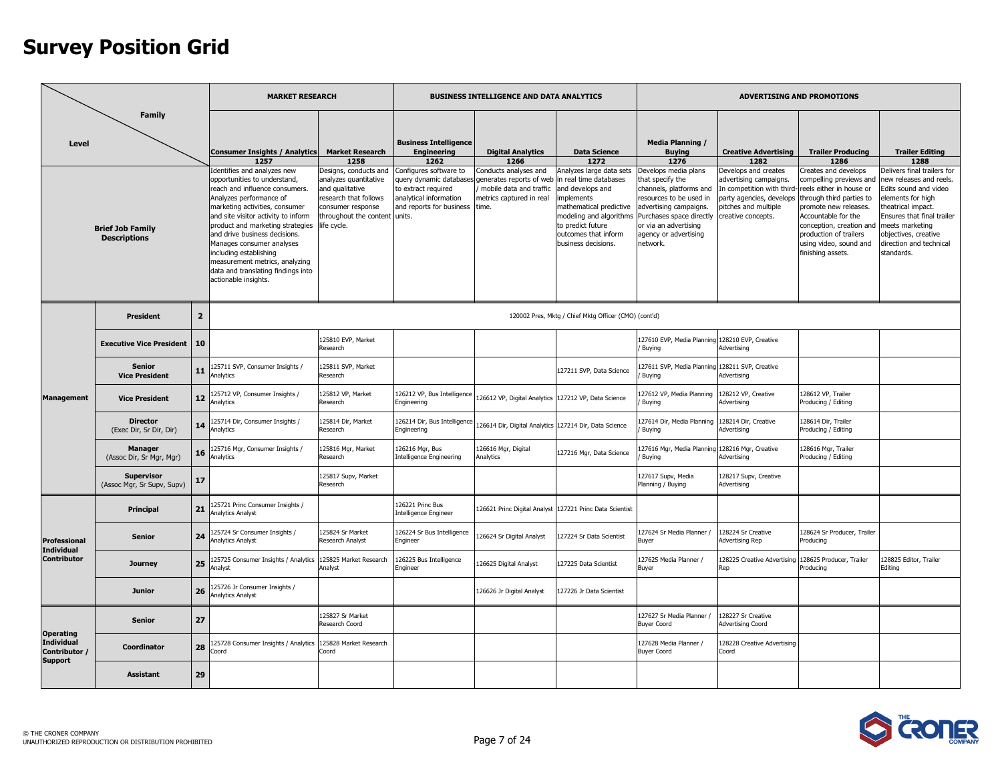|                                                      |                                                                 |                | <b>MARKET RESEARCH</b>                                                                                                                                                                                                                                                                                                                                                                                                                                                        |                                                                                                                                                                                                   |                                                                                                                                                                                              | BUSINESS INTELLIGENCE AND DATA ANALYTICS                                                                                                                                     |                                                                                                                                                                                                                            |                                                                                                                                                                                                                                                                        |                                                                                                                                                                                               | ADVERTISING AND PROMOTIONS                                                                                                                                                                                                                                                                       |                                                                                                                                                                                                                                                                               |
|------------------------------------------------------|-----------------------------------------------------------------|----------------|-------------------------------------------------------------------------------------------------------------------------------------------------------------------------------------------------------------------------------------------------------------------------------------------------------------------------------------------------------------------------------------------------------------------------------------------------------------------------------|---------------------------------------------------------------------------------------------------------------------------------------------------------------------------------------------------|----------------------------------------------------------------------------------------------------------------------------------------------------------------------------------------------|------------------------------------------------------------------------------------------------------------------------------------------------------------------------------|----------------------------------------------------------------------------------------------------------------------------------------------------------------------------------------------------------------------------|------------------------------------------------------------------------------------------------------------------------------------------------------------------------------------------------------------------------------------------------------------------------|-----------------------------------------------------------------------------------------------------------------------------------------------------------------------------------------------|--------------------------------------------------------------------------------------------------------------------------------------------------------------------------------------------------------------------------------------------------------------------------------------------------|-------------------------------------------------------------------------------------------------------------------------------------------------------------------------------------------------------------------------------------------------------------------------------|
| Level                                                | <b>Family</b><br><b>Brief Job Family</b><br><b>Descriptions</b> |                | <b>Consumer Insights / Analytics</b><br>1257<br>Identifies and analyzes new<br>opportunities to understand,<br>reach and influence consumers.<br>Analyzes performance of<br>marketing activities, consumer<br>and site visitor activity to inform<br>product and marketing strategies<br>and drive business decisions.<br>Manages consumer analyses<br>including establishing<br>measurement metrics, analyzing<br>data and translating findings into<br>actionable insights. | <b>Market Research</b><br>1258<br>Designs, conducts and<br>analyzes quantitative<br>and qualitative<br>research that follows<br>consumer response<br>throughout the content units.<br>life cycle. | <b>Business Intelligence</b><br><b>Engineering</b><br>1262<br>Configures software to<br>query dynamic databases<br>to extract required<br>analytical information<br>and reports for business | <b>Digital Analytics</b><br>1266<br>Conducts analyses and<br>generates reports of web in real time databases<br>mobile data and traffic<br>metrics captured in real<br>time. | <b>Data Science</b><br>1272<br>Analyzes large data sets<br>and develops and<br><i>implements</i><br>mathematical predictive<br>modeling and algorithms<br>to predict future<br>outcomes that inform<br>business decisions. | <b>Media Planning /</b><br><b>Buying</b><br>1276<br>Develops media plans<br>that specify the<br>channels, platforms and<br>resources to be used in<br>advertising campaigns.<br>Purchases space directly<br>or via an advertising<br>agency or advertising<br>network. | <b>Creative Advertising</b><br>1282<br>Develops and creates<br>advertising campaigns.<br>In competition with third-<br>party agencies, develops<br>pitches and multiple<br>creative concepts. | <b>Trailer Producing</b><br>1286<br>Creates and develops<br>compelling previews and<br>reels either in house or<br>through third parties to<br>promote new releases.<br>Accountable for the<br>conception, creation and<br>production of trailers<br>using video, sound and<br>finishing assets. | <b>Trailer Editing</b><br>1288<br>Delivers final trailers for<br>new releases and reels.<br>Edits sound and video<br>elements for high<br>heatrical impact.<br>Ensures that final trailer<br>neets marketing<br>objectives, creative<br>direction and technical<br>standards. |
|                                                      | <b>President</b>                                                | $\overline{2}$ |                                                                                                                                                                                                                                                                                                                                                                                                                                                                               |                                                                                                                                                                                                   |                                                                                                                                                                                              |                                                                                                                                                                              | 120002 Pres, Mktg / Chief Mktg Officer (CMO) (cont'd)                                                                                                                                                                      |                                                                                                                                                                                                                                                                        |                                                                                                                                                                                               |                                                                                                                                                                                                                                                                                                  |                                                                                                                                                                                                                                                                               |
|                                                      | <b>Executive Vice President</b>                                 | 10             |                                                                                                                                                                                                                                                                                                                                                                                                                                                                               | 125810 EVP, Market<br>Research                                                                                                                                                                    |                                                                                                                                                                                              |                                                                                                                                                                              |                                                                                                                                                                                                                            | 127610 EVP, Media Planning<br>Buying                                                                                                                                                                                                                                   | 128210 EVP, Creative<br>Advertising                                                                                                                                                           |                                                                                                                                                                                                                                                                                                  |                                                                                                                                                                                                                                                                               |
|                                                      | <b>Senior</b><br><b>Vice President</b>                          | 11             | 125711 SVP, Consumer Insights /<br>Analytics                                                                                                                                                                                                                                                                                                                                                                                                                                  | 125811 SVP, Market<br>Research                                                                                                                                                                    |                                                                                                                                                                                              |                                                                                                                                                                              | 27211 SVP, Data Science                                                                                                                                                                                                    | 127611 SVP, Media Planning<br>Buying                                                                                                                                                                                                                                   | 128211 SVP, Creative<br>Advertising                                                                                                                                                           |                                                                                                                                                                                                                                                                                                  |                                                                                                                                                                                                                                                                               |
| <b>Management</b>                                    | <b>Vice President</b>                                           | 12             | 25712 VP, Consumer Insights /<br>Analytics                                                                                                                                                                                                                                                                                                                                                                                                                                    | 125812 VP, Market<br>Research                                                                                                                                                                     | 126212 VP, Bus Intelligence<br>Engineering                                                                                                                                                   | 126612 VP, Digital Analytics                                                                                                                                                 | 127212 VP, Data Science                                                                                                                                                                                                    | 127612 VP, Media Planning<br>Buying                                                                                                                                                                                                                                    | 128212 VP, Creative<br>Advertising                                                                                                                                                            | 128612 VP, Trailer<br>Producing / Editing                                                                                                                                                                                                                                                        |                                                                                                                                                                                                                                                                               |
|                                                      | <b>Director</b><br>(Exec Dir, Sr Dir, Dir)                      | 14             | 25714 Dir, Consumer Insights /<br><b>Inalytics</b>                                                                                                                                                                                                                                                                                                                                                                                                                            | 125814 Dir, Market<br>Research                                                                                                                                                                    | 126214 Dir, Bus Intelligence<br>Engineering                                                                                                                                                  | 126614 Dir, Digital Analytics                                                                                                                                                | 127214 Dir, Data Science                                                                                                                                                                                                   | 127614 Dir, Media Planning<br>Buying                                                                                                                                                                                                                                   | 128214 Dir, Creative<br>Advertising                                                                                                                                                           | 128614 Dir, Trailer<br>Producing / Editing                                                                                                                                                                                                                                                       |                                                                                                                                                                                                                                                                               |
|                                                      | <b>Manager</b><br>(Assoc Dir, Sr Mgr, Mgr)                      | 16             | 25716 Mgr, Consumer Insights /<br>Analytics                                                                                                                                                                                                                                                                                                                                                                                                                                   | 125816 Mgr, Market<br>Research                                                                                                                                                                    | 126216 Mgr, Bus<br><b>Intelligence Engineering</b>                                                                                                                                           | 126616 Mgr, Digital<br>Analytics                                                                                                                                             | 27216 Mgr, Data Science                                                                                                                                                                                                    | 127616 Mgr, Media Planning<br>Buvina                                                                                                                                                                                                                                   | 128216 Mgr, Creative<br>Advertising                                                                                                                                                           | 128616 Mgr, Trailer<br>Producing / Editing                                                                                                                                                                                                                                                       |                                                                                                                                                                                                                                                                               |
|                                                      | <b>Supervisor</b><br>(Assoc Mgr, Sr Supv, Supv)                 | 17             |                                                                                                                                                                                                                                                                                                                                                                                                                                                                               | 125817 Supv, Market<br>Research                                                                                                                                                                   |                                                                                                                                                                                              |                                                                                                                                                                              |                                                                                                                                                                                                                            | 127617 Supv, Media<br>Planning / Buying                                                                                                                                                                                                                                | 28217 Supv, Creative<br>Advertising                                                                                                                                                           |                                                                                                                                                                                                                                                                                                  |                                                                                                                                                                                                                                                                               |
|                                                      | Principal                                                       | 21             | 25721 Princ Consumer Insights /<br>Analytics Analyst                                                                                                                                                                                                                                                                                                                                                                                                                          |                                                                                                                                                                                                   | 126221 Princ Bus<br>Intelligence Engineer                                                                                                                                                    | 126621 Princ Digital Analyst                                                                                                                                                 | 127221 Princ Data Scientist                                                                                                                                                                                                |                                                                                                                                                                                                                                                                        |                                                                                                                                                                                               |                                                                                                                                                                                                                                                                                                  |                                                                                                                                                                                                                                                                               |
| <b>Professional</b><br><b>Individual</b>             | Senior                                                          | 24             | 25724 Sr Consumer Insights /<br>nalytics Analyst                                                                                                                                                                                                                                                                                                                                                                                                                              | 125824 Sr Market<br>Research Analyst                                                                                                                                                              | 126224 Sr Bus Intelligence<br>Engineer                                                                                                                                                       | 126624 Sr Digital Analyst                                                                                                                                                    | 27224 Sr Data Scientist                                                                                                                                                                                                    | 127624 Sr Media Planner /<br>Buyer                                                                                                                                                                                                                                     | 128224 Sr Creative<br><b>Advertising Rep</b>                                                                                                                                                  | 128624 Sr Producer, Trailer<br>Producing                                                                                                                                                                                                                                                         |                                                                                                                                                                                                                                                                               |
| <b>Contributor</b>                                   | Journey                                                         | 25             | 125725 Consumer Insights / Analytics<br>Analyst                                                                                                                                                                                                                                                                                                                                                                                                                               | 125825 Market Research<br>Analyst                                                                                                                                                                 | 26225 Bus Intelligence<br>Engineer                                                                                                                                                           | 126625 Digital Analyst                                                                                                                                                       | 27225 Data Scientist                                                                                                                                                                                                       | 127625 Media Planner /<br>Buyer                                                                                                                                                                                                                                        | 28225 Creative Advertising<br>Rep                                                                                                                                                             | 128625 Producer, Trailer<br>Producing                                                                                                                                                                                                                                                            | 28825 Editor, Trailer<br>Editing                                                                                                                                                                                                                                              |
|                                                      | <b>Junior</b>                                                   | 26             | 125726 Jr Consumer Insights /<br>nalytics Analyst                                                                                                                                                                                                                                                                                                                                                                                                                             |                                                                                                                                                                                                   |                                                                                                                                                                                              | 26626 Jr Digital Analyst                                                                                                                                                     | 27226 Jr Data Scientist                                                                                                                                                                                                    |                                                                                                                                                                                                                                                                        |                                                                                                                                                                                               |                                                                                                                                                                                                                                                                                                  |                                                                                                                                                                                                                                                                               |
| <b>Operating</b>                                     | <b>Senior</b>                                                   | 27             |                                                                                                                                                                                                                                                                                                                                                                                                                                                                               | 125827 Sr Market<br>Research Coord                                                                                                                                                                |                                                                                                                                                                                              |                                                                                                                                                                              |                                                                                                                                                                                                                            | 127627 Sr Media Planner /<br><b>Buyer Coord</b>                                                                                                                                                                                                                        | 28227 Sr Creative<br><b>Advertising Coord</b>                                                                                                                                                 |                                                                                                                                                                                                                                                                                                  |                                                                                                                                                                                                                                                                               |
| <b>Individual</b><br>Contributor /<br><b>Support</b> | Coordinator                                                     | 28             | 25728 Consumer Insights / Analytics<br>Coord                                                                                                                                                                                                                                                                                                                                                                                                                                  | 125828 Market Research<br>Coord                                                                                                                                                                   |                                                                                                                                                                                              |                                                                                                                                                                              |                                                                                                                                                                                                                            | 127628 Media Planner /<br><b>Buyer Coord</b>                                                                                                                                                                                                                           | 28228 Creative Advertising<br>oord.                                                                                                                                                           |                                                                                                                                                                                                                                                                                                  |                                                                                                                                                                                                                                                                               |
|                                                      | <b>Assistant</b>                                                | 29             |                                                                                                                                                                                                                                                                                                                                                                                                                                                                               |                                                                                                                                                                                                   |                                                                                                                                                                                              |                                                                                                                                                                              |                                                                                                                                                                                                                            |                                                                                                                                                                                                                                                                        |                                                                                                                                                                                               |                                                                                                                                                                                                                                                                                                  |                                                                                                                                                                                                                                                                               |

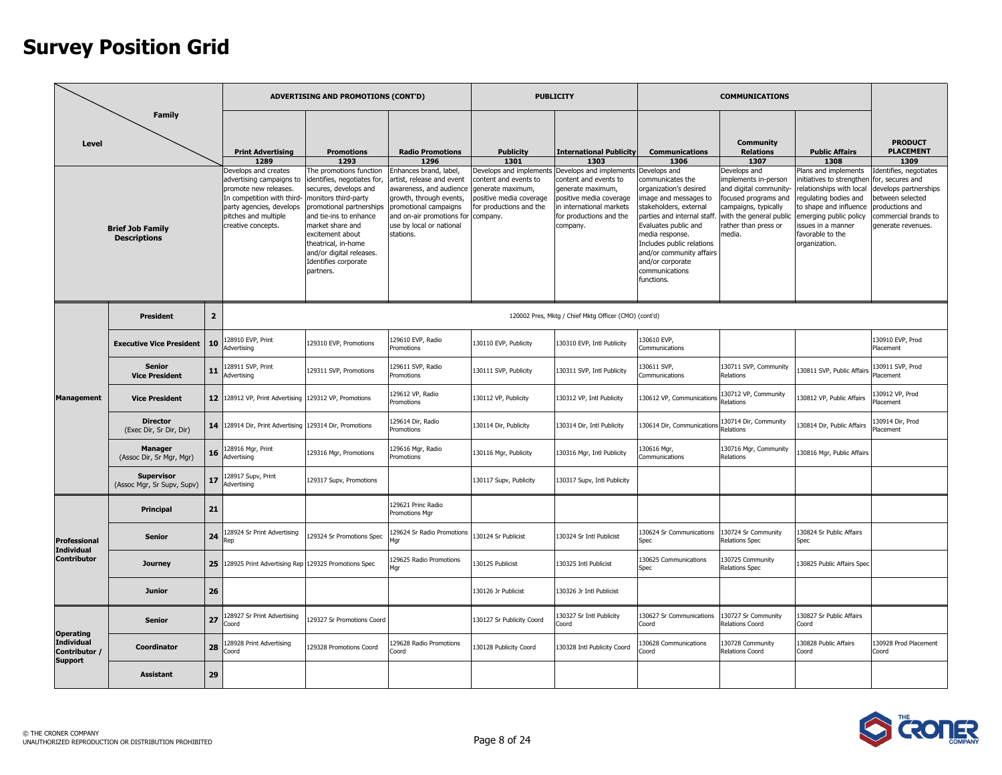|                                                      |                                                 |                 |                                                                                                                                             | ADVERTISING AND PROMOTIONS (CONT'D)                                                                                                                                                |                                                                                                                                              |                                                                                                                              | <b>PUBLICITY</b>                                                                                                                           |                                                                                                                                                                                                              | <b>COMMUNICATIONS</b>                                                                                                                  |                                                                                                                                        |                                                                                                                                       |
|------------------------------------------------------|-------------------------------------------------|-----------------|---------------------------------------------------------------------------------------------------------------------------------------------|------------------------------------------------------------------------------------------------------------------------------------------------------------------------------------|----------------------------------------------------------------------------------------------------------------------------------------------|------------------------------------------------------------------------------------------------------------------------------|--------------------------------------------------------------------------------------------------------------------------------------------|--------------------------------------------------------------------------------------------------------------------------------------------------------------------------------------------------------------|----------------------------------------------------------------------------------------------------------------------------------------|----------------------------------------------------------------------------------------------------------------------------------------|---------------------------------------------------------------------------------------------------------------------------------------|
| Level                                                | <b>Family</b>                                   |                 | <b>Print Advertising</b><br>1289<br>Develops and creates<br>advertising campaigns to<br>promote new releases.<br>In competition with third- | <b>Promotions</b><br>1293<br>The promotions function<br>identifies, negotiates for,<br>secures, develops and<br>monitors third-party                                               | <b>Radio Promotions</b><br>1296<br>Enhances brand, label,<br>artist, release and event<br>awareness, and audience<br>growth, through events, | <b>Publicity</b><br>1301<br>Develops and implements<br>content and events to<br>generate maximum,<br>positive media coverage | <b>International Publicity</b><br>1303<br>Develops and implements<br>content and events to<br>generate maximum,<br>positive media coverage | <b>Communications</b><br>1306<br>Develops and<br>communicates the<br>organization's desired<br>mage and messages to                                                                                          | <b>Community</b><br><b>Relations</b><br>1307<br>Develops and<br>implements in-person<br>and digital community-<br>focused programs and | <b>Public Affairs</b><br>1308<br>Plans and implements<br>nitiatives to strengthen<br>relationships with local<br>regulating bodies and | <b>PRODUCT</b><br><b>PLACEMENT</b><br>1309<br>Identifies, negotiates<br>for, secures and<br>develops partnerships<br>between selected |
|                                                      | <b>Brief Job Family</b><br><b>Descriptions</b>  |                 | party agencies, develops<br>pitches and multiple<br>creative concepts.                                                                      | promotional partnerships<br>and tie-ins to enhance<br>market share and<br>excitement about<br>theatrical, in-home<br>and/or digital releases.<br>Identifies corporate<br>partners. | promotional campaigns<br>and on-air promotions for<br>use by local or national<br>stations.                                                  | or productions and the<br>company.                                                                                           | in international markets<br>for productions and the<br>company.                                                                            | stakeholders, external<br>parties and internal staff<br>Evaluates public and<br>media response.<br>Includes public relations<br>and/or community affairs<br>and/or corporate<br>communications<br>functions. | campaigns, typically<br>with the general public<br>rather than press or<br>media.                                                      | to shape and influence<br>emerging public policy<br>issues in a manner<br>favorable to the<br>organization.                            | productions and<br>commercial brands to<br>generate revenues.                                                                         |
|                                                      | <b>President</b>                                | $\overline{2}$  |                                                                                                                                             |                                                                                                                                                                                    |                                                                                                                                              |                                                                                                                              | 120002 Pres, Mktg / Chief Mktg Officer (CMO) (cont'd)                                                                                      |                                                                                                                                                                                                              |                                                                                                                                        |                                                                                                                                        |                                                                                                                                       |
|                                                      | <b>Executive Vice President</b>                 | 10              | 28910 EVP, Print<br>Advertising                                                                                                             | 129310 EVP, Promotions                                                                                                                                                             | 29610 EVP, Radio<br>Promotions                                                                                                               | 130110 EVP, Publicity                                                                                                        | 130310 EVP, Intl Publicity                                                                                                                 | 30610 EVP,<br><b>Communications</b>                                                                                                                                                                          |                                                                                                                                        |                                                                                                                                        | 130910 EVP, Prod<br>Placement                                                                                                         |
|                                                      | <b>Senior</b><br><b>Vice President</b>          | 11              | 28911 SVP, Print<br>Advertising                                                                                                             | 129311 SVP, Promotions                                                                                                                                                             | 29611 SVP, Radio<br>romotions                                                                                                                | 130111 SVP, Publicity                                                                                                        | 130311 SVP, Intl Publicity                                                                                                                 | 130611 SVP,<br>Communications                                                                                                                                                                                | 130711 SVP, Community<br>Relations                                                                                                     | 130811 SVP, Public Affairs                                                                                                             | 130911 SVP, Prod<br>Placement                                                                                                         |
| <b>Management</b>                                    | <b>Vice President</b>                           |                 | 12 128912 VP, Print Advertising                                                                                                             | 129312 VP, Promotions                                                                                                                                                              | 29612 VP, Radio<br>Promotions                                                                                                                | 130112 VP, Publicity                                                                                                         | 130312 VP, Intl Publicity                                                                                                                  | 130612 VP, Communications                                                                                                                                                                                    | 130712 VP, Community<br>Relations                                                                                                      | 130812 VP, Public Affairs                                                                                                              | 130912 VP, Prod<br>Placement                                                                                                          |
|                                                      | <b>Director</b><br>(Exec Dir, Sr Dir, Dir)      |                 | 14 128914 Dir, Print Advertising 129314 Dir, Promotions                                                                                     |                                                                                                                                                                                    | 29614 Dir, Radio<br>Promotions                                                                                                               | 130114 Dir, Publicity                                                                                                        | 130314 Dir, Intl Publicity                                                                                                                 | 130614 Dir, Communication                                                                                                                                                                                    | 130714 Dir, Community<br>Relations                                                                                                     | 130814 Dir, Public Affairs                                                                                                             | 130914 Dir, Prod<br>Placement                                                                                                         |
|                                                      | <b>Manager</b><br>(Assoc Dir, Sr Mgr, Mgr)      | 16              | 28916 Mgr, Print<br>Advertising                                                                                                             | 129316 Mgr, Promotions                                                                                                                                                             | 29616 Mgr, Radio<br>Promotions                                                                                                               | 130116 Mgr, Publicity                                                                                                        | 130316 Mgr, Intl Publicity                                                                                                                 | 130616 Mgr,<br><b>Communications</b>                                                                                                                                                                         | 130716 Mgr, Community<br>Relations                                                                                                     | 130816 Mgr, Public Affairs                                                                                                             |                                                                                                                                       |
|                                                      | <b>Supervisor</b><br>(Assoc Mgr, Sr Supv, Supv) | 17              | 128917 Supv, Print<br>Advertising                                                                                                           | 129317 Supv, Promotions                                                                                                                                                            |                                                                                                                                              | 130117 Supv, Publicity                                                                                                       | 130317 Supv, Intl Publicity                                                                                                                |                                                                                                                                                                                                              |                                                                                                                                        |                                                                                                                                        |                                                                                                                                       |
|                                                      | Principal                                       | 21              |                                                                                                                                             |                                                                                                                                                                                    | 129621 Princ Radio<br>romotions Mgr                                                                                                          |                                                                                                                              |                                                                                                                                            |                                                                                                                                                                                                              |                                                                                                                                        |                                                                                                                                        |                                                                                                                                       |
| Professional<br><b>Individual</b>                    | <b>Senior</b>                                   | 24              | 28924 Sr Print Advertising<br>'en                                                                                                           | 29324 Sr Promotions Spec                                                                                                                                                           | 129624 Sr Radio Promotions<br>1gr                                                                                                            | 130124 Sr Publicist                                                                                                          | 130324 Sr Intl Publicist                                                                                                                   | 130624 Sr Communications<br>Spec                                                                                                                                                                             | 130724 Sr Community<br><b>Relations Spec</b>                                                                                           | 130824 Sr Public Affairs<br>Spec                                                                                                       |                                                                                                                                       |
| Contributor                                          | <b>Journey</b>                                  | 25 <sub>1</sub> | 128925 Print Advertising Rep 129325 Promotions Spec                                                                                         |                                                                                                                                                                                    | 129625 Radio Promotions<br>Mar                                                                                                               | 130125 Publicist                                                                                                             | 130325 Intl Publicist                                                                                                                      | 130625 Communications<br>Spec                                                                                                                                                                                | 130725 Community<br><b>Relations Spec</b>                                                                                              | 130825 Public Affairs Spec                                                                                                             |                                                                                                                                       |
|                                                      | <b>Junior</b>                                   | 26              |                                                                                                                                             |                                                                                                                                                                                    |                                                                                                                                              | 130126 Jr Publicist                                                                                                          | 130326 Jr Intl Publicist                                                                                                                   |                                                                                                                                                                                                              |                                                                                                                                        |                                                                                                                                        |                                                                                                                                       |
| <b>Operating</b>                                     | <b>Senior</b>                                   | 27              | 28927 Sr Print Advertising<br>oord                                                                                                          | 129327 Sr Promotions Coord                                                                                                                                                         |                                                                                                                                              | 130127 Sr Publicity Coord                                                                                                    | 30327 Sr Intl Publicity<br>Coord                                                                                                           | 130627 Sr Communications<br>Coord                                                                                                                                                                            | 130727 Sr Community<br><b>Relations Coord</b>                                                                                          | 130827 Sr Public Affairs<br>Coord                                                                                                      |                                                                                                                                       |
| <b>Individual</b><br>Contributor /<br><b>Support</b> | Coordinator                                     | 28              | 28928 Print Advertising<br>bion <sup>2</sup>                                                                                                | 129328 Promotions Coord                                                                                                                                                            | 29628 Radio Promotions<br>Coord                                                                                                              | 130128 Publicity Coord                                                                                                       | 130328 Intl Publicity Coord                                                                                                                | 30628 Communications<br>bion'.                                                                                                                                                                               | 130728 Community<br><b>Relations Coord</b>                                                                                             | 130828 Public Affairs<br>Coord                                                                                                         | 130928 Prod Placement<br>Coord                                                                                                        |
|                                                      | <b>Assistant</b>                                | 29              |                                                                                                                                             |                                                                                                                                                                                    |                                                                                                                                              |                                                                                                                              |                                                                                                                                            |                                                                                                                                                                                                              |                                                                                                                                        |                                                                                                                                        |                                                                                                                                       |

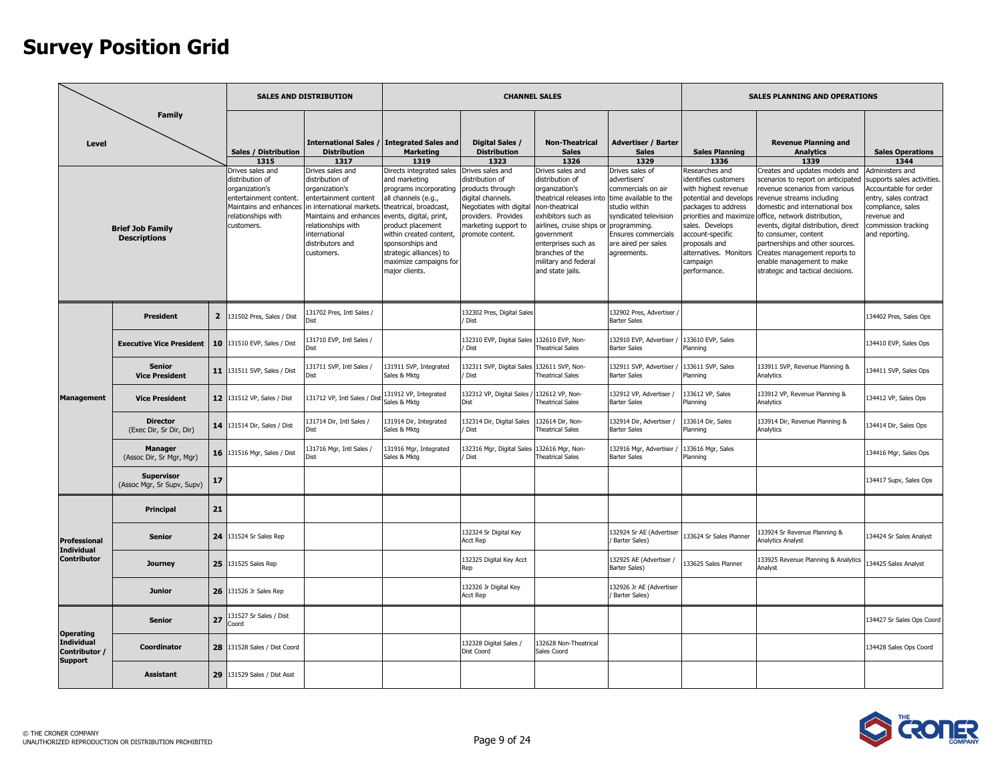|                                                      |                                                                 |                |                                                                                                                                                                               | <b>SALES AND DISTRIBUTION</b>                                                                                                                                                                                                                 |                                                                                                                                                                                                                                                                                                                                                                      | <b>CHANNEL SALES</b>                                                                                                                                                                                                                |                                                                                                                                                                                                                                                                                                             |                                                                                                                                                                                                                                                             |                                                                                                                                                                                                                                                               | <b>SALES PLANNING AND OPERATIONS</b>                                                                                                                                                                                                                                                                                                                                                                                                                                                            |                                                                                                                                                                                                                 |
|------------------------------------------------------|-----------------------------------------------------------------|----------------|-------------------------------------------------------------------------------------------------------------------------------------------------------------------------------|-----------------------------------------------------------------------------------------------------------------------------------------------------------------------------------------------------------------------------------------------|----------------------------------------------------------------------------------------------------------------------------------------------------------------------------------------------------------------------------------------------------------------------------------------------------------------------------------------------------------------------|-------------------------------------------------------------------------------------------------------------------------------------------------------------------------------------------------------------------------------------|-------------------------------------------------------------------------------------------------------------------------------------------------------------------------------------------------------------------------------------------------------------------------------------------------------------|-------------------------------------------------------------------------------------------------------------------------------------------------------------------------------------------------------------------------------------------------------------|---------------------------------------------------------------------------------------------------------------------------------------------------------------------------------------------------------------------------------------------------------------|-------------------------------------------------------------------------------------------------------------------------------------------------------------------------------------------------------------------------------------------------------------------------------------------------------------------------------------------------------------------------------------------------------------------------------------------------------------------------------------------------|-----------------------------------------------------------------------------------------------------------------------------------------------------------------------------------------------------------------|
| Level                                                | <b>Family</b><br><b>Brief Job Family</b><br><b>Descriptions</b> |                | Sales / Distribution<br>1315<br>Drives sales and<br>distribution of<br>organization's<br>entertainment content.<br>Maintains and enhances<br>relationships with<br>customers. | <b>Distribution</b><br>1317<br>Drives sales and<br>distribution of<br>organization's<br>entertainment content<br>in international markets.<br>Maintains and enhances<br>relationships with<br>international<br>distributors and<br>customers. | International Sales / Integrated Sales and<br><b>Marketing</b><br>1319<br>Directs integrated sales<br>and marketing<br>programs incorporating<br>all channels (e.g.,<br>theatrical, broadcast,<br>events, digital, print,<br>product placement<br>within created content,<br>sponsorships and<br>strategic alliances) to<br>maximize campaigns for<br>major clients. | Digital Sales /<br><b>Distribution</b><br>1323<br>Drives sales and<br>distribution of<br>products through<br>digital channels.<br><b>Negotiates with digital</b><br>providers. Provides<br>marketing support to<br>promote content. | <b>Non-Theatrical</b><br><b>Sales</b><br>1326<br>Drives sales and<br>distribution of<br>organization's<br>theatrical releases into<br>non-theatrical<br>exhibitors such as<br>airlines, cruise ships or<br>qovernment<br>enterprises such as<br>branches of the<br>military and federal<br>and state jails. | <b>Advertiser / Barter</b><br><b>Sales</b><br>1329<br>Drives sales of<br>advertisers'<br>commercials on air<br>time available to the<br>studio within<br>syndicated television<br>programming.<br>Ensures commercials<br>are aired per sales<br>agreements. | <b>Sales Planning</b><br>1336<br>Researches and<br>dentifies customers<br>with highest revenue<br>potential and develops<br>packages to address<br>sales. Develops<br>account-specific<br>proposals and<br>alternatives. Monitors<br>campaign<br>performance. | <b>Revenue Planning and</b><br><b>Analytics</b><br>1339<br>Creates and updates models and<br>scenarios to report on anticipated<br>revenue scenarios from various<br>revenue streams including<br>domestic and international box<br>priorities and maximize office, network distribution,<br>events, digital distribution, direct<br>to consumer, content<br>partnerships and other sources.<br>Creates management reports to<br>enable management to make<br>strategic and tactical decisions. | <b>Sales Operations</b><br>1344<br>Administers and<br>supports sales activities.<br>Accountable for order<br>entry, sales contract<br>compliance, sales<br>revenue and<br>commission tracking<br>and reporting. |
|                                                      | <b>President</b>                                                | $\overline{2}$ | 131502 Pres, Sales / Dist                                                                                                                                                     | 31702 Pres, Intl Sales /                                                                                                                                                                                                                      |                                                                                                                                                                                                                                                                                                                                                                      | 132302 Pres, Digital Sales<br>Dist                                                                                                                                                                                                  |                                                                                                                                                                                                                                                                                                             | 132902 Pres, Advertiser<br><b>Barter Sales</b>                                                                                                                                                                                                              |                                                                                                                                                                                                                                                               |                                                                                                                                                                                                                                                                                                                                                                                                                                                                                                 | 134402 Pres, Sales Ops                                                                                                                                                                                          |
|                                                      | <b>Executive Vice President</b>                                 | 10             | 131510 EVP, Sales / Dist                                                                                                                                                      | 131710 EVP, Intl Sales /                                                                                                                                                                                                                      |                                                                                                                                                                                                                                                                                                                                                                      | 132310 EVP, Digital Sales<br>Dist                                                                                                                                                                                                   | 132610 EVP, Non-<br><b>Theatrical Sales</b>                                                                                                                                                                                                                                                                 | 132910 EVP, Advertiser<br><b>Barter Sales</b>                                                                                                                                                                                                               | 133610 EVP, Sales<br>Planning                                                                                                                                                                                                                                 |                                                                                                                                                                                                                                                                                                                                                                                                                                                                                                 | 134410 EVP, Sales Ops                                                                                                                                                                                           |
|                                                      | <b>Senior</b><br><b>Vice President</b>                          |                | 11 131511 SVP, Sales / Dist                                                                                                                                                   | 131711 SVP, Intl Sales /<br>Dist                                                                                                                                                                                                              | 131911 SVP, Integrated<br>Sales & Mktg                                                                                                                                                                                                                                                                                                                               | 32311 SVP, Digital Sales<br>Dist                                                                                                                                                                                                    | 132611 SVP, Non-<br><b>Theatrical Sales</b>                                                                                                                                                                                                                                                                 | 132911 SVP, Advertiser<br><b>Barter Sales</b>                                                                                                                                                                                                               | 133611 SVP, Sales<br>Planning                                                                                                                                                                                                                                 | 133911 SVP, Revenue Planning &<br>Analytics                                                                                                                                                                                                                                                                                                                                                                                                                                                     | 134411 SVP, Sales Ops                                                                                                                                                                                           |
| <b>Management</b>                                    | <b>Vice President</b>                                           |                | 12 131512 VP, Sales / Dist                                                                                                                                                    | 131712 VP, Intl Sales / Dis                                                                                                                                                                                                                   | 131912 VP, Integrated<br>Sales & Mktg                                                                                                                                                                                                                                                                                                                                | 132312 VP, Digital Sales /<br>Dist                                                                                                                                                                                                  | 132612 VP, Non-<br><b>Theatrical Sales</b>                                                                                                                                                                                                                                                                  | 132912 VP, Advertiser /<br><b>Barter Sales</b>                                                                                                                                                                                                              | 133612 VP, Sales<br>Planning                                                                                                                                                                                                                                  | 133912 VP, Revenue Planning &<br>Analytics                                                                                                                                                                                                                                                                                                                                                                                                                                                      | 134412 VP, Sales Ops                                                                                                                                                                                            |
|                                                      | <b>Director</b><br>(Exec Dir, Sr Dir, Dir)                      | 14             | 131514 Dir, Sales / Dist                                                                                                                                                      | 131714 Dir. Intl Sales /<br>Dist                                                                                                                                                                                                              | 131914 Dir, Integrated<br>Sales & Mktg                                                                                                                                                                                                                                                                                                                               | 32314 Dir, Digital Sales<br><b>Dist</b>                                                                                                                                                                                             | 132614 Dir. Non-<br>Theatrical Sales                                                                                                                                                                                                                                                                        | 132914 Dir. Advertiser /<br><b>Barter Sales</b>                                                                                                                                                                                                             | 133614 Dir, Sales<br>Planning                                                                                                                                                                                                                                 | 133914 Dir, Revenue Planning &<br>Analytics                                                                                                                                                                                                                                                                                                                                                                                                                                                     | 134414 Dir, Sales Ops                                                                                                                                                                                           |
|                                                      | <b>Manager</b><br>(Assoc Dir, Sr Mgr, Mgr)                      | 16             | 131516 Mgr, Sales / Dist                                                                                                                                                      | 131716 Mgr, Intl Sales /<br><b>Dict</b>                                                                                                                                                                                                       | 131916 Mgr, Integrated<br>Sales & Mktg                                                                                                                                                                                                                                                                                                                               | 32316 Mgr, Digital Sales<br>Dist                                                                                                                                                                                                    | 132616 Mgr, Non-<br><b>Theatrical Sales</b>                                                                                                                                                                                                                                                                 | 132916 Mgr, Advertiser<br><b>Barter Sales</b>                                                                                                                                                                                                               | 133616 Mgr, Sales<br>Planning                                                                                                                                                                                                                                 |                                                                                                                                                                                                                                                                                                                                                                                                                                                                                                 | 134416 Mgr, Sales Ops                                                                                                                                                                                           |
|                                                      | <b>Supervisor</b><br>(Assoc Mgr, Sr Supv, Supv)                 | 17             |                                                                                                                                                                               |                                                                                                                                                                                                                                               |                                                                                                                                                                                                                                                                                                                                                                      |                                                                                                                                                                                                                                     |                                                                                                                                                                                                                                                                                                             |                                                                                                                                                                                                                                                             |                                                                                                                                                                                                                                                               |                                                                                                                                                                                                                                                                                                                                                                                                                                                                                                 | 134417 Supv, Sales Ops                                                                                                                                                                                          |
|                                                      | Principal                                                       | 21             |                                                                                                                                                                               |                                                                                                                                                                                                                                               |                                                                                                                                                                                                                                                                                                                                                                      |                                                                                                                                                                                                                                     |                                                                                                                                                                                                                                                                                                             |                                                                                                                                                                                                                                                             |                                                                                                                                                                                                                                                               |                                                                                                                                                                                                                                                                                                                                                                                                                                                                                                 |                                                                                                                                                                                                                 |
| Professional<br><b>Individual</b>                    | <b>Senior</b>                                                   | 24             | 131524 Sr Sales Rep                                                                                                                                                           |                                                                                                                                                                                                                                               |                                                                                                                                                                                                                                                                                                                                                                      | 132324 Sr Digital Key<br><b>Acct Rep</b>                                                                                                                                                                                            |                                                                                                                                                                                                                                                                                                             | 132924 Sr AE (Advertiser<br>Barter Sales)                                                                                                                                                                                                                   | 33624 Sr Sales Planner                                                                                                                                                                                                                                        | 33924 Sr Revenue Planning &<br>nalytics Analyst                                                                                                                                                                                                                                                                                                                                                                                                                                                 | 134424 Sr Sales Analyst                                                                                                                                                                                         |
| <b>Contributor</b>                                   | <b>Journey</b>                                                  | 25             | 131525 Sales Rep                                                                                                                                                              |                                                                                                                                                                                                                                               |                                                                                                                                                                                                                                                                                                                                                                      | 132325 Digital Key Acct<br>Rep                                                                                                                                                                                                      |                                                                                                                                                                                                                                                                                                             | 132925 AE (Advertiser /<br><b>Barter Sales)</b>                                                                                                                                                                                                             | 33625 Sales Planner                                                                                                                                                                                                                                           | 33925 Revenue Planning & Analytics<br>Analyst                                                                                                                                                                                                                                                                                                                                                                                                                                                   | 34425 Sales Analyst                                                                                                                                                                                             |
|                                                      | <b>Junior</b>                                                   | 26             | 131526 Jr Sales Rep                                                                                                                                                           |                                                                                                                                                                                                                                               |                                                                                                                                                                                                                                                                                                                                                                      | 132326 Jr Digital Key<br><b>Acct Rep</b>                                                                                                                                                                                            |                                                                                                                                                                                                                                                                                                             | 132926 Jr AE (Advertiser<br>Barter Sales)                                                                                                                                                                                                                   |                                                                                                                                                                                                                                                               |                                                                                                                                                                                                                                                                                                                                                                                                                                                                                                 |                                                                                                                                                                                                                 |
| <b>Operating</b>                                     | <b>Senior</b>                                                   | 27             | 131527 Sr Sales / Dist<br>Coord                                                                                                                                               |                                                                                                                                                                                                                                               |                                                                                                                                                                                                                                                                                                                                                                      |                                                                                                                                                                                                                                     |                                                                                                                                                                                                                                                                                                             |                                                                                                                                                                                                                                                             |                                                                                                                                                                                                                                                               |                                                                                                                                                                                                                                                                                                                                                                                                                                                                                                 | 134427 Sr Sales Ops Coord                                                                                                                                                                                       |
| <b>Individual</b><br>Contributor /<br><b>Support</b> | Coordinator                                                     | 28             | 131528 Sales / Dist Coord                                                                                                                                                     |                                                                                                                                                                                                                                               |                                                                                                                                                                                                                                                                                                                                                                      | 132328 Digital Sales /<br>Dist Coord                                                                                                                                                                                                | 132628 Non-Theatrical<br>Sales Coord                                                                                                                                                                                                                                                                        |                                                                                                                                                                                                                                                             |                                                                                                                                                                                                                                                               |                                                                                                                                                                                                                                                                                                                                                                                                                                                                                                 | 134428 Sales Ops Coord                                                                                                                                                                                          |
|                                                      | <b>Assistant</b>                                                | 29             | 131529 Sales / Dist Asst                                                                                                                                                      |                                                                                                                                                                                                                                               |                                                                                                                                                                                                                                                                                                                                                                      |                                                                                                                                                                                                                                     |                                                                                                                                                                                                                                                                                                             |                                                                                                                                                                                                                                                             |                                                                                                                                                                                                                                                               |                                                                                                                                                                                                                                                                                                                                                                                                                                                                                                 |                                                                                                                                                                                                                 |

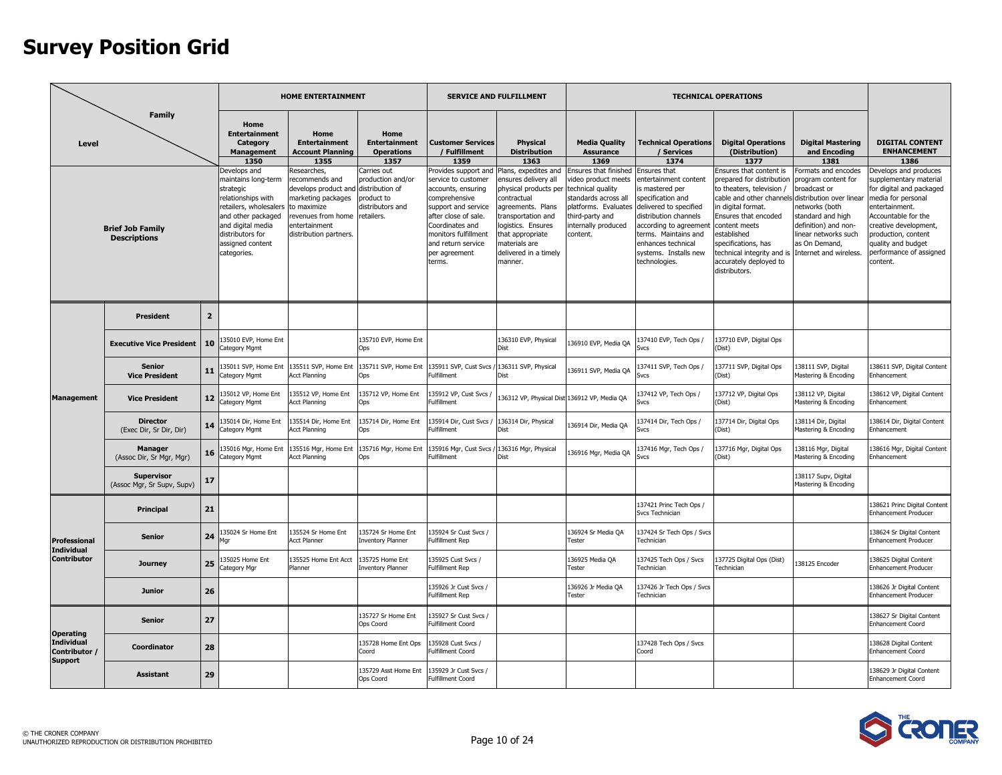|                                                      |                                                 |                |                                                                                                                                                                                                    | <b>HOME ENTERTAINMENT</b>                                                                                                                                                   |                                                                                  |                                                                                                                                                                                                                               | <b>SERVICE AND FULFILLMENT</b>                                                                                                                                                                                                                  |                                                                                                                                                    |                                                                                                                                                                                                                                                    | <b>TECHNICAL OPERATIONS</b>                                                                                                                                                                                                                                                                |                                                                                                                                                                                                                         |                                                                                                                                                                                                                                                         |
|------------------------------------------------------|-------------------------------------------------|----------------|----------------------------------------------------------------------------------------------------------------------------------------------------------------------------------------------------|-----------------------------------------------------------------------------------------------------------------------------------------------------------------------------|----------------------------------------------------------------------------------|-------------------------------------------------------------------------------------------------------------------------------------------------------------------------------------------------------------------------------|-------------------------------------------------------------------------------------------------------------------------------------------------------------------------------------------------------------------------------------------------|----------------------------------------------------------------------------------------------------------------------------------------------------|----------------------------------------------------------------------------------------------------------------------------------------------------------------------------------------------------------------------------------------------------|--------------------------------------------------------------------------------------------------------------------------------------------------------------------------------------------------------------------------------------------------------------------------------------------|-------------------------------------------------------------------------------------------------------------------------------------------------------------------------------------------------------------------------|---------------------------------------------------------------------------------------------------------------------------------------------------------------------------------------------------------------------------------------------------------|
| Level                                                | <b>Family</b>                                   |                | Home<br><b>Entertainment</b><br>Category<br><b>Management</b><br>1350                                                                                                                              | Home<br><b>Entertainment</b><br><b>Account Planning</b><br>1355                                                                                                             | Home<br><b>Entertainment</b><br><b>Operations</b><br>1357                        | <b>Customer Services</b><br>/ Fulfillment<br>1359                                                                                                                                                                             | <b>Physical</b><br><b>Distribution</b><br>1363                                                                                                                                                                                                  | <b>Media Quality</b><br><b>Assurance</b><br>1369                                                                                                   | <b>Technical Operations</b><br>/ Services<br>1374                                                                                                                                                                                                  | <b>Digital Operations</b><br>(Distribution)<br>1377                                                                                                                                                                                                                                        | <b>Digital Mastering</b><br>and Encoding<br>1381                                                                                                                                                                        | <b>DIGITAL CONTENT</b><br><b>ENHANCEMENT</b><br>1386                                                                                                                                                                                                    |
|                                                      | <b>Brief Job Family</b><br><b>Descriptions</b>  |                | Develops and<br>maintains long-term<br>strategic<br>relationships with<br>retailers, wholesalers<br>and other packaged<br>and digital media<br>distributors for<br>assigned content<br>categories. | Researches,<br>recommends and<br>develops product and distribution of<br>marketing packages<br>to maximize<br>revenues from home<br>entertainment<br>distribution partners. | Carries out<br>production and/or<br>product to<br>distributors and<br>retailers. | Provides support and<br>service to customer<br>accounts, ensuring<br>comprehensive<br>support and service<br>after close of sale.<br>Coordinates and<br>monitors fulfillment<br>and return service<br>per agreement<br>terms. | Plans, expedites and<br>ensures delivery all<br>physical products per technical quality<br>contractual<br>agreements. Plans<br>ransportation and<br>logistics. Ensures<br>that appropriate<br>materials are<br>delivered in a timely<br>manner. | Ensures that finished<br>video product meets<br>standards across all<br>platforms. Evaluates<br>third-party and<br>internally produced<br>content. | Ensures that<br>entertainment content<br>is mastered per<br>specification and<br>delivered to specified<br>distribution channels<br>according to agreement<br>terms. Maintains and<br>enhances technical<br>systems. Installs new<br>technologies. | Ensures that content is<br>repared for distribution<br>to theaters, television /<br>cable and other channels<br>in digital format.<br>Ensures that encoded<br>content meets<br>established<br>specifications, has<br>technical integrity and is<br>accurately deployed to<br>distributors. | Formats and encodes<br>program content for<br>proadcast or<br>distribution over linear<br>าetworks (both<br>standard and high<br>definition) and non-<br>inear networks such<br>as On Demand,<br>Internet and wireless. | Develops and produces<br>supplementary material<br>for digital and packaged<br>media for personal<br>entertainment.<br>Accountable for the<br>creative development,<br>production, content<br>quality and budget<br>performance of assigned<br>content. |
|                                                      | <b>President</b>                                | $\overline{2}$ |                                                                                                                                                                                                    |                                                                                                                                                                             |                                                                                  |                                                                                                                                                                                                                               |                                                                                                                                                                                                                                                 |                                                                                                                                                    |                                                                                                                                                                                                                                                    |                                                                                                                                                                                                                                                                                            |                                                                                                                                                                                                                         |                                                                                                                                                                                                                                                         |
|                                                      | <b>Executive Vice President</b>                 | 10             | 35010 EVP, Home Ent<br>Category Mgmt                                                                                                                                                               |                                                                                                                                                                             | 135710 EVP, Home Ent<br>Ops                                                      |                                                                                                                                                                                                                               | 136310 EVP, Physical                                                                                                                                                                                                                            | 136910 EVP, Media QA                                                                                                                               | 137410 EVP, Tech Ops /<br>Svcs                                                                                                                                                                                                                     | 137710 EVP, Digital Ops<br>(Dist)                                                                                                                                                                                                                                                          |                                                                                                                                                                                                                         |                                                                                                                                                                                                                                                         |
|                                                      | <b>Senior</b><br><b>Vice President</b>          | 11             | 135011 SVP, Home Ent<br>Category Mgmt                                                                                                                                                              | 135511 SVP, Home Ent<br><b>Acct Planning</b>                                                                                                                                | 135711 SVP, Home Ent<br>Ops                                                      | 135911 SVP, Cust Svcs<br><b>Fulfillment</b>                                                                                                                                                                                   | 136311 SVP, Physical<br>Dist                                                                                                                                                                                                                    | 136911 SVP, Media QA                                                                                                                               | 137411 SVP, Tech Ops /<br>Svcs                                                                                                                                                                                                                     | 137711 SVP, Digital Ops<br>(Dist)                                                                                                                                                                                                                                                          | 138111 SVP, Digital<br>Mastering & Encoding                                                                                                                                                                             | 138611 SVP, Digital Content<br>Enhancement                                                                                                                                                                                                              |
| <b>Management</b>                                    | <b>Vice President</b>                           | 12             | 35012 VP, Home Ent<br>Category Mgmt                                                                                                                                                                | 35512 VP, Home Ent<br><b>Acct Planning</b>                                                                                                                                  | 135712 VP, Home Ent<br>Ops                                                       | 135912 VP, Cust Svcs<br>Fulfillment                                                                                                                                                                                           | 36312 VP, Physical Dist 136912 VP, Media QA                                                                                                                                                                                                     |                                                                                                                                                    | 137412 VP, Tech Ops /<br>Svcs                                                                                                                                                                                                                      | 37712 VP, Digital Ops<br>Dist)                                                                                                                                                                                                                                                             | 138112 VP, Digital<br>Mastering & Encoding                                                                                                                                                                              | 38612 VP, Digital Content<br>Enhancement                                                                                                                                                                                                                |
|                                                      | <b>Director</b><br>(Exec Dir, Sr Dir, Dir)      | 14             | 35014 Dir, Home Ent<br>Category Mgmt                                                                                                                                                               | 35514 Dir, Home Ent<br><b>Acct Planning</b>                                                                                                                                 | 135714 Dir, Home Ent<br>Ops                                                      | 135914 Dir, Cust Svcs /<br><b>Fulfillment</b>                                                                                                                                                                                 | 136314 Dir, Physical<br>Dist                                                                                                                                                                                                                    | 136914 Dir, Media QA                                                                                                                               | 137414 Dir, Tech Ops /<br>Sycs                                                                                                                                                                                                                     | 37714 Dir, Digital Ops<br>(Dist)                                                                                                                                                                                                                                                           | 138114 Dir, Digital<br>Mastering & Encoding                                                                                                                                                                             | 38614 Dir, Digital Content<br>Enhancement                                                                                                                                                                                                               |
|                                                      | <b>Manager</b><br>(Assoc Dir, Sr Mgr, Mgr)      | 16             | 35016 Mgr, Home Ent<br>Category Mgmt                                                                                                                                                               | 135516 Mgr, Home Ent<br><b>Acct Planning</b>                                                                                                                                | 135716 Mgr, Home Ent<br>Ons                                                      | 135916 Mgr, Cust Svcs<br><b>Fulfillment</b>                                                                                                                                                                                   | 136316 Mgr, Physical<br><b>T</b> ziC                                                                                                                                                                                                            | 136916 Mgr, Media QA                                                                                                                               | 137416 Mgr, Tech Ops /                                                                                                                                                                                                                             | 37716 Mgr, Digital Ops<br>(Dist)                                                                                                                                                                                                                                                           | 138116 Mgr, Digital<br>Mastering & Encoding                                                                                                                                                                             | 38616 Mgr, Digital Content<br>Enhancement                                                                                                                                                                                                               |
|                                                      | <b>Supervisor</b><br>(Assoc Mgr, Sr Supv, Supv) | 17             |                                                                                                                                                                                                    |                                                                                                                                                                             |                                                                                  |                                                                                                                                                                                                                               |                                                                                                                                                                                                                                                 |                                                                                                                                                    |                                                                                                                                                                                                                                                    |                                                                                                                                                                                                                                                                                            | 138117 Supv, Digital<br>Mastering & Encoding                                                                                                                                                                            |                                                                                                                                                                                                                                                         |
|                                                      | Principal                                       | 21             |                                                                                                                                                                                                    |                                                                                                                                                                             |                                                                                  |                                                                                                                                                                                                                               |                                                                                                                                                                                                                                                 |                                                                                                                                                    | 137421 Princ Tech Ops /<br>Svcs Technician                                                                                                                                                                                                         |                                                                                                                                                                                                                                                                                            |                                                                                                                                                                                                                         | 38621 Princ Digital Content<br><b>Enhancement Producer</b>                                                                                                                                                                                              |
| Professional<br><b>Individual</b>                    | <b>Senior</b>                                   | 24             | 35024 Sr Home Ent<br>1ar                                                                                                                                                                           | 35524 Sr Home Ent<br><b>Acct Planner</b>                                                                                                                                    | 135724 Sr Home Ent<br><b>Inventory Planner</b>                                   | 135924 Sr Cust Sycs /<br>Fulfillment Rep                                                                                                                                                                                      |                                                                                                                                                                                                                                                 | 136924 Sr Media OA<br>Tester                                                                                                                       | 137424 Sr Tech Ops / Svcs<br>Technician                                                                                                                                                                                                            |                                                                                                                                                                                                                                                                                            |                                                                                                                                                                                                                         | 38624 Sr Digital Content<br><b>Enhancement Producer</b>                                                                                                                                                                                                 |
| <b>Contributor</b>                                   | <b>Journey</b>                                  | 25             | 35025 Home Ent<br>Category Mgr                                                                                                                                                                     | 35525 Home Ent Acct<br>Planner                                                                                                                                              | 135725 Home Ent<br><b>Inventory Planner</b>                                      | 135925 Cust Svcs /<br>Fulfillment Rep                                                                                                                                                                                         |                                                                                                                                                                                                                                                 | 136925 Media QA<br>Tester                                                                                                                          | 137425 Tech Ops / Svcs<br>Technician                                                                                                                                                                                                               | 37725 Digital Ops (Dist)<br>Technician                                                                                                                                                                                                                                                     | 138125 Encoder                                                                                                                                                                                                          | 38625 Digital Content<br><b>Enhancement Producer</b>                                                                                                                                                                                                    |
|                                                      | <b>Junior</b>                                   | 26             |                                                                                                                                                                                                    |                                                                                                                                                                             |                                                                                  | 35926 Jr Cust Svcs /<br>Fulfillment Rep                                                                                                                                                                                       |                                                                                                                                                                                                                                                 | 136926 Jr Media QA<br>Tester                                                                                                                       | 137426 Jr Tech Ops / Svcs<br>Technician                                                                                                                                                                                                            |                                                                                                                                                                                                                                                                                            |                                                                                                                                                                                                                         | 38626 Jr Digital Content<br><b>Enhancement Producer</b>                                                                                                                                                                                                 |
| <b>Operating</b>                                     | <b>Senior</b>                                   | 27             |                                                                                                                                                                                                    |                                                                                                                                                                             | 35727 Sr Home Ent<br>Ops Coord                                                   | 135927 Sr Cust Svcs /<br>Fulfillment Coord                                                                                                                                                                                    |                                                                                                                                                                                                                                                 |                                                                                                                                                    |                                                                                                                                                                                                                                                    |                                                                                                                                                                                                                                                                                            |                                                                                                                                                                                                                         | 38627 Sr Digital Content<br><b>Enhancement Coord</b>                                                                                                                                                                                                    |
| <b>Individual</b><br>Contributor /<br><b>Support</b> | Coordinator                                     | 28             |                                                                                                                                                                                                    |                                                                                                                                                                             | 135728 Home Ent Ops<br>Coord                                                     | 135928 Cust Svcs /<br>Fulfillment Coord                                                                                                                                                                                       |                                                                                                                                                                                                                                                 |                                                                                                                                                    | 137428 Tech Ops / Svcs<br>Coord                                                                                                                                                                                                                    |                                                                                                                                                                                                                                                                                            |                                                                                                                                                                                                                         | 138628 Digital Content<br><b>Enhancement Coord</b>                                                                                                                                                                                                      |
|                                                      | <b>Assistant</b>                                | 29             |                                                                                                                                                                                                    |                                                                                                                                                                             | 135729 Asst Home Ent<br>Ops Coord                                                | 135929 Jr Cust Svcs /<br><b>Fulfillment Coord</b>                                                                                                                                                                             |                                                                                                                                                                                                                                                 |                                                                                                                                                    |                                                                                                                                                                                                                                                    |                                                                                                                                                                                                                                                                                            |                                                                                                                                                                                                                         | 138629 Jr Digital Content<br>Enhancement Coord                                                                                                                                                                                                          |

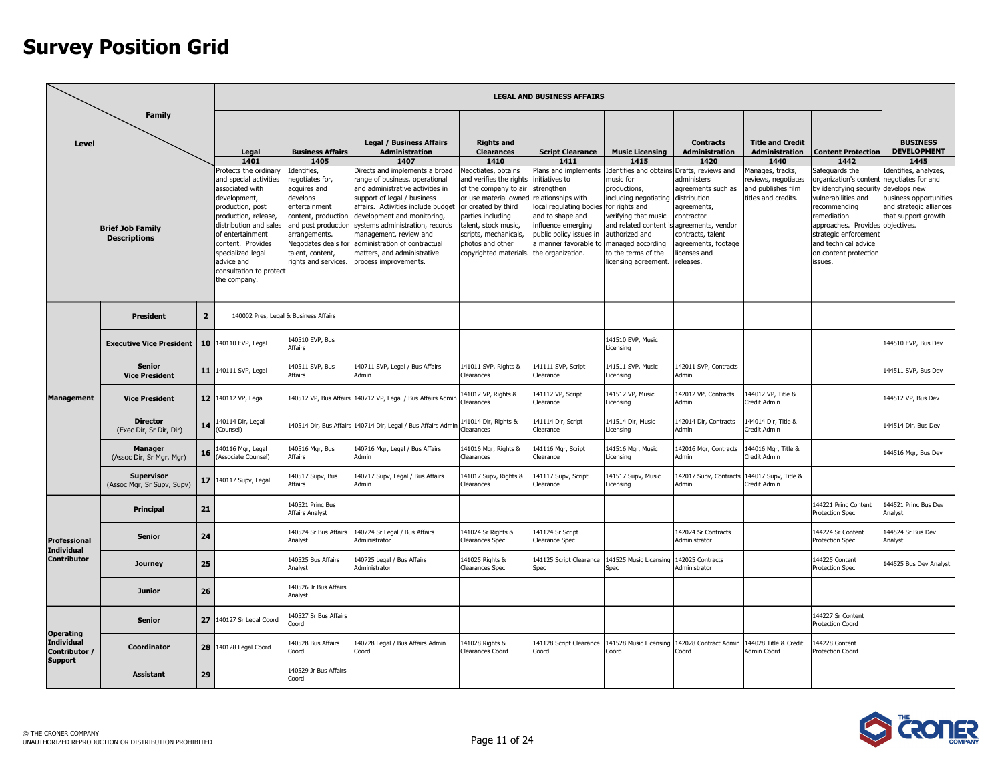|                                                        |                                                 |                 |                                                                                                                                                                                                                                                                                         |                                                                                                                                                                                                                              |                                                                                                                                                                                                                                                                                                                                                                        |                                                                                                                                                                                                                                                     | <b>LEGAL AND BUSINESS AFFAIRS</b>                                                                                                                                                                                                               |                                                                                                                                                                                                                              |                                                                                                                                                                                                             |                                                                                             |                                                                                                                                                                                                                                                                                           |                                                                                                          |
|--------------------------------------------------------|-------------------------------------------------|-----------------|-----------------------------------------------------------------------------------------------------------------------------------------------------------------------------------------------------------------------------------------------------------------------------------------|------------------------------------------------------------------------------------------------------------------------------------------------------------------------------------------------------------------------------|------------------------------------------------------------------------------------------------------------------------------------------------------------------------------------------------------------------------------------------------------------------------------------------------------------------------------------------------------------------------|-----------------------------------------------------------------------------------------------------------------------------------------------------------------------------------------------------------------------------------------------------|-------------------------------------------------------------------------------------------------------------------------------------------------------------------------------------------------------------------------------------------------|------------------------------------------------------------------------------------------------------------------------------------------------------------------------------------------------------------------------------|-------------------------------------------------------------------------------------------------------------------------------------------------------------------------------------------------------------|---------------------------------------------------------------------------------------------|-------------------------------------------------------------------------------------------------------------------------------------------------------------------------------------------------------------------------------------------------------------------------------------------|----------------------------------------------------------------------------------------------------------|
| Level                                                  | <b>Family</b>                                   |                 | Legal                                                                                                                                                                                                                                                                                   | <b>Business Affairs</b>                                                                                                                                                                                                      | <b>Legal / Business Affairs</b><br>Administration                                                                                                                                                                                                                                                                                                                      | <b>Rights and</b><br><b>Clearances</b>                                                                                                                                                                                                              | <b>Script Clearance</b>                                                                                                                                                                                                                         | <b>Music Licensing</b>                                                                                                                                                                                                       | <b>Contracts</b><br>Administration                                                                                                                                                                          | <b>Title and Credit</b><br>Administration                                                   | <b>Content Protection</b>                                                                                                                                                                                                                                                                 | <b>BUSINESS</b><br><b>DEVELOPMENT</b>                                                                    |
|                                                        | <b>Brief Job Family</b><br><b>Descriptions</b>  |                 | 1401<br>Protects the ordinary<br>and special activities<br>associated with<br>development,<br>production, post<br>production, release,<br>distribution and sales<br>of entertainment<br>content. Provides<br>specialized legal<br>advice and<br>consultation to protect<br>the company. | 1405<br>Identifies,<br>egotiates for,<br>acquires and<br>develops<br>entertainment<br>content, production<br>and post production<br>arrangements.<br><b>Negotiates deals for</b><br>talent, content,<br>rights and services. | 1407<br>Directs and implements a broad<br>range of business, operational<br>and administrative activities in<br>support of legal / business<br>affairs. Activities include budget<br>development and monitoring,<br>systems administration, records<br>management, review and<br>administration of contractual<br>matters, and administrative<br>process improvements. | 1410<br>Negotiates, obtains<br>and verifies the rights<br>of the company to air<br>or use material owned<br>or created by third<br>parties including<br>talent, stock music,<br>scripts, mechanicals,<br>photos and other<br>copyrighted materials. | 1411<br>Plans and implements<br>initiatives to<br>strengthen<br>relationships with<br>local regulating bodies for rights and<br>and to shape and<br>influence emerging<br>public policy issues in<br>a manner favorable to<br>the organization. | 1415<br>Identifies and obtains<br>nusic for<br>productions,<br>including negotiating<br>verifying that music<br>and related content is<br>authorized and<br>managed according<br>to the terms of the<br>licensing agreement. | 1420<br>Drafts, reviews and<br>dministers<br>agreements such as<br>distribution<br>agreements,<br>contractor<br>agreements, vendor<br>contracts, talent<br>agreements, footage<br>licenses and<br>releases. | 1440<br>Manages, tracks,<br>eviews, negotiates<br>and publishes film<br>titles and credits. | 1442<br>Safeguards the<br>organization's content negotiates for and<br>by identifying security develops new<br>vulnerabilities and<br>recommending<br>emediation<br>approaches. Provides objectives.<br>strategic enforcement<br>and technical advice<br>on content protection<br>issues. | 1445<br>dentifies, analyzes,<br>business opportunities<br>and strategic alliances<br>that support growth |
|                                                        | <b>President</b>                                | $\overline{2}$  | 140002 Pres, Legal & Business Affairs                                                                                                                                                                                                                                                   |                                                                                                                                                                                                                              |                                                                                                                                                                                                                                                                                                                                                                        |                                                                                                                                                                                                                                                     |                                                                                                                                                                                                                                                 |                                                                                                                                                                                                                              |                                                                                                                                                                                                             |                                                                                             |                                                                                                                                                                                                                                                                                           |                                                                                                          |
|                                                        | <b>Executive Vice President</b>                 | 10              | 140110 EVP, Legal                                                                                                                                                                                                                                                                       | 140510 EVP, Bus<br>Affairs                                                                                                                                                                                                   |                                                                                                                                                                                                                                                                                                                                                                        |                                                                                                                                                                                                                                                     |                                                                                                                                                                                                                                                 | 141510 EVP, Music<br>Licensing                                                                                                                                                                                               |                                                                                                                                                                                                             |                                                                                             |                                                                                                                                                                                                                                                                                           | 44510 EVP, Bus Dev                                                                                       |
|                                                        | <b>Senior</b><br><b>Vice President</b>          |                 | 11 140111 SVP, Legal                                                                                                                                                                                                                                                                    | 40511 SVP, Bus<br>Affairs                                                                                                                                                                                                    | 40711 SVP, Legal / Bus Affairs<br>Admin                                                                                                                                                                                                                                                                                                                                | 141011 SVP, Rights &<br>Clearances                                                                                                                                                                                                                  | 141111 SVP, Script<br>Clearance                                                                                                                                                                                                                 | 141511 SVP, Music<br>Licensing                                                                                                                                                                                               | 142011 SVP, Contracts<br>Admin                                                                                                                                                                              |                                                                                             |                                                                                                                                                                                                                                                                                           | 44511 SVP, Bus Dev                                                                                       |
| <b>Management</b>                                      | <b>Vice President</b>                           | 12 <sup>2</sup> | 140112 VP, Legal                                                                                                                                                                                                                                                                        | 140512 VP, Bus Affairs                                                                                                                                                                                                       | 140712 VP, Legal / Bus Affairs Admir                                                                                                                                                                                                                                                                                                                                   | 141012 VP, Rights &<br>Clearances                                                                                                                                                                                                                   | 141112 VP, Script<br>Clearance                                                                                                                                                                                                                  | 141512 VP, Music<br>Licensing                                                                                                                                                                                                | 142012 VP, Contracts<br>Admin                                                                                                                                                                               | 44012 VP, Title &<br>Credit Admin                                                           |                                                                                                                                                                                                                                                                                           | 44512 VP, Bus Dev                                                                                        |
|                                                        | <b>Director</b><br>(Exec Dir, Sr Dir, Dir)      | 14              | 140114 Dir, Legal<br>Counsel)                                                                                                                                                                                                                                                           | 140514 Dir, Bus Affairs                                                                                                                                                                                                      | 140714 Dir, Legal / Bus Affairs Admin                                                                                                                                                                                                                                                                                                                                  | 141014 Dir, Rights &<br>Clearances                                                                                                                                                                                                                  | 41114 Dir, Script<br>Clearance                                                                                                                                                                                                                  | 141514 Dir, Music<br>Licensing                                                                                                                                                                                               | 142014 Dir, Contracts<br>Admin                                                                                                                                                                              | 144014 Dir. Title &<br>Credit Admin                                                         |                                                                                                                                                                                                                                                                                           | 44514 Dir, Bus Dev                                                                                       |
|                                                        | <b>Manager</b><br>(Assoc Dir, Sr Mgr, Mgr)      | 16              | 40116 Mgr, Legal<br>Associate Counsel)                                                                                                                                                                                                                                                  | 40516 Mgr, Bus<br>Affairs                                                                                                                                                                                                    | 140716 Mgr, Legal / Bus Affairs<br>Admin                                                                                                                                                                                                                                                                                                                               | 141016 Mgr, Rights &<br>Clearances                                                                                                                                                                                                                  | 41116 Mgr, Script<br>Clearance                                                                                                                                                                                                                  | 141516 Mgr, Music<br>Licensing                                                                                                                                                                                               | 142016 Mgr, Contracts<br>Admin                                                                                                                                                                              | 144016 Mgr, Title &<br>Credit Admin                                                         |                                                                                                                                                                                                                                                                                           | 44516 Mgr, Bus Dev                                                                                       |
|                                                        | <b>Supervisor</b><br>(Assoc Mgr, Sr Supv, Supv) | 17              | 140117 Supv, Legal                                                                                                                                                                                                                                                                      | 40517 Supv, Bus<br>Affairs                                                                                                                                                                                                   | 140717 Supv, Legal / Bus Affairs<br>Admin                                                                                                                                                                                                                                                                                                                              | 141017 Supv, Rights &<br>Clearances                                                                                                                                                                                                                 | 41117 Supv, Script<br>Clearance                                                                                                                                                                                                                 | 141517 Supv, Music<br>icensing                                                                                                                                                                                               | 142017 Supv, Contracts 144017 Supv, Title &<br>Admin                                                                                                                                                        | Credit Admin                                                                                |                                                                                                                                                                                                                                                                                           |                                                                                                          |
|                                                        | Principal                                       | 21              |                                                                                                                                                                                                                                                                                         | 40521 Princ Bus<br>Affairs Analyst                                                                                                                                                                                           |                                                                                                                                                                                                                                                                                                                                                                        |                                                                                                                                                                                                                                                     |                                                                                                                                                                                                                                                 |                                                                                                                                                                                                                              |                                                                                                                                                                                                             |                                                                                             | 144221 Princ Content<br>Protection Spec                                                                                                                                                                                                                                                   | 44521 Princ Bus Dev<br>Analyst                                                                           |
| Professional                                           | <b>Senior</b>                                   | 24              |                                                                                                                                                                                                                                                                                         | 40524 Sr Bus Affairs<br>Analyst                                                                                                                                                                                              | 40724 Sr Legal / Bus Affairs<br><b>Administrator</b>                                                                                                                                                                                                                                                                                                                   | 141024 Sr Rights &<br>Clearances Spec                                                                                                                                                                                                               | 141124 Sr Script<br>Clearance Spec                                                                                                                                                                                                              |                                                                                                                                                                                                                              | 42024 Sr Contracts<br><b>Administrator</b>                                                                                                                                                                  |                                                                                             | 144224 Sr Content<br>Protection Spec                                                                                                                                                                                                                                                      | 44524 Sr Bus Dev<br>Analyst                                                                              |
| <b>Individual</b><br><b>Contributor</b>                | <b>Journey</b>                                  | 25              |                                                                                                                                                                                                                                                                                         | 40525 Bus Affairs<br>Analyst                                                                                                                                                                                                 | 140725 Legal / Bus Affairs<br>Administrator                                                                                                                                                                                                                                                                                                                            | 141025 Rights &<br><b>Clearances Spec</b>                                                                                                                                                                                                           | 141125 Script Clearance<br>Spec                                                                                                                                                                                                                 | 141525 Music Licensing<br>Spec                                                                                                                                                                                               | 142025 Contracts<br><b>Administrator</b>                                                                                                                                                                    |                                                                                             | 144225 Content<br><b>Protection Spec</b>                                                                                                                                                                                                                                                  | 44525 Bus Dev Analyst                                                                                    |
|                                                        | <b>Junior</b>                                   | 26              |                                                                                                                                                                                                                                                                                         | 40526 Jr Bus Affairs<br>Analyst                                                                                                                                                                                              |                                                                                                                                                                                                                                                                                                                                                                        |                                                                                                                                                                                                                                                     |                                                                                                                                                                                                                                                 |                                                                                                                                                                                                                              |                                                                                                                                                                                                             |                                                                                             |                                                                                                                                                                                                                                                                                           |                                                                                                          |
|                                                        | <b>Senior</b>                                   | 27              | 140127 Sr Legal Coord                                                                                                                                                                                                                                                                   | 40527 Sr Bus Affairs<br>Coord                                                                                                                                                                                                |                                                                                                                                                                                                                                                                                                                                                                        |                                                                                                                                                                                                                                                     |                                                                                                                                                                                                                                                 |                                                                                                                                                                                                                              |                                                                                                                                                                                                             |                                                                                             | 144227 Sr Content<br>Protection Coord                                                                                                                                                                                                                                                     |                                                                                                          |
| <b>Operating</b><br><b>Individual</b><br>Contributor / | Coordinator                                     | 28              | 140128 Legal Coord                                                                                                                                                                                                                                                                      | 40528 Bus Affairs<br>Coord                                                                                                                                                                                                   | 140728 Legal / Bus Affairs Admin<br>Coord                                                                                                                                                                                                                                                                                                                              | 141028 Rights &<br>Clearances Coord                                                                                                                                                                                                                 | 141128 Script Clearance<br>Coord                                                                                                                                                                                                                | 141528 Music Licensing<br>Coord                                                                                                                                                                                              | 142028 Contract Admin 144028 Title & Credit<br>Coord                                                                                                                                                        | Admin Coord                                                                                 | 44228 Content<br>Protection Coord                                                                                                                                                                                                                                                         |                                                                                                          |
| <b>Support</b>                                         | <b>Assistant</b>                                | 29              |                                                                                                                                                                                                                                                                                         | 40529 Jr Bus Affairs<br>Coord                                                                                                                                                                                                |                                                                                                                                                                                                                                                                                                                                                                        |                                                                                                                                                                                                                                                     |                                                                                                                                                                                                                                                 |                                                                                                                                                                                                                              |                                                                                                                                                                                                             |                                                                                             |                                                                                                                                                                                                                                                                                           |                                                                                                          |

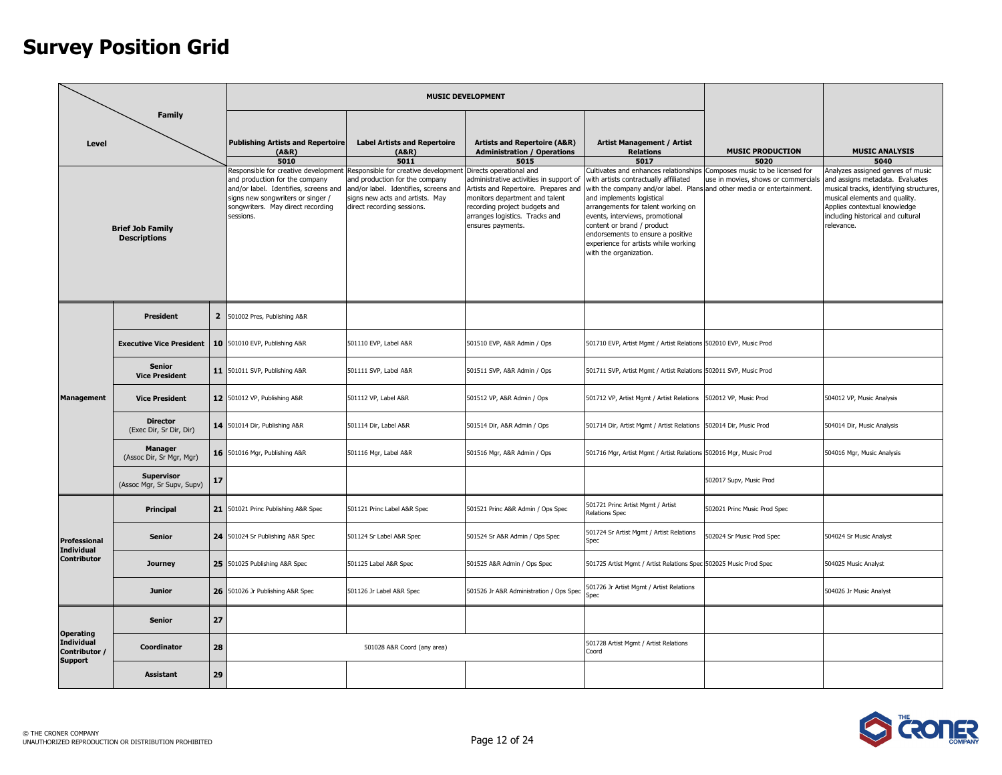|                                                        |                                                 |    |                                                                                                                                                                                                        |                                                                                                                                                                                  | <b>MUSIC DEVELOPMENT</b>                                                                                                                                                                                                             |                                                                                                                                                                                                                                                                                                                                                                   |                                                                                                               |                                                                                                                                                                                                                                     |
|--------------------------------------------------------|-------------------------------------------------|----|--------------------------------------------------------------------------------------------------------------------------------------------------------------------------------------------------------|----------------------------------------------------------------------------------------------------------------------------------------------------------------------------------|--------------------------------------------------------------------------------------------------------------------------------------------------------------------------------------------------------------------------------------|-------------------------------------------------------------------------------------------------------------------------------------------------------------------------------------------------------------------------------------------------------------------------------------------------------------------------------------------------------------------|---------------------------------------------------------------------------------------------------------------|-------------------------------------------------------------------------------------------------------------------------------------------------------------------------------------------------------------------------------------|
| Level                                                  | <b>Family</b>                                   |    | <b>Publishing Artists and Repertoire</b><br>(ABR)<br>5010                                                                                                                                              | <b>Label Artists and Repertoire</b><br>(A&R)<br>5011                                                                                                                             | <b>Artists and Repertoire (A&amp;R)</b><br><b>Administration / Operations</b><br>5015                                                                                                                                                | <b>Artist Management / Artist</b><br><b>Relations</b><br>5017                                                                                                                                                                                                                                                                                                     | <b>MUSIC PRODUCTION</b><br>5020                                                                               | <b>MUSIC ANALYSIS</b><br>5040                                                                                                                                                                                                       |
|                                                        | <b>Brief Job Family</b><br><b>Descriptions</b>  |    | Responsible for creative development<br>and production for the company<br>and/or label. Identifies, screens and<br>signs new songwriters or singer /<br>songwriters. May direct recording<br>sessions. | Responsible for creative development<br>and production for the company<br>and/or label. Identifies, screens and<br>signs new acts and artists. May<br>direct recording sessions. | Directs operational and<br>administrative activities in support of<br>Artists and Repertoire. Prepares and<br>monitors department and talent<br>recording project budgets and<br>arranges logistics. Tracks and<br>ensures payments. | Cultivates and enhances relationships<br>with artists contractually affiliated<br>with the company and/or label. Plans<br>and implements logistical<br>arrangements for talent working on<br>events, interviews, promotional<br>content or brand / product<br>endorsements to ensure a positive<br>experience for artists while working<br>with the organization. | Composes music to be licensed for<br>use in movies, shows or commercials<br>and other media or entertainment. | Analyzes assigned genres of music<br>and assigns metadata. Evaluates<br>musical tracks, identifying structures,<br>musical elements and quality.<br>Applies contextual knowledge<br>including historical and cultural<br>relevance. |
|                                                        | <b>President</b>                                |    | 2 501002 Pres, Publishing A&R                                                                                                                                                                          |                                                                                                                                                                                  |                                                                                                                                                                                                                                      |                                                                                                                                                                                                                                                                                                                                                                   |                                                                                                               |                                                                                                                                                                                                                                     |
|                                                        | <b>Executive Vice President</b>                 |    | 10 501010 EVP, Publishing A&R                                                                                                                                                                          | 501110 EVP, Label A&R                                                                                                                                                            | 501510 EVP, A&R Admin / Ops                                                                                                                                                                                                          | 501710 EVP, Artist Mgmt / Artist Relations 502010 EVP, Music Prod                                                                                                                                                                                                                                                                                                 |                                                                                                               |                                                                                                                                                                                                                                     |
|                                                        | <b>Senior</b><br><b>Vice President</b>          |    | 11 501011 SVP, Publishing A&R                                                                                                                                                                          | 501111 SVP, Label A&R                                                                                                                                                            | 501511 SVP, A&R Admin / Ops                                                                                                                                                                                                          | 501711 SVP, Artist Mgmt / Artist Relations 502011 SVP, Music Prod                                                                                                                                                                                                                                                                                                 |                                                                                                               |                                                                                                                                                                                                                                     |
| <b>Management</b>                                      | <b>Vice President</b>                           |    | 12 501012 VP, Publishing A&R                                                                                                                                                                           | 501112 VP, Label A&R                                                                                                                                                             | 501512 VP, A&R Admin / Ops                                                                                                                                                                                                           | 501712 VP, Artist Mgmt / Artist Relations                                                                                                                                                                                                                                                                                                                         | 502012 VP, Music Prod                                                                                         | 504012 VP, Music Analysis                                                                                                                                                                                                           |
|                                                        | <b>Director</b><br>(Exec Dir, Sr Dir, Dir)      |    | 14 501014 Dir, Publishing A&R                                                                                                                                                                          | 501114 Dir, Label A&R                                                                                                                                                            | 501514 Dir, A&R Admin / Ops                                                                                                                                                                                                          | 501714 Dir, Artist Mgmt / Artist Relations                                                                                                                                                                                                                                                                                                                        | 502014 Dir, Music Prod                                                                                        | 504014 Dir, Music Analysis                                                                                                                                                                                                          |
|                                                        | <b>Manager</b><br>(Assoc Dir, Sr Mgr, Mgr)      |    | 16 501016 Mgr, Publishing A&R                                                                                                                                                                          | 501116 Mgr, Label A&R                                                                                                                                                            | 501516 Mgr, A&R Admin / Ops                                                                                                                                                                                                          | 501716 Mgr, Artist Mgmt / Artist Relations 502016 Mgr, Music Prod                                                                                                                                                                                                                                                                                                 |                                                                                                               | 504016 Mgr, Music Analysis                                                                                                                                                                                                          |
|                                                        | <b>Supervisor</b><br>(Assoc Mgr, Sr Supv, Supv) | 17 |                                                                                                                                                                                                        |                                                                                                                                                                                  |                                                                                                                                                                                                                                      |                                                                                                                                                                                                                                                                                                                                                                   | 502017 Supv, Music Prod                                                                                       |                                                                                                                                                                                                                                     |
|                                                        | Principal                                       |    | 21 501021 Princ Publishing A&R Spec                                                                                                                                                                    | 501121 Princ Label A&R Spec                                                                                                                                                      | 501521 Princ A&R Admin / Ops Spec                                                                                                                                                                                                    | 501721 Princ Artist Mgmt / Artist<br><b>Relations Spec</b>                                                                                                                                                                                                                                                                                                        | 502021 Princ Music Prod Spec                                                                                  |                                                                                                                                                                                                                                     |
| Professional<br><b>Individual</b>                      | <b>Senior</b>                                   |    | 24 501024 Sr Publishing A&R Spec                                                                                                                                                                       | 501124 Sr Label A&R Spec                                                                                                                                                         | 501524 Sr A&R Admin / Ops Spec                                                                                                                                                                                                       | 501724 Sr Artist Mgmt / Artist Relations<br>Spec                                                                                                                                                                                                                                                                                                                  | 502024 Sr Music Prod Spec                                                                                     | 504024 Sr Music Analyst                                                                                                                                                                                                             |
| <b>Contributor</b>                                     | <b>Journey</b>                                  |    | 25 501025 Publishing A&R Spec                                                                                                                                                                          | 501125 Label A&R Spec                                                                                                                                                            | 501525 A&R Admin / Ops Spec                                                                                                                                                                                                          | 501725 Artist Mgmt / Artist Relations Spec 502025 Music Prod Spec                                                                                                                                                                                                                                                                                                 |                                                                                                               | 504025 Music Analyst                                                                                                                                                                                                                |
|                                                        | <b>Junior</b>                                   |    | 26 501026 Jr Publishing A&R Spec                                                                                                                                                                       | 501126 Jr Label A&R Spec                                                                                                                                                         | 501526 Jr A&R Administration / Ops Spec                                                                                                                                                                                              | 501726 Jr Artist Mgmt / Artist Relations<br>Snec                                                                                                                                                                                                                                                                                                                  |                                                                                                               | 504026 Jr Music Analyst                                                                                                                                                                                                             |
|                                                        | <b>Senior</b>                                   | 27 |                                                                                                                                                                                                        |                                                                                                                                                                                  |                                                                                                                                                                                                                                      |                                                                                                                                                                                                                                                                                                                                                                   |                                                                                                               |                                                                                                                                                                                                                                     |
| <b>Operating</b><br><b>Individual</b><br>Contributor / | Coordinator                                     | 28 |                                                                                                                                                                                                        | 501028 A&R Coord (any area)                                                                                                                                                      |                                                                                                                                                                                                                                      | 501728 Artist Mgmt / Artist Relations<br>Coord                                                                                                                                                                                                                                                                                                                    |                                                                                                               |                                                                                                                                                                                                                                     |
| <b>Support</b>                                         | <b>Assistant</b>                                | 29 |                                                                                                                                                                                                        |                                                                                                                                                                                  |                                                                                                                                                                                                                                      |                                                                                                                                                                                                                                                                                                                                                                   |                                                                                                               |                                                                                                                                                                                                                                     |

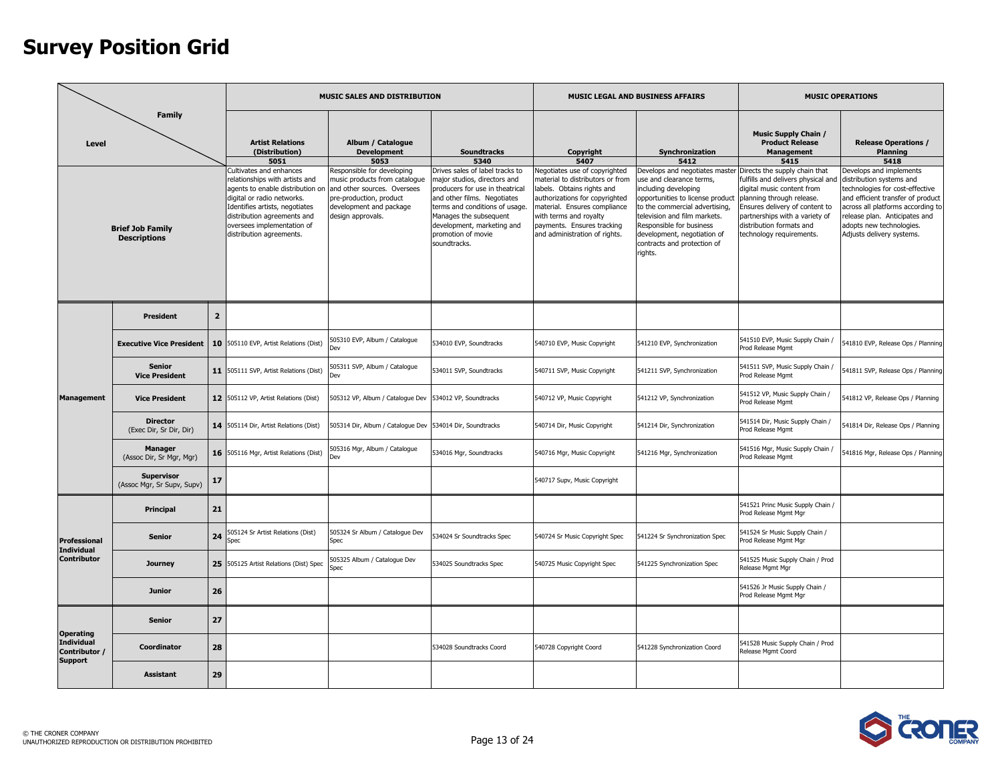|                                                      |                                                                                                                                 |                |                                                                                                                                                                                                                                                                                                             | MUSIC SALES AND DISTRIBUTION                                                                                                                                                                                             |                                                                                                                                                                                                                                                                                                 |                                                                                                                                                                                                                                                                                 | MUSIC LEGAL AND BUSINESS AFFAIRS                                                                                                                                                                                                                                                                              |                                                                                                                                                                                                                                                                                                                                           | <b>MUSIC OPERATIONS</b>                                                                                                                                                                                                                                                                                       |
|------------------------------------------------------|---------------------------------------------------------------------------------------------------------------------------------|----------------|-------------------------------------------------------------------------------------------------------------------------------------------------------------------------------------------------------------------------------------------------------------------------------------------------------------|--------------------------------------------------------------------------------------------------------------------------------------------------------------------------------------------------------------------------|-------------------------------------------------------------------------------------------------------------------------------------------------------------------------------------------------------------------------------------------------------------------------------------------------|---------------------------------------------------------------------------------------------------------------------------------------------------------------------------------------------------------------------------------------------------------------------------------|---------------------------------------------------------------------------------------------------------------------------------------------------------------------------------------------------------------------------------------------------------------------------------------------------------------|-------------------------------------------------------------------------------------------------------------------------------------------------------------------------------------------------------------------------------------------------------------------------------------------------------------------------------------------|---------------------------------------------------------------------------------------------------------------------------------------------------------------------------------------------------------------------------------------------------------------------------------------------------------------|
| Level                                                | <b>Family</b><br><b>Brief Job Family</b><br><b>Descriptions</b><br><b>President</b>                                             |                | <b>Artist Relations</b><br>(Distribution)<br>5051<br>Cultivates and enhances<br>relationships with artists and<br>agents to enable distribution on<br>digital or radio networks.<br>Identifies artists, negotiates<br>distribution agreements and<br>oversees implementation of<br>distribution agreements. | Album / Catalogue<br><b>Development</b><br>5053<br>Responsible for developing<br>music products from catalogue<br>and other sources. Oversees<br>pre-production, product<br>development and package<br>design approvals. | <b>Soundtracks</b><br>5340<br>Drives sales of label tracks to<br>major studios, directors and<br>producers for use in theatrical<br>and other films. Negotiates<br>terms and conditions of usage.<br>Manages the subsequent<br>development, marketing and<br>promotion of movie<br>soundtracks. | Copyright<br>5407<br>Negotiates use of copyrighted<br>naterial to distributors or from<br>labels. Obtains rights and<br>authorizations for copyrighted<br>material. Ensures compliance<br>with terms and royalty<br>payments. Ensures tracking<br>and administration of rights. | Synchronization<br>5412<br>Develops and negotiates master<br>use and clearance terms,<br>including developing<br>opportunities to license product<br>to the commercial advertising,<br>television and film markets.<br>Responsible for business<br>development, negotiation of<br>contracts and protection of | <b>Music Supply Chain /</b><br><b>Product Release</b><br>Management<br>5415<br>Directs the supply chain that<br>fulfills and delivers physical and<br>digital music content from<br>planning through release.<br>Ensures delivery of content to<br>partnerships with a variety of<br>distribution formats and<br>technology requirements. | <b>Release Operations /</b><br>Planning<br>5418<br>Develops and implements<br>distribution systems and<br>technologies for cost-effective<br>and efficient transfer of product<br>across all platforms according to<br>release plan. Anticipates and<br>adopts new technologies.<br>Adjusts delivery systems. |
|                                                      | <b>Senior</b><br><b>Vice President</b><br><b>Vice President</b><br><b>Director</b><br>(Exec Dir, Sr Dir, Dir)<br><b>Manager</b> |                |                                                                                                                                                                                                                                                                                                             |                                                                                                                                                                                                                          |                                                                                                                                                                                                                                                                                                 |                                                                                                                                                                                                                                                                                 | rights.                                                                                                                                                                                                                                                                                                       |                                                                                                                                                                                                                                                                                                                                           |                                                                                                                                                                                                                                                                                                               |
|                                                      |                                                                                                                                 | $\overline{2}$ |                                                                                                                                                                                                                                                                                                             |                                                                                                                                                                                                                          |                                                                                                                                                                                                                                                                                                 |                                                                                                                                                                                                                                                                                 |                                                                                                                                                                                                                                                                                                               |                                                                                                                                                                                                                                                                                                                                           |                                                                                                                                                                                                                                                                                                               |
|                                                      | <b>Executive Vice President</b>                                                                                                 | 10             | 505110 EVP, Artist Relations (Dist)                                                                                                                                                                                                                                                                         | 505310 EVP, Album / Catalogue                                                                                                                                                                                            | 534010 EVP, Soundtracks                                                                                                                                                                                                                                                                         | 540710 EVP, Music Copyright                                                                                                                                                                                                                                                     | 541210 EVP, Synchronization                                                                                                                                                                                                                                                                                   | 541510 EVP, Music Supply Chain /<br>Prod Release Mgmt                                                                                                                                                                                                                                                                                     | 541810 EVP, Release Ops / Planning                                                                                                                                                                                                                                                                            |
|                                                      |                                                                                                                                 |                | 11 505111 SVP, Artist Relations (Dist)                                                                                                                                                                                                                                                                      | 505311 SVP, Album / Cataloque<br>Dev                                                                                                                                                                                     | 534011 SVP, Soundtracks                                                                                                                                                                                                                                                                         | 540711 SVP, Music Copyright                                                                                                                                                                                                                                                     | 541211 SVP, Synchronization                                                                                                                                                                                                                                                                                   | 541511 SVP, Music Supply Chain /<br>Prod Release Mamt                                                                                                                                                                                                                                                                                     | 541811 SVP, Release Ops / Planning                                                                                                                                                                                                                                                                            |
| <b>Management</b>                                    |                                                                                                                                 |                | 12 505112 VP, Artist Relations (Dist)                                                                                                                                                                                                                                                                       | 505312 VP, Album / Catalogue Dev 534012 VP, Soundtracks                                                                                                                                                                  |                                                                                                                                                                                                                                                                                                 | 540712 VP, Music Copyright                                                                                                                                                                                                                                                      | 541212 VP, Synchronization                                                                                                                                                                                                                                                                                    | 541512 VP, Music Supply Chain /<br>Prod Release Mgmt                                                                                                                                                                                                                                                                                      | 541812 VP, Release Ops / Planning                                                                                                                                                                                                                                                                             |
|                                                      |                                                                                                                                 |                | 14 505114 Dir, Artist Relations (Dist)                                                                                                                                                                                                                                                                      | 505314 Dir, Album / Catalogue Dev 534014 Dir, Soundtracks                                                                                                                                                                |                                                                                                                                                                                                                                                                                                 | 540714 Dir, Music Copyright                                                                                                                                                                                                                                                     | 541214 Dir, Synchronization                                                                                                                                                                                                                                                                                   | 541514 Dir, Music Supply Chain /<br>Prod Release Mgmt                                                                                                                                                                                                                                                                                     | 541814 Dir, Release Ops / Planning                                                                                                                                                                                                                                                                            |
|                                                      | (Assoc Dir, Sr Mgr, Mgr)                                                                                                        |                | 16 505116 Mgr, Artist Relations (Dist)                                                                                                                                                                                                                                                                      | 505316 Mgr, Album / Catalogue                                                                                                                                                                                            | 534016 Mgr, Soundtracks                                                                                                                                                                                                                                                                         | 540716 Mgr, Music Copyright                                                                                                                                                                                                                                                     | 541216 Mgr, Synchronization                                                                                                                                                                                                                                                                                   | 541516 Mgr, Music Supply Chain<br>Prod Release Mgmt                                                                                                                                                                                                                                                                                       | 541816 Mgr, Release Ops / Planning                                                                                                                                                                                                                                                                            |
|                                                      | <b>Supervisor</b><br>(Assoc Mgr, Sr Supv, Supv)                                                                                 | 17             |                                                                                                                                                                                                                                                                                                             |                                                                                                                                                                                                                          |                                                                                                                                                                                                                                                                                                 | 540717 Supv, Music Copyright                                                                                                                                                                                                                                                    |                                                                                                                                                                                                                                                                                                               |                                                                                                                                                                                                                                                                                                                                           |                                                                                                                                                                                                                                                                                                               |
|                                                      | Principal                                                                                                                       | 21             |                                                                                                                                                                                                                                                                                                             |                                                                                                                                                                                                                          |                                                                                                                                                                                                                                                                                                 |                                                                                                                                                                                                                                                                                 |                                                                                                                                                                                                                                                                                                               | 541521 Princ Music Supply Chain /<br>Prod Release Mgmt Mgr                                                                                                                                                                                                                                                                                |                                                                                                                                                                                                                                                                                                               |
| Professional<br><b>Individual</b>                    | 24<br><b>Senior</b>                                                                                                             |                | 505124 Sr Artist Relations (Dist)<br>Spec                                                                                                                                                                                                                                                                   | 505324 Sr Album / Catalogue Dev<br>Spec                                                                                                                                                                                  | 534024 Sr Soundtracks Spec                                                                                                                                                                                                                                                                      | 540724 Sr Music Copyright Spec                                                                                                                                                                                                                                                  | 541224 Sr Synchronization Spec                                                                                                                                                                                                                                                                                | 541524 Sr Music Supply Chain /<br>Prod Release Mgmt Mgr                                                                                                                                                                                                                                                                                   |                                                                                                                                                                                                                                                                                                               |
| <b>Contributor</b>                                   | <b>Journey</b>                                                                                                                  |                | 25 505125 Artist Relations (Dist) Spec                                                                                                                                                                                                                                                                      | 605325 Album / Catalogue Dev<br>Spec                                                                                                                                                                                     | 534025 Soundtracks Spec                                                                                                                                                                                                                                                                         | 540725 Music Copyright Spec                                                                                                                                                                                                                                                     | 541225 Synchronization Spec                                                                                                                                                                                                                                                                                   | 541525 Music Supply Chain / Prod<br>Release Mgmt Mgr                                                                                                                                                                                                                                                                                      |                                                                                                                                                                                                                                                                                                               |
|                                                      | <b>Junior</b>                                                                                                                   | 26             |                                                                                                                                                                                                                                                                                                             |                                                                                                                                                                                                                          |                                                                                                                                                                                                                                                                                                 |                                                                                                                                                                                                                                                                                 |                                                                                                                                                                                                                                                                                                               | 541526 Jr Music Supply Chain /<br>Prod Release Mgmt Mgr                                                                                                                                                                                                                                                                                   |                                                                                                                                                                                                                                                                                                               |
| <b>Operating</b>                                     | <b>Senior</b>                                                                                                                   | 27             |                                                                                                                                                                                                                                                                                                             |                                                                                                                                                                                                                          |                                                                                                                                                                                                                                                                                                 |                                                                                                                                                                                                                                                                                 |                                                                                                                                                                                                                                                                                                               |                                                                                                                                                                                                                                                                                                                                           |                                                                                                                                                                                                                                                                                                               |
| <b>Individual</b><br>Contributor /<br><b>Support</b> | Coordinator                                                                                                                     | 28             |                                                                                                                                                                                                                                                                                                             |                                                                                                                                                                                                                          | 534028 Soundtracks Coord                                                                                                                                                                                                                                                                        | 540728 Copyright Coord                                                                                                                                                                                                                                                          | 541228 Synchronization Coord                                                                                                                                                                                                                                                                                  | 541528 Music Supply Chain / Prod<br>Release Mgmt Coord                                                                                                                                                                                                                                                                                    |                                                                                                                                                                                                                                                                                                               |
|                                                      | <b>Assistant</b>                                                                                                                | 29             |                                                                                                                                                                                                                                                                                                             |                                                                                                                                                                                                                          |                                                                                                                                                                                                                                                                                                 |                                                                                                                                                                                                                                                                                 |                                                                                                                                                                                                                                                                                                               |                                                                                                                                                                                                                                                                                                                                           |                                                                                                                                                                                                                                                                                                               |

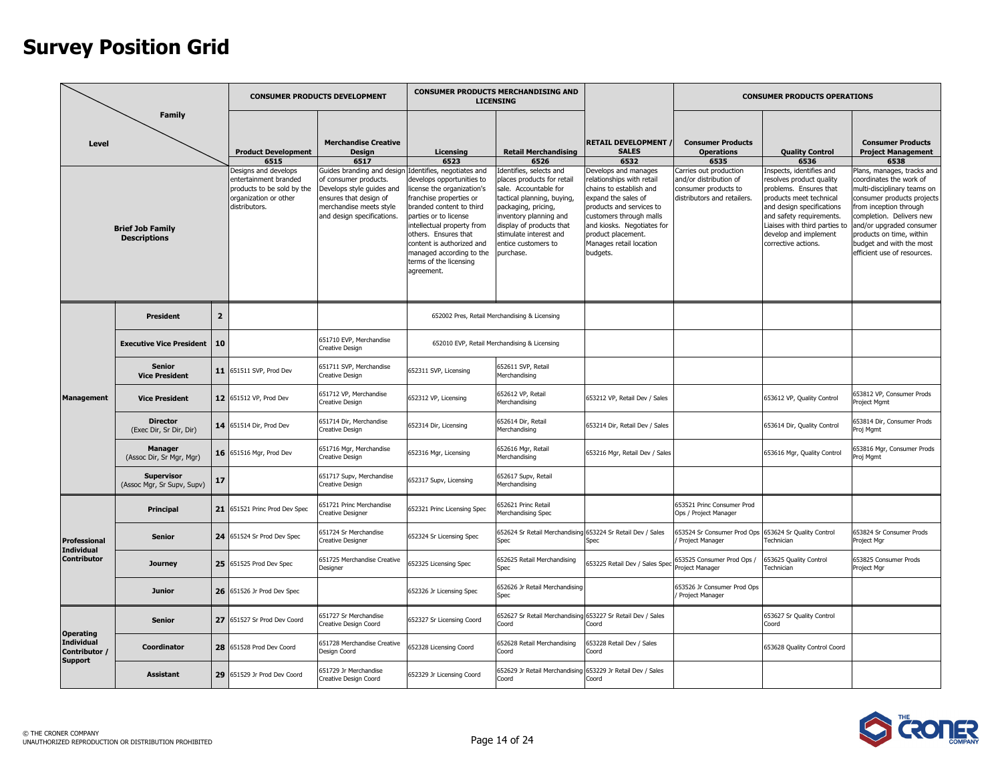|                                                      |                                                                                                                                                                                                                        |                |                                                                                                                                                             | <b>CONSUMER PRODUCTS DEVELOPMENT</b>                                                                                                                                                                                 |                                                                                                                                                                                                                                                                                                                                                   | <b>CONSUMER PRODUCTS MERCHANDISING AND</b><br><b>LICENSING</b>                                                                                                                                                                                                                                 |                                                                                                                                                                                                                                                                                                            |                                                                                                                                                                  | <b>CONSUMER PRODUCTS OPERATIONS</b>                                                                                                                                                                                                                                                   |                                                                                                                                                                                                                                                                                                                                                             |
|------------------------------------------------------|------------------------------------------------------------------------------------------------------------------------------------------------------------------------------------------------------------------------|----------------|-------------------------------------------------------------------------------------------------------------------------------------------------------------|----------------------------------------------------------------------------------------------------------------------------------------------------------------------------------------------------------------------|---------------------------------------------------------------------------------------------------------------------------------------------------------------------------------------------------------------------------------------------------------------------------------------------------------------------------------------------------|------------------------------------------------------------------------------------------------------------------------------------------------------------------------------------------------------------------------------------------------------------------------------------------------|------------------------------------------------------------------------------------------------------------------------------------------------------------------------------------------------------------------------------------------------------------------------------------------------------------|------------------------------------------------------------------------------------------------------------------------------------------------------------------|---------------------------------------------------------------------------------------------------------------------------------------------------------------------------------------------------------------------------------------------------------------------------------------|-------------------------------------------------------------------------------------------------------------------------------------------------------------------------------------------------------------------------------------------------------------------------------------------------------------------------------------------------------------|
| <b>Level</b>                                         | <b>Family</b><br><b>Brief Job Family</b><br><b>Descriptions</b><br><b>President</b><br><b>Senior</b><br><b>Vice President</b><br><b>Vice President</b><br><b>Director</b><br>(Exec Dir, Sr Dir, Dir)<br><b>Manager</b> |                | <b>Product Development</b><br>6515<br>Designs and develops<br>entertainment branded<br>products to be sold by the<br>organization or other<br>distributors. | <b>Merchandise Creative</b><br>Design<br>6517<br>Guides branding and design<br>of consumer products.<br>Develops style guides and<br>ensures that design of<br>merchandise meets style<br>and design specifications. | Licensing<br>6523<br>Identifies, negotiates and<br>develops opportunities to<br>license the organization's<br>franchise properties or<br>branded content to third<br>parties or to license<br>intellectual property from<br>others. Ensures that<br>content is authorized and<br>managed according to the<br>terms of the licensing<br>agreement. | <b>Retail Merchandising</b><br>6526<br>Identifies, selects and<br>places products for retail<br>sale. Accountable for<br>tactical planning, buying,<br>packaging, pricing,<br>inventory planning and<br>display of products that<br>stimulate interest and<br>entice customers to<br>purchase. | <b>RETAIL DEVELOPMENT</b><br><b>SALES</b><br>6532<br>Develops and manages<br>relationships with retail<br>chains to establish and<br>expand the sales of<br>products and services to<br>customers through malls<br>and kiosks. Negotiates for<br>product placement.<br>Manages retail location<br>budgets. | <b>Consumer Products</b><br><b>Operations</b><br>6535<br>Carries out production<br>and/or distribution of<br>consumer products to<br>distributors and retailers. | <b>Quality Control</b><br>6536<br>Inspects, identifies and<br>resolves product quality<br>problems. Ensures that<br>products meet technical<br>and design specifications<br>and safety requirements.<br>Liaises with third parties to<br>develop and implement<br>corrective actions. | <b>Consumer Products</b><br><b>Project Management</b><br>6538<br>Plans, manages, tracks and<br>coordinates the work of<br>multi-disciplinary teams on<br>consumer products projects<br>rom inception through<br>completion. Delivers new<br>and/or upgraded consumer<br>products on time, within<br>budget and with the most<br>efficient use of resources. |
|                                                      |                                                                                                                                                                                                                        | $\overline{2}$ |                                                                                                                                                             |                                                                                                                                                                                                                      |                                                                                                                                                                                                                                                                                                                                                   | 652002 Pres, Retail Merchandising & Licensing                                                                                                                                                                                                                                                  |                                                                                                                                                                                                                                                                                                            |                                                                                                                                                                  |                                                                                                                                                                                                                                                                                       |                                                                                                                                                                                                                                                                                                                                                             |
|                                                      | <b>Executive Vice President</b>                                                                                                                                                                                        | 10             |                                                                                                                                                             | 651710 EVP, Merchandise<br>Creative Design                                                                                                                                                                           |                                                                                                                                                                                                                                                                                                                                                   | 652010 EVP, Retail Merchandising & Licensing                                                                                                                                                                                                                                                   |                                                                                                                                                                                                                                                                                                            |                                                                                                                                                                  |                                                                                                                                                                                                                                                                                       |                                                                                                                                                                                                                                                                                                                                                             |
|                                                      |                                                                                                                                                                                                                        |                | 11 651511 SVP, Prod Dev                                                                                                                                     | 551711 SVP, Merchandise<br>Creative Design                                                                                                                                                                           | 652311 SVP, Licensing                                                                                                                                                                                                                                                                                                                             | 652611 SVP, Retail<br>Merchandising                                                                                                                                                                                                                                                            |                                                                                                                                                                                                                                                                                                            |                                                                                                                                                                  |                                                                                                                                                                                                                                                                                       |                                                                                                                                                                                                                                                                                                                                                             |
| <b>Management</b>                                    |                                                                                                                                                                                                                        |                | 12 651512 VP, Prod Dev                                                                                                                                      | 651712 VP, Merchandise<br>Creative Design                                                                                                                                                                            | 652312 VP, Licensing                                                                                                                                                                                                                                                                                                                              | 652612 VP, Retail<br>Merchandising                                                                                                                                                                                                                                                             | 653212 VP, Retail Dev / Sales                                                                                                                                                                                                                                                                              |                                                                                                                                                                  | 653612 VP, Quality Control                                                                                                                                                                                                                                                            | 553812 VP, Consumer Prods<br>Project Mgmt                                                                                                                                                                                                                                                                                                                   |
|                                                      |                                                                                                                                                                                                                        |                | 14 651514 Dir, Prod Dev                                                                                                                                     | 651714 Dir, Merchandise<br>Creative Design                                                                                                                                                                           | 652314 Dir, Licensing                                                                                                                                                                                                                                                                                                                             | 652614 Dir, Retail<br>Merchandising                                                                                                                                                                                                                                                            | 653214 Dir, Retail Dev / Sales                                                                                                                                                                                                                                                                             |                                                                                                                                                                  | 653614 Dir, Quality Control                                                                                                                                                                                                                                                           | 53814 Dir, Consumer Prods<br>Proj Mgmt                                                                                                                                                                                                                                                                                                                      |
|                                                      | (Assoc Dir, Sr Mgr, Mgr)                                                                                                                                                                                               |                | 16 651516 Mgr, Prod Dev                                                                                                                                     | 551716 Mgr, Merchandise<br>Creative Design                                                                                                                                                                           | 652316 Mgr, Licensing                                                                                                                                                                                                                                                                                                                             | 652616 Mgr, Retail<br>Merchandising                                                                                                                                                                                                                                                            | 653216 Mgr, Retail Dev / Sales                                                                                                                                                                                                                                                                             |                                                                                                                                                                  | 653616 Mgr, Quality Control                                                                                                                                                                                                                                                           | 53816 Mgr, Consumer Prods<br>roj Mgmt                                                                                                                                                                                                                                                                                                                       |
|                                                      | <b>Supervisor</b><br>(Assoc Mgr, Sr Supv, Supv)                                                                                                                                                                        | 17             |                                                                                                                                                             | 551717 Supv, Merchandise<br>Creative Design                                                                                                                                                                          | 652317 Supv, Licensing                                                                                                                                                                                                                                                                                                                            | 552617 Supv, Retail<br>Merchandising                                                                                                                                                                                                                                                           |                                                                                                                                                                                                                                                                                                            |                                                                                                                                                                  |                                                                                                                                                                                                                                                                                       |                                                                                                                                                                                                                                                                                                                                                             |
|                                                      | Principal                                                                                                                                                                                                              | 21             | 651521 Princ Prod Dev Spec                                                                                                                                  | 51721 Princ Merchandise<br>Creative Designer                                                                                                                                                                         | 652321 Princ Licensing Spec                                                                                                                                                                                                                                                                                                                       | 52621 Princ Retail<br>Merchandising Spec                                                                                                                                                                                                                                                       |                                                                                                                                                                                                                                                                                                            | 553521 Princ Consumer Prod<br>Ops / Project Manager                                                                                                              |                                                                                                                                                                                                                                                                                       |                                                                                                                                                                                                                                                                                                                                                             |
| <b>Professional</b><br><b>Individual</b>             | <b>Senior</b>                                                                                                                                                                                                          |                | 24 651524 Sr Prod Dev Spec                                                                                                                                  | 551724 Sr Merchandise<br>Creative Designer                                                                                                                                                                           | 652324 Sr Licensing Spec                                                                                                                                                                                                                                                                                                                          | 552624 Sr Retail Merchandising 653224 Sr Retail Dev / Sales<br>Spec                                                                                                                                                                                                                            | Spec                                                                                                                                                                                                                                                                                                       | 553524 Sr Consumer Prod Ops<br>Project Manager                                                                                                                   | 653624 Sr Quality Control<br>Technician                                                                                                                                                                                                                                               | 553824 Sr Consumer Prods<br>Project Mgr                                                                                                                                                                                                                                                                                                                     |
| <b>Contributor</b>                                   | <b>Journey</b>                                                                                                                                                                                                         |                | 25 651525 Prod Dev Spec                                                                                                                                     | 651725 Merchandise Creative<br>Designer                                                                                                                                                                              | 652325 Licensing Spec                                                                                                                                                                                                                                                                                                                             | 652625 Retail Merchandising<br>Spec                                                                                                                                                                                                                                                            | 653225 Retail Dev / Sales Spec                                                                                                                                                                                                                                                                             | 553525 Consumer Prod Ops /<br>Project Manager                                                                                                                    | 653625 Quality Control<br>Technician                                                                                                                                                                                                                                                  | 653825 Consumer Prods<br>Project Mgr                                                                                                                                                                                                                                                                                                                        |
|                                                      | <b>Junior</b>                                                                                                                                                                                                          |                | 26 651526 Jr Prod Dev Spec                                                                                                                                  |                                                                                                                                                                                                                      | 652326 Jr Licensing Spec                                                                                                                                                                                                                                                                                                                          | 552626 Jr Retail Merchandising<br>Spec                                                                                                                                                                                                                                                         |                                                                                                                                                                                                                                                                                                            | 553526 Jr Consumer Prod Ops<br>Project Manager                                                                                                                   |                                                                                                                                                                                                                                                                                       |                                                                                                                                                                                                                                                                                                                                                             |
| <b>Operating</b>                                     | <b>Senior</b>                                                                                                                                                                                                          | 27             | 651527 Sr Prod Dev Coord                                                                                                                                    | 551727 Sr Merchandise<br>Creative Design Coord                                                                                                                                                                       | 652327 Sr Licensing Coord                                                                                                                                                                                                                                                                                                                         | 52627 Sr Retail Merchandising 653227 Sr Retail Dev / Sales<br>Coord                                                                                                                                                                                                                            | Coord                                                                                                                                                                                                                                                                                                      |                                                                                                                                                                  | 653627 Sr Quality Control<br>Coord                                                                                                                                                                                                                                                    |                                                                                                                                                                                                                                                                                                                                                             |
| <b>Individual</b><br>Contributor /<br><b>Support</b> | Coordinator                                                                                                                                                                                                            | 28             | 651528 Prod Dev Coord                                                                                                                                       | 51728 Merchandise Creative<br>Design Coord                                                                                                                                                                           | 652328 Licensing Coord                                                                                                                                                                                                                                                                                                                            | 52628 Retail Merchandising<br>Coord                                                                                                                                                                                                                                                            | 653228 Retail Dev / Sales<br>Coord                                                                                                                                                                                                                                                                         |                                                                                                                                                                  | 653628 Quality Control Coord                                                                                                                                                                                                                                                          |                                                                                                                                                                                                                                                                                                                                                             |
|                                                      | <b>Assistant</b>                                                                                                                                                                                                       | 29             | 651529 Jr Prod Dev Coord                                                                                                                                    | 651729 Jr Merchandise<br>Creative Design Coord                                                                                                                                                                       | 652329 Jr Licensing Coord                                                                                                                                                                                                                                                                                                                         | 552629 Jr Retail Merchandising 653229 Jr Retail Dev / Sales<br>Coord                                                                                                                                                                                                                           | Coord                                                                                                                                                                                                                                                                                                      |                                                                                                                                                                  |                                                                                                                                                                                                                                                                                       |                                                                                                                                                                                                                                                                                                                                                             |

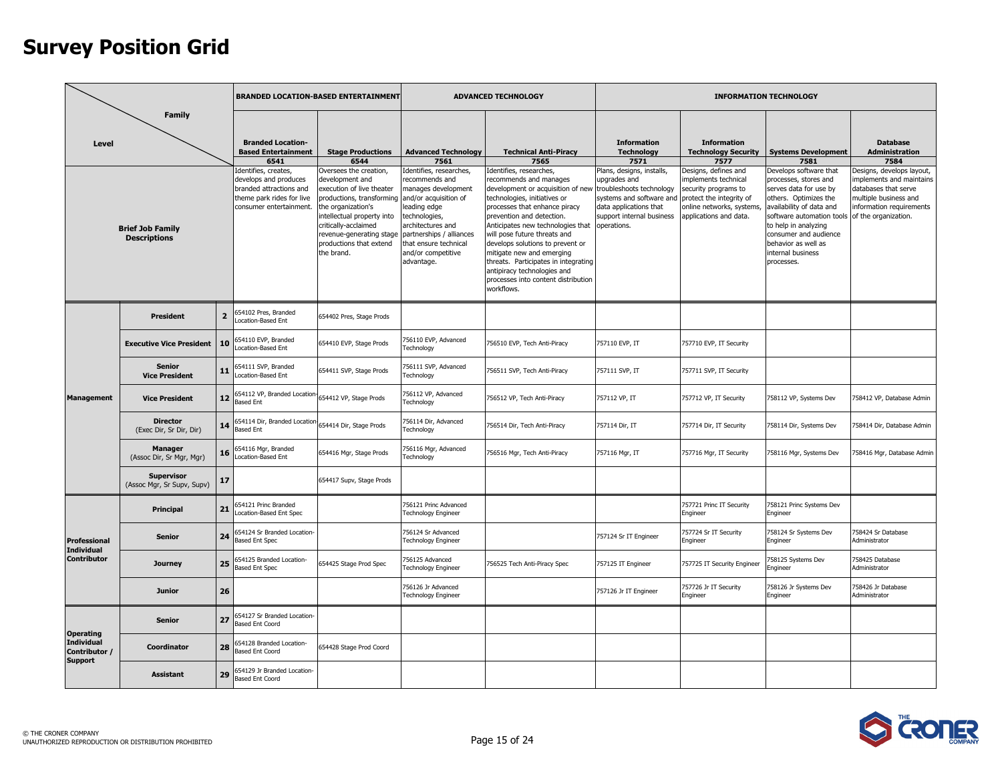|                                                      |                                                                                                                                                                                                                                                                 |                |                                                                                                                                           | <b>BRANDED LOCATION-BASED ENTERTAINMENT</b>                                                                                                                                |                                                                                                                                                                      | <b>ADVANCED TECHNOLOGY</b>                                                                                                                                                                                                                                                                                                                                   |                                                                                                                          |                                                                                                                                 | <b>INFORMATION TECHNOLOGY</b>                                                                                                                                                                                  |                                                                                                                                  |
|------------------------------------------------------|-----------------------------------------------------------------------------------------------------------------------------------------------------------------------------------------------------------------------------------------------------------------|----------------|-------------------------------------------------------------------------------------------------------------------------------------------|----------------------------------------------------------------------------------------------------------------------------------------------------------------------------|----------------------------------------------------------------------------------------------------------------------------------------------------------------------|--------------------------------------------------------------------------------------------------------------------------------------------------------------------------------------------------------------------------------------------------------------------------------------------------------------------------------------------------------------|--------------------------------------------------------------------------------------------------------------------------|---------------------------------------------------------------------------------------------------------------------------------|----------------------------------------------------------------------------------------------------------------------------------------------------------------------------------------------------------------|----------------------------------------------------------------------------------------------------------------------------------|
| Level                                                | <b>Family</b><br><b>Brief Job Family</b><br><b>Descriptions</b><br>President<br><b>Senior</b>                                                                                                                                                                   |                | <b>Branded Location-</b><br><b>Based Entertainment</b><br>6541<br>dentifies, creates,<br>develops and produces<br>branded attractions and | <b>Stage Productions</b><br>6544<br>Oversees the creation,<br>development and<br>execution of live theater                                                                 | <b>Advanced Technology</b><br>7561<br>Identifies, researches,<br>recommends and<br>manages development                                                               | <b>Technical Anti-Piracy</b><br>7565<br>Identifies, researches,<br>recommends and manages<br>development or acquisition of new                                                                                                                                                                                                                               | <b>Information</b><br><b>Technology</b><br>7571<br>Plans, designs, installs,<br>upgrades and<br>troubleshoots technology | <b>Information</b><br><b>Technology Security</b><br>7577<br>Designs, defines and<br>mplements technical<br>security programs to | <b>Systems Development</b><br>7581<br>Develops software that<br>processes, stores and<br>serves data for use by                                                                                                | <b>Database</b><br><b>Administration</b><br>7584<br>Designs, develops layout,<br>mplements and maintains<br>databases that serve |
|                                                      | <b>Vice President</b><br><b>Vice President</b><br><b>Director</b><br>(Exec Dir, Sr Dir, Dir)<br><b>Manager</b><br>(Assoc Dir, Sr Mgr, Mgr)<br><b>Supervisor</b><br>Principal<br><b>Senior</b><br><b>Individual</b><br>Journey<br><b>Junior</b><br><b>Senior</b> |                | theme park rides for live<br>consumer entertainment.                                                                                      | productions, transforming<br>the organization's<br>intellectual property into<br>critically-acclaimed<br>revenue-generating stage<br>productions that extend<br>the brand. | and/or acquisition of<br>leading edge<br>technologies,<br>architectures and<br>partnerships / alliances<br>that ensure technical<br>and/or competitive<br>advantage. | technologies, initiatives or<br>processes that enhance piracy<br>prevention and detection.<br>Anticipates new technologies that<br>will pose future threats and<br>develops solutions to prevent or<br>mitigate new and emerging<br>threats. Participates in integrating<br>antipiracy technologies and<br>processes into content distribution<br>workflows. | systems and software and<br>data applications that<br>support internal business<br>operations.                           | protect the integrity of<br>online networks, systems,<br>applications and data.                                                 | others. Optimizes the<br>availability of data and<br>software automation tools of the organization.<br>to help in analyzing<br>consumer and audience<br>behavior as well as<br>internal business<br>processes. | multiple business and<br>information requirements                                                                                |
|                                                      |                                                                                                                                                                                                                                                                 | $\overline{2}$ | 54102 Pres, Branded<br>ocation-Based Ent                                                                                                  | 654402 Pres, Stage Prods                                                                                                                                                   |                                                                                                                                                                      |                                                                                                                                                                                                                                                                                                                                                              |                                                                                                                          |                                                                                                                                 |                                                                                                                                                                                                                |                                                                                                                                  |
|                                                      | <b>Executive Vice President</b>                                                                                                                                                                                                                                 | 10             | 554110 EVP, Branded<br>ocation-Based Ent                                                                                                  | 654410 EVP, Stage Prods                                                                                                                                                    | '56110 EVP, Advanced<br>Technology                                                                                                                                   | 756510 EVP, Tech Anti-Piracy                                                                                                                                                                                                                                                                                                                                 | 757110 EVP, IT                                                                                                           | 757710 EVP, IT Security                                                                                                         |                                                                                                                                                                                                                |                                                                                                                                  |
|                                                      |                                                                                                                                                                                                                                                                 | 11             | 654111 SVP, Branded<br>ocation-Based Ent                                                                                                  | 654411 SVP, Stage Prods                                                                                                                                                    | '56111 SVP, Advanced<br><b>Technology</b>                                                                                                                            | 756511 SVP, Tech Anti-Piracy                                                                                                                                                                                                                                                                                                                                 | 757111 SVP, IT                                                                                                           | 757711 SVP, IT Security                                                                                                         |                                                                                                                                                                                                                |                                                                                                                                  |
| <b>Management</b>                                    |                                                                                                                                                                                                                                                                 | 12             | 654112 VP, Branded Location 654412 VP, Stage Prods<br>Based Ent                                                                           |                                                                                                                                                                            | 756112 VP, Advanced<br>Technology                                                                                                                                    | 756512 VP, Tech Anti-Piracy                                                                                                                                                                                                                                                                                                                                  | 757112 VP, IT                                                                                                            | 757712 VP, IT Security                                                                                                          | 758112 VP, Systems Dev                                                                                                                                                                                         | 758412 VP, Database Admin                                                                                                        |
|                                                      |                                                                                                                                                                                                                                                                 | 14             | 654114 Dir, Branded Location 654414 Dir, Stage Prods<br><b>Based Ent</b>                                                                  |                                                                                                                                                                            | 756114 Dir, Advanced<br>Technology                                                                                                                                   | 756514 Dir, Tech Anti-Piracy                                                                                                                                                                                                                                                                                                                                 | 757114 Dir, IT                                                                                                           | 757714 Dir, IT Security                                                                                                         | 758114 Dir, Systems Dev                                                                                                                                                                                        | 758414 Dir, Database Admin                                                                                                       |
|                                                      |                                                                                                                                                                                                                                                                 | 16             | 54116 Mgr, Branded<br>ocation-Based Ent                                                                                                   | 654416 Mgr, Stage Prods                                                                                                                                                    | 56116 Mgr, Advanced<br>echnology                                                                                                                                     | 756516 Mgr, Tech Anti-Piracy                                                                                                                                                                                                                                                                                                                                 | 757116 Mgr, IT                                                                                                           | 757716 Mgr, IT Security                                                                                                         | 758116 Mgr, Systems Dev                                                                                                                                                                                        | 758416 Mgr, Database Admin                                                                                                       |
|                                                      | (Assoc Mgr, Sr Supv, Supv)                                                                                                                                                                                                                                      | 17             |                                                                                                                                           | 654417 Supv, Stage Prods                                                                                                                                                   |                                                                                                                                                                      |                                                                                                                                                                                                                                                                                                                                                              |                                                                                                                          |                                                                                                                                 |                                                                                                                                                                                                                |                                                                                                                                  |
|                                                      |                                                                                                                                                                                                                                                                 | 21             | 54121 Princ Branded<br>ocation-Based Ent Spec                                                                                             |                                                                                                                                                                            | 756121 Princ Advanced<br><b>Technology Engineer</b>                                                                                                                  |                                                                                                                                                                                                                                                                                                                                                              |                                                                                                                          | 757721 Princ IT Security<br>Engineer                                                                                            | '58121 Princ Systems Dev<br>Engineer                                                                                                                                                                           |                                                                                                                                  |
| <b>Professional</b>                                  |                                                                                                                                                                                                                                                                 | 24             | 654124 Sr Branded Location-<br><b>Based Ent Spec</b>                                                                                      |                                                                                                                                                                            | 756124 Sr Advanced<br><b>Technology Engineer</b>                                                                                                                     |                                                                                                                                                                                                                                                                                                                                                              | 757124 Sr IT Engineer                                                                                                    | 757724 Sr IT Security<br>Engineer                                                                                               | 758124 Sr Systems Dev<br>Engineer                                                                                                                                                                              | 758424 Sr Database<br>Administrator                                                                                              |
| <b>Contributor</b>                                   |                                                                                                                                                                                                                                                                 | 25             | 654125 Branded Location-<br>Based Ent Spec                                                                                                | 654425 Stage Prod Spec                                                                                                                                                     | 756125 Advanced<br><b>Technology Engineer</b>                                                                                                                        | 756525 Tech Anti-Piracy Spec                                                                                                                                                                                                                                                                                                                                 | 757125 IT Engineer                                                                                                       | 757725 IT Security Engineer                                                                                                     | 58125 Systems Dev<br>Engineer                                                                                                                                                                                  | 758425 Database<br>Administrator                                                                                                 |
|                                                      |                                                                                                                                                                                                                                                                 | 26             |                                                                                                                                           |                                                                                                                                                                            | 756126 Jr Advanced<br><b>Technology Engineer</b>                                                                                                                     |                                                                                                                                                                                                                                                                                                                                                              | 757126 Jr IT Engineer                                                                                                    | 757726 Jr IT Security<br>Engineer                                                                                               | 758126 Jr Systems Dev<br>Engineer                                                                                                                                                                              | 758426 Jr Database<br>Administrator                                                                                              |
| <b>Operating</b>                                     |                                                                                                                                                                                                                                                                 | 27             | 654127 Sr Branded Location-<br>Based Ent Coord                                                                                            |                                                                                                                                                                            |                                                                                                                                                                      |                                                                                                                                                                                                                                                                                                                                                              |                                                                                                                          |                                                                                                                                 |                                                                                                                                                                                                                |                                                                                                                                  |
| <b>Individual</b><br>Contributor /<br><b>Support</b> | Coordinator                                                                                                                                                                                                                                                     | 28             | 654128 Branded Location-<br>Based Ent Coord                                                                                               | 654428 Stage Prod Coord                                                                                                                                                    |                                                                                                                                                                      |                                                                                                                                                                                                                                                                                                                                                              |                                                                                                                          |                                                                                                                                 |                                                                                                                                                                                                                |                                                                                                                                  |
|                                                      | <b>Assistant</b>                                                                                                                                                                                                                                                | 29             | 654129 Jr Branded Location-<br>ased Ent Coord                                                                                             |                                                                                                                                                                            |                                                                                                                                                                      |                                                                                                                                                                                                                                                                                                                                                              |                                                                                                                          |                                                                                                                                 |                                                                                                                                                                                                                |                                                                                                                                  |

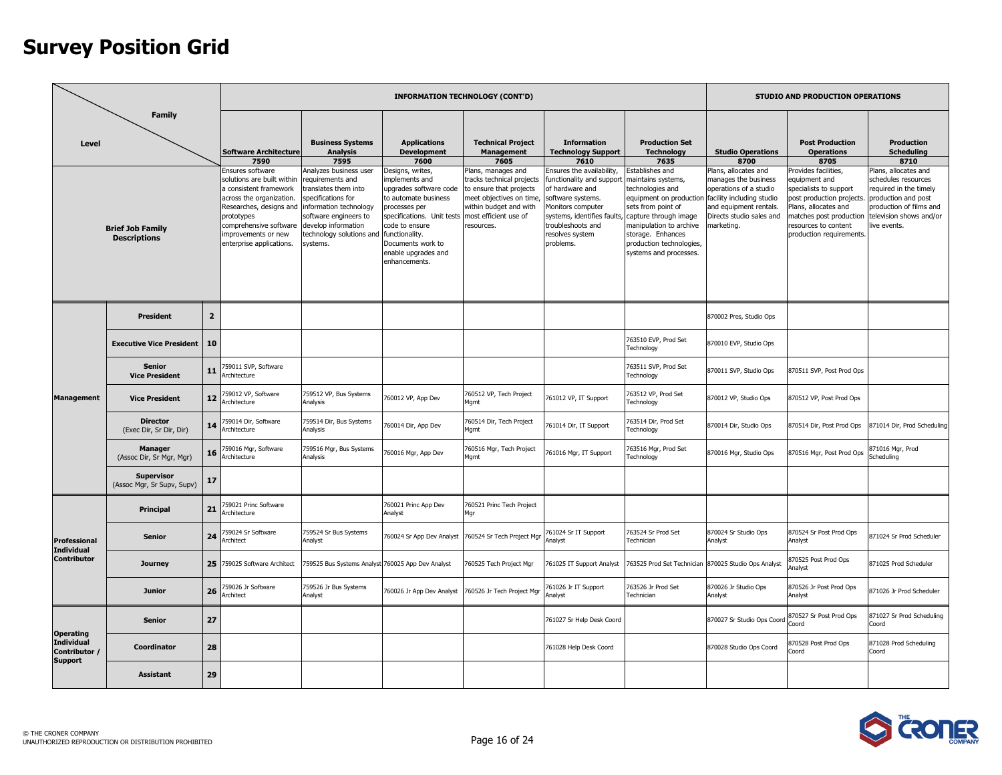|                                               | <b>Family</b>                                   |                |                                                                                                                                                                                                                                                   |                                                                                                                                                                                 |                                                                                                                                                                                                                                     | <b>INFORMATION TECHNOLOGY (CONT'D)</b>                                                                                                                                  |                                                                                                                                                                                                                                                  |                                                                                                                                                                                           |                                                                                                                                                                         | STUDIO AND PRODUCTION OPERATIONS                                                                                                                                                                   |                                                                                                                                                                   |
|-----------------------------------------------|-------------------------------------------------|----------------|---------------------------------------------------------------------------------------------------------------------------------------------------------------------------------------------------------------------------------------------------|---------------------------------------------------------------------------------------------------------------------------------------------------------------------------------|-------------------------------------------------------------------------------------------------------------------------------------------------------------------------------------------------------------------------------------|-------------------------------------------------------------------------------------------------------------------------------------------------------------------------|--------------------------------------------------------------------------------------------------------------------------------------------------------------------------------------------------------------------------------------------------|-------------------------------------------------------------------------------------------------------------------------------------------------------------------------------------------|-------------------------------------------------------------------------------------------------------------------------------------------------------------------------|----------------------------------------------------------------------------------------------------------------------------------------------------------------------------------------------------|-------------------------------------------------------------------------------------------------------------------------------------------------------------------|
| Level                                         |                                                 |                | <b>Software Architecture</b><br>7590                                                                                                                                                                                                              | <b>Business Systems</b><br><b>Analysis</b><br>7595                                                                                                                              | <b>Applications</b><br><b>Development</b><br>7600                                                                                                                                                                                   | <b>Technical Project</b><br><b>Management</b><br>7605                                                                                                                   | <b>Information</b><br><b>Technology Support</b><br>7610                                                                                                                                                                                          | <b>Production Set</b><br><b>Technology</b><br>7635                                                                                                                                        | <b>Studio Operations</b><br>8700                                                                                                                                        | <b>Post Production</b><br><b>Operations</b><br>8705                                                                                                                                                | Production<br><b>Scheduling</b><br>8710                                                                                                                           |
|                                               | <b>Brief Job Family</b><br><b>Descriptions</b>  |                | Ensures software<br>solutions are built within<br>a consistent framework<br>across the organization.<br>Researches, designs and information technology<br>prototypes<br>comprehensive software<br>improvements or new<br>enterprise applications. | Analyzes business user<br>requirements and<br>translates them into<br>specifications for<br>software engineers to<br>develop information<br>echnology solutions and<br>systems. | Designs, writes,<br>mplements and<br>upgrades software code<br>to automate business<br>processes per<br>specifications. Unit tests<br>code to ensure<br>functionality.<br>Documents work to<br>enable upgrades and<br>enhancements. | Plans, manages and<br>tracks technical projects<br>to ensure that projects<br>meet objectives on time,<br>within budget and with<br>most efficient use of<br>resources. | Ensures the availability,<br>functionality and support maintains systems,<br>of hardware and<br>software systems.<br>Monitors computer<br>systems, identifies faults, capture through image<br>troubleshoots and<br>resolves system<br>problems. | stablishes and<br>technologies and<br>equipment on productior<br>sets from point of<br>manipulation to archive<br>storage. Enhances<br>production technologies,<br>systems and processes. | Plans, allocates and<br>manages the business<br>operations of a studio<br>facility including studio<br>and equipment rentals.<br>Directs studio sales and<br>marketing. | Provides facilities,<br>equipment and<br>specialists to support<br>post production projects.<br>Plans, allocates and<br>matches post production<br>esources to content<br>production requirements. | Plans, allocates and<br>schedules resources<br>required in the timely<br>production and post<br>production of films and<br>television shows and/or<br>ive events. |
|                                               | <b>President</b>                                | $\overline{2}$ |                                                                                                                                                                                                                                                   |                                                                                                                                                                                 |                                                                                                                                                                                                                                     |                                                                                                                                                                         |                                                                                                                                                                                                                                                  |                                                                                                                                                                                           | 870002 Pres, Studio Ops                                                                                                                                                 |                                                                                                                                                                                                    |                                                                                                                                                                   |
|                                               | <b>Executive Vice President</b>                 | 10             |                                                                                                                                                                                                                                                   |                                                                                                                                                                                 |                                                                                                                                                                                                                                     |                                                                                                                                                                         |                                                                                                                                                                                                                                                  | 763510 EVP, Prod Set<br>Technology                                                                                                                                                        | 870010 EVP, Studio Ops                                                                                                                                                  |                                                                                                                                                                                                    |                                                                                                                                                                   |
|                                               | <b>Senior</b><br><b>Vice President</b>          | 11             | '59011 SVP, Software<br><b>Irchitecture</b>                                                                                                                                                                                                       |                                                                                                                                                                                 |                                                                                                                                                                                                                                     |                                                                                                                                                                         |                                                                                                                                                                                                                                                  | 763511 SVP, Prod Set<br>Technology                                                                                                                                                        | 870011 SVP, Studio Ops                                                                                                                                                  | 370511 SVP, Post Prod Ops                                                                                                                                                                          |                                                                                                                                                                   |
| <b>Management</b>                             | <b>Vice President</b>                           | 12             | 759012 VP, Software<br><b>Architecture</b>                                                                                                                                                                                                        | 759512 VP, Bus Systems<br>Analysis                                                                                                                                              | 760012 VP, App Dev                                                                                                                                                                                                                  | 760512 VP, Tech Project<br>Mgmt                                                                                                                                         | 761012 VP, IT Support                                                                                                                                                                                                                            | 763512 VP, Prod Set<br>Technology                                                                                                                                                         | 870012 VP, Studio Ops                                                                                                                                                   | 370512 VP, Post Prod Ops                                                                                                                                                                           |                                                                                                                                                                   |
|                                               | <b>Director</b><br>(Exec Dir, Sr Dir, Dir)      | 14             | 59014 Dir, Software<br>rchitecture                                                                                                                                                                                                                | 759514 Dir, Bus Systems<br>Analysis                                                                                                                                             | '60014 Dir, App Dev                                                                                                                                                                                                                 | 760514 Dir, Tech Project<br>Mgmt                                                                                                                                        | 761014 Dir, IT Support                                                                                                                                                                                                                           | 763514 Dir, Prod Set<br>Technology                                                                                                                                                        | 870014 Dir, Studio Ops                                                                                                                                                  | 870514 Dir, Post Prod Ops                                                                                                                                                                          | 871014 Dir, Prod Scheduling                                                                                                                                       |
|                                               | <b>Manager</b><br>(Assoc Dir, Sr Mgr, Mgr)      | 16             | 59016 Mgr, Software<br>Architecture                                                                                                                                                                                                               | 759516 Mgr, Bus Systems<br>Analysis                                                                                                                                             | 760016 Mgr, App Dev                                                                                                                                                                                                                 | 760516 Mgr, Tech Project<br>Mgmt                                                                                                                                        | 761016 Mgr, IT Support                                                                                                                                                                                                                           | 763516 Mgr, Prod Set<br><b>Fechnology</b>                                                                                                                                                 | 870016 Mgr, Studio Ops                                                                                                                                                  | 370516 Mgr, Post Prod Ops                                                                                                                                                                          | 371016 Mgr, Prod<br>Scheduling                                                                                                                                    |
|                                               | <b>Supervisor</b><br>(Assoc Mgr, Sr Supv, Supv) | 17             |                                                                                                                                                                                                                                                   |                                                                                                                                                                                 |                                                                                                                                                                                                                                     |                                                                                                                                                                         |                                                                                                                                                                                                                                                  |                                                                                                                                                                                           |                                                                                                                                                                         |                                                                                                                                                                                                    |                                                                                                                                                                   |
|                                               | Principal                                       | 21             | 59021 Princ Software<br><b>Architecture</b>                                                                                                                                                                                                       |                                                                                                                                                                                 | 60021 Princ App Dev<br>Analyst                                                                                                                                                                                                      | 760521 Princ Tech Project<br>Mar                                                                                                                                        |                                                                                                                                                                                                                                                  |                                                                                                                                                                                           |                                                                                                                                                                         |                                                                                                                                                                                                    |                                                                                                                                                                   |
| Professional<br>Individual                    | <b>Senior</b>                                   | 24             | 59024 Sr Software<br><b>rchitect</b>                                                                                                                                                                                                              | 759524 Sr Bus Systems<br>Analyst                                                                                                                                                | 760024 Sr App Dev Analyst                                                                                                                                                                                                           | 760524 Sr Tech Project Mgr                                                                                                                                              | 761024 Sr IT Support<br>Analyst                                                                                                                                                                                                                  | 763524 Sr Prod Set<br>Technician                                                                                                                                                          | 870024 Sr Studio Ops<br>Analyst                                                                                                                                         | 870524 Sr Post Prod Ops<br>Analyst                                                                                                                                                                 | 871024 Sr Prod Scheduler                                                                                                                                          |
| <b>Contributor</b>                            | Journey                                         | 25             | 759025 Software Architect                                                                                                                                                                                                                         | 759525 Bus Systems Analyst 760025 App Dev Analyst                                                                                                                               |                                                                                                                                                                                                                                     | 760525 Tech Project Mgr                                                                                                                                                 | 761025 IT Support Analyst                                                                                                                                                                                                                        |                                                                                                                                                                                           | 763525 Prod Set Technician 870025 Studio Ops Analyst                                                                                                                    | 370525 Post Prod Ops<br>nalyst                                                                                                                                                                     | 871025 Prod Scheduler                                                                                                                                             |
|                                               | <b>Junior</b>                                   | 26             | '59026 Jr Software<br><b>\rchitect</b>                                                                                                                                                                                                            | 759526 Jr Bus Systems<br>Analyst                                                                                                                                                | 760026 Jr App Dev Analyst                                                                                                                                                                                                           | 760526 Jr Tech Project Mgr                                                                                                                                              | 761026 Jr IT Support<br><b>Analyst</b>                                                                                                                                                                                                           | 763526 Jr Prod Set<br>Technician                                                                                                                                                          | 870026 Jr Studio Ops<br>Analyst                                                                                                                                         | 370526 Jr Post Prod Ops<br><b>Analyst</b>                                                                                                                                                          | 871026 Jr Prod Scheduler                                                                                                                                          |
| <b>Operating</b>                              | <b>Senior</b>                                   | 27             |                                                                                                                                                                                                                                                   |                                                                                                                                                                                 |                                                                                                                                                                                                                                     |                                                                                                                                                                         | 761027 Sr Help Desk Coord                                                                                                                                                                                                                        |                                                                                                                                                                                           | 870027 Sr Studio Ops Coord                                                                                                                                              | 370527 Sr Post Prod Ops<br>Coord                                                                                                                                                                   | 371027 Sr Prod Scheduling<br>Coord                                                                                                                                |
| Individual<br>Contributor /<br><b>Support</b> | Coordinator                                     | 28             |                                                                                                                                                                                                                                                   |                                                                                                                                                                                 |                                                                                                                                                                                                                                     |                                                                                                                                                                         | 761028 Help Desk Coord                                                                                                                                                                                                                           |                                                                                                                                                                                           | 870028 Studio Ops Coord                                                                                                                                                 | 370528 Post Prod Ops<br>hno.                                                                                                                                                                       | 871028 Prod Scheduling<br>Coord                                                                                                                                   |
|                                               | <b>Assistant</b>                                | 29             |                                                                                                                                                                                                                                                   |                                                                                                                                                                                 |                                                                                                                                                                                                                                     |                                                                                                                                                                         |                                                                                                                                                                                                                                                  |                                                                                                                                                                                           |                                                                                                                                                                         |                                                                                                                                                                                                    |                                                                                                                                                                   |

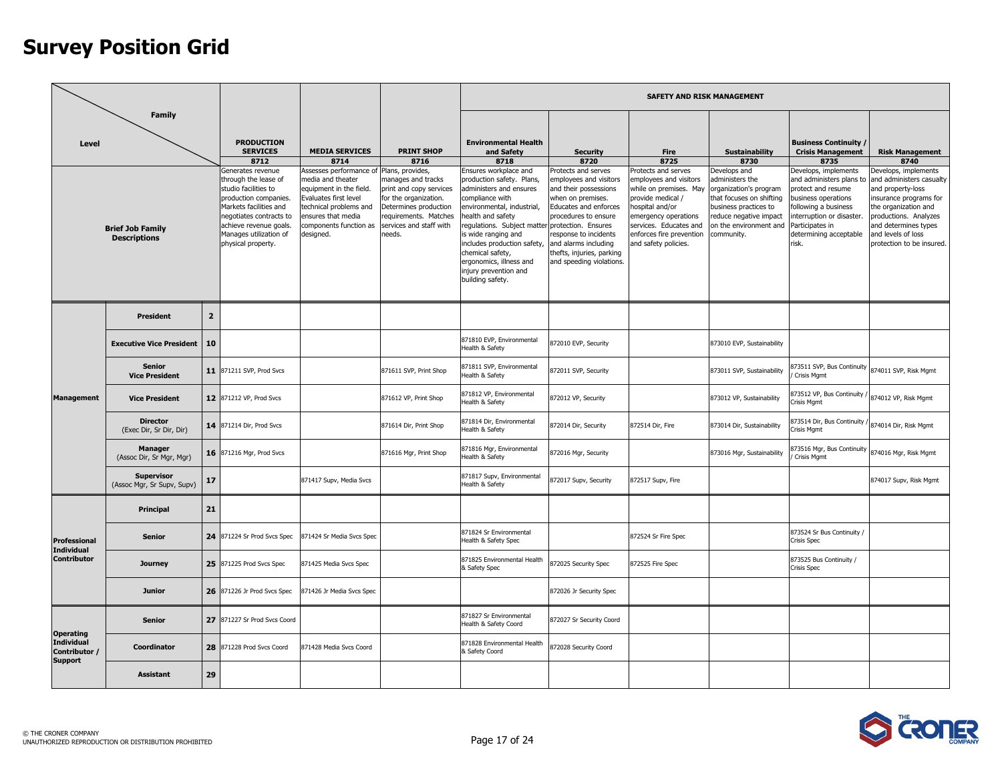|                                               |                                                                 |                |                                                                                                                                                                                                                                                                           |                                                                                                                                                                                                                          |                                                                                                                                                                                                                |                                                                                                                                                                                                                                                                                               |                                                                                                                                                                                                                                                 | <b>SAFETY AND RISK MANAGEMENT</b>                                                                                                                                                                                                            |                                                                                                                                                                                                                   |                                                                                                                                                                                                                                                                            |                                                                                                                                                                                                                                                               |
|-----------------------------------------------|-----------------------------------------------------------------|----------------|---------------------------------------------------------------------------------------------------------------------------------------------------------------------------------------------------------------------------------------------------------------------------|--------------------------------------------------------------------------------------------------------------------------------------------------------------------------------------------------------------------------|----------------------------------------------------------------------------------------------------------------------------------------------------------------------------------------------------------------|-----------------------------------------------------------------------------------------------------------------------------------------------------------------------------------------------------------------------------------------------------------------------------------------------|-------------------------------------------------------------------------------------------------------------------------------------------------------------------------------------------------------------------------------------------------|----------------------------------------------------------------------------------------------------------------------------------------------------------------------------------------------------------------------------------------------|-------------------------------------------------------------------------------------------------------------------------------------------------------------------------------------------------------------------|----------------------------------------------------------------------------------------------------------------------------------------------------------------------------------------------------------------------------------------------------------------------------|---------------------------------------------------------------------------------------------------------------------------------------------------------------------------------------------------------------------------------------------------------------|
| Level                                         | <b>Family</b><br><b>Brief Job Family</b><br><b>Descriptions</b> |                | <b>PRODUCTION</b><br><b>SERVICES</b><br>8712<br>Generates revenue<br>through the lease of<br>studio facilities to<br>production companies.<br>Markets facilities and<br>negotiates contracts to<br>achieve revenue goals.<br>Manages utilization of<br>physical property. | <b>MEDIA SERVICES</b><br>8714<br>Assesses performance of<br>media and theater<br>equipment in the field.<br>Evaluates first level<br>technical problems and<br>ensures that media<br>components function as<br>designed. | <b>PRINT SHOP</b><br>8716<br>Plans, provides,<br>manages and tracks<br>print and copy services<br>for the organization.<br>Determines production<br>requirements. Matches<br>services and staff with<br>needs. | <b>Environmental Health</b><br>and Safety<br>8718<br>Ensures workplace and<br>production safety. Plans,<br>administers and ensures<br>compliance with<br>environmental, industrial,<br>health and safety<br>regulations. Subject matter<br>is wide ranging and<br>includes production safety, | <b>Security</b><br>8720<br>Protects and serves<br>employees and visitors<br>and their possessions<br>when on premises.<br>Educates and enforces<br>procedures to ensure<br>protection. Ensures<br>response to incidents<br>and alarms including | <b>Fire</b><br>8725<br>Protects and serves<br>employees and visitors<br>while on premises. May<br>provide medical /<br>nospital and/or<br>emergency operations<br>services. Educates and<br>enforces fire prevention<br>and safety policies. | <b>Sustainability</b><br>8730<br>Develops and<br>administers the<br>organization's program<br>that focuses on shifting<br>business practices to<br>reduce negative impact<br>on the environment and<br>community. | <b>Business Continuity /</b><br><b>Crisis Management</b><br>8735<br>Develops, implements<br>and administers plans to<br>protect and resume<br>business operations<br>ollowing a business<br>nterruption or disaster.<br>Participates in<br>determining acceptable<br>risk. | <b>Risk Management</b><br>8740<br>Develops, implements<br>and administers casualty<br>and property-loss<br>insurance programs for<br>the organization and<br>productions. Analyzes<br>and determines types<br>and levels of loss<br>protection to be insured. |
|                                               |                                                                 |                |                                                                                                                                                                                                                                                                           |                                                                                                                                                                                                                          |                                                                                                                                                                                                                | chemical safety,<br>ergonomics, illness and<br>injury prevention and<br>building safety.                                                                                                                                                                                                      | thefts, injuries, parking<br>and speeding violations.                                                                                                                                                                                           |                                                                                                                                                                                                                                              |                                                                                                                                                                                                                   |                                                                                                                                                                                                                                                                            |                                                                                                                                                                                                                                                               |
|                                               | <b>President</b>                                                | $\overline{2}$ |                                                                                                                                                                                                                                                                           |                                                                                                                                                                                                                          |                                                                                                                                                                                                                |                                                                                                                                                                                                                                                                                               |                                                                                                                                                                                                                                                 |                                                                                                                                                                                                                                              |                                                                                                                                                                                                                   |                                                                                                                                                                                                                                                                            |                                                                                                                                                                                                                                                               |
|                                               | <b>Executive Vice President</b>                                 | 10             |                                                                                                                                                                                                                                                                           |                                                                                                                                                                                                                          |                                                                                                                                                                                                                | 871810 EVP, Environmental<br>Health & Safety                                                                                                                                                                                                                                                  | 872010 EVP, Security                                                                                                                                                                                                                            |                                                                                                                                                                                                                                              | 873010 EVP, Sustainability                                                                                                                                                                                        |                                                                                                                                                                                                                                                                            |                                                                                                                                                                                                                                                               |
|                                               | <b>Senior</b><br><b>Vice President</b>                          | 11             | 871211 SVP, Prod Svcs                                                                                                                                                                                                                                                     |                                                                                                                                                                                                                          | 871611 SVP, Print Shop                                                                                                                                                                                         | 371811 SVP, Environmental<br>lealth & Safety                                                                                                                                                                                                                                                  | 872011 SVP, Security                                                                                                                                                                                                                            |                                                                                                                                                                                                                                              | 873011 SVP, Sustainability                                                                                                                                                                                        | 373511 SVP, Bus Continuity<br>Crisis Mgmt                                                                                                                                                                                                                                  | 874011 SVP, Risk Mgmt                                                                                                                                                                                                                                         |
| <b>Management</b>                             | <b>Vice President</b>                                           |                | 12 871212 VP, Prod Svcs                                                                                                                                                                                                                                                   |                                                                                                                                                                                                                          | 871612 VP, Print Shop                                                                                                                                                                                          | 871812 VP, Environmental<br>Health & Safety                                                                                                                                                                                                                                                   | 872012 VP, Security                                                                                                                                                                                                                             |                                                                                                                                                                                                                                              | 873012 VP, Sustainability                                                                                                                                                                                         | 373512 VP, Bus Continuity /<br>risis Mamt                                                                                                                                                                                                                                  | 874012 VP, Risk Mgmt                                                                                                                                                                                                                                          |
|                                               | <b>Director</b><br>(Exec Dir, Sr Dir, Dir)                      |                | 14 871214 Dir, Prod Svcs                                                                                                                                                                                                                                                  |                                                                                                                                                                                                                          | 871614 Dir, Print Shop                                                                                                                                                                                         | 871814 Dir, Environmental<br>Health & Safety                                                                                                                                                                                                                                                  | 872014 Dir, Security                                                                                                                                                                                                                            | 872514 Dir, Fire                                                                                                                                                                                                                             | 873014 Dir, Sustainability                                                                                                                                                                                        | 373514 Dir, Bus Continuity<br>risis Mgmt                                                                                                                                                                                                                                   | 874014 Dir, Risk Mgmt                                                                                                                                                                                                                                         |
|                                               | <b>Manager</b><br>(Assoc Dir, Sr Mgr, Mgr)                      |                | 16 871216 Mgr, Prod Svcs                                                                                                                                                                                                                                                  |                                                                                                                                                                                                                          | 871616 Mgr, Print Shop                                                                                                                                                                                         | 871816 Mgr, Environmental<br>lealth & Safety                                                                                                                                                                                                                                                  | 872016 Mgr, Security                                                                                                                                                                                                                            |                                                                                                                                                                                                                                              | 873016 Mgr, Sustainability                                                                                                                                                                                        | 73516 Mgr, Bus Continuity<br>Crisis Mgmt                                                                                                                                                                                                                                   | 874016 Mgr, Risk Mgmt                                                                                                                                                                                                                                         |
|                                               | <b>Supervisor</b><br>(Assoc Mgr, Sr Supv, Supv)                 | 17             |                                                                                                                                                                                                                                                                           | 871417 Supv, Media Svcs                                                                                                                                                                                                  |                                                                                                                                                                                                                | 871817 Supv, Environmental<br>lealth & Safety                                                                                                                                                                                                                                                 | 872017 Supv, Security                                                                                                                                                                                                                           | 872517 Supv, Fire                                                                                                                                                                                                                            |                                                                                                                                                                                                                   |                                                                                                                                                                                                                                                                            | 874017 Supv, Risk Mgmt                                                                                                                                                                                                                                        |
|                                               | Principal                                                       | 21             |                                                                                                                                                                                                                                                                           |                                                                                                                                                                                                                          |                                                                                                                                                                                                                |                                                                                                                                                                                                                                                                                               |                                                                                                                                                                                                                                                 |                                                                                                                                                                                                                                              |                                                                                                                                                                                                                   |                                                                                                                                                                                                                                                                            |                                                                                                                                                                                                                                                               |
| <b>Professional</b><br>Individual             | <b>Senior</b>                                                   | 24             | 871224 Sr Prod Svcs Spec                                                                                                                                                                                                                                                  | 371424 Sr Media Svcs Spec                                                                                                                                                                                                |                                                                                                                                                                                                                | 871824 Sr Environmental<br>Health & Safety Spec                                                                                                                                                                                                                                               |                                                                                                                                                                                                                                                 | 872524 Sr Fire Spec                                                                                                                                                                                                                          |                                                                                                                                                                                                                   | 873524 Sr Bus Continuity /<br>Crisis Spec                                                                                                                                                                                                                                  |                                                                                                                                                                                                                                                               |
| <b>Contributor</b>                            | Journey                                                         |                | 25 871225 Prod Svcs Spec                                                                                                                                                                                                                                                  | 871425 Media Svcs Spec                                                                                                                                                                                                   |                                                                                                                                                                                                                | 871825 Environmental Health<br>& Safety Spec                                                                                                                                                                                                                                                  | 872025 Security Spec                                                                                                                                                                                                                            | 872525 Fire Spec                                                                                                                                                                                                                             |                                                                                                                                                                                                                   | 873525 Bus Continuity /<br><b>Crisis Spec</b>                                                                                                                                                                                                                              |                                                                                                                                                                                                                                                               |
|                                               | <b>Junior</b>                                                   |                | 26 871226 Jr Prod Svcs Spec                                                                                                                                                                                                                                               | 371426 Jr Media Svcs Spec                                                                                                                                                                                                |                                                                                                                                                                                                                |                                                                                                                                                                                                                                                                                               | 872026 Jr Security Spec                                                                                                                                                                                                                         |                                                                                                                                                                                                                                              |                                                                                                                                                                                                                   |                                                                                                                                                                                                                                                                            |                                                                                                                                                                                                                                                               |
| <b>Operating</b>                              | <b>Senior</b>                                                   | 27             | 871227 Sr Prod Svcs Coord                                                                                                                                                                                                                                                 |                                                                                                                                                                                                                          |                                                                                                                                                                                                                | 871827 Sr Environmental<br>Health & Safety Coord                                                                                                                                                                                                                                              | 872027 Sr Security Coord                                                                                                                                                                                                                        |                                                                                                                                                                                                                                              |                                                                                                                                                                                                                   |                                                                                                                                                                                                                                                                            |                                                                                                                                                                                                                                                               |
| Individual<br>Contributor /<br><b>Support</b> | Coordinator                                                     | 28             | 871228 Prod Svcs Coord                                                                                                                                                                                                                                                    | 371428 Media Svcs Coord                                                                                                                                                                                                  |                                                                                                                                                                                                                | 871828 Environmental Health<br>& Safety Coord                                                                                                                                                                                                                                                 | 872028 Security Coord                                                                                                                                                                                                                           |                                                                                                                                                                                                                                              |                                                                                                                                                                                                                   |                                                                                                                                                                                                                                                                            |                                                                                                                                                                                                                                                               |
|                                               | <b>Assistant</b>                                                | 29             |                                                                                                                                                                                                                                                                           |                                                                                                                                                                                                                          |                                                                                                                                                                                                                |                                                                                                                                                                                                                                                                                               |                                                                                                                                                                                                                                                 |                                                                                                                                                                                                                                              |                                                                                                                                                                                                                   |                                                                                                                                                                                                                                                                            |                                                                                                                                                                                                                                                               |

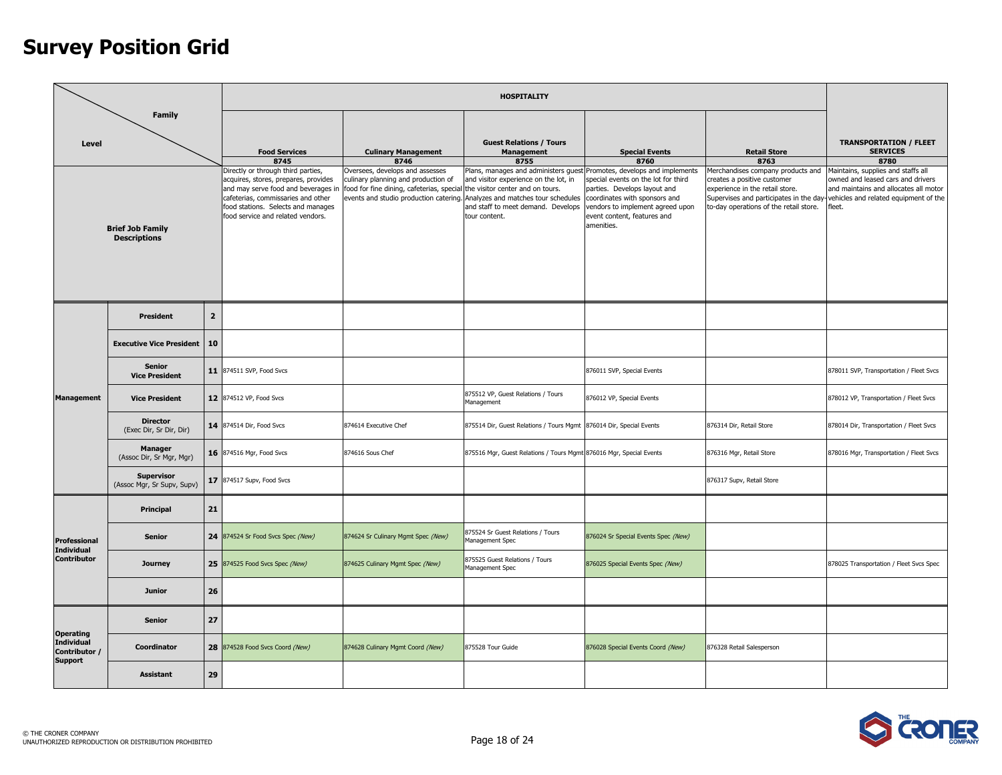|                                               |                                                 |                |                                                                                                                                                                                                                                    |                                                                                                                                                      | <b>HOSPITALITY</b>                                                                                                                                                                                                                                   |                                                                                                                                                                                       |                                                                                                                                               |                                                                                                                                                                                                            |
|-----------------------------------------------|-------------------------------------------------|----------------|------------------------------------------------------------------------------------------------------------------------------------------------------------------------------------------------------------------------------------|------------------------------------------------------------------------------------------------------------------------------------------------------|------------------------------------------------------------------------------------------------------------------------------------------------------------------------------------------------------------------------------------------------------|---------------------------------------------------------------------------------------------------------------------------------------------------------------------------------------|-----------------------------------------------------------------------------------------------------------------------------------------------|------------------------------------------------------------------------------------------------------------------------------------------------------------------------------------------------------------|
| Level                                         | <b>Family</b>                                   |                | <b>Food Services</b><br>8745                                                                                                                                                                                                       | <b>Culinary Management</b><br>8746                                                                                                                   | <b>Guest Relations / Tours</b><br><b>Management</b><br>8755                                                                                                                                                                                          | <b>Special Events</b><br>8760                                                                                                                                                         | <b>Retail Store</b><br>8763                                                                                                                   | <b>TRANSPORTATION / FLEET</b><br><b>SERVICES</b><br>8780                                                                                                                                                   |
|                                               | <b>Brief Job Family</b><br><b>Descriptions</b>  |                | Directly or through third parties,<br>acquires, stores, prepares, provides<br>and may serve food and beverages ir<br>cafeterias, commissaries and other<br>food stations. Selects and manages<br>food service and related vendors. | Oversees, develops and assesses<br>culinary planning and production of<br>food for fine dining, cafeterias, special the visitor center and on tours. | Plans, manages and administers guest Promotes, develops and implements<br>and visitor experience on the lot, in<br>events and studio production catering. Analyzes and matches tour schedules<br>and staff to meet demand. Develops<br>tour content. | special events on the lot for third<br>parties. Develops layout and<br>coordinates with sponsors and<br>vendors to implement agreed upon<br>event content, features and<br>amenities. | Merchandises company products and<br>creates a positive customer<br>experience in the retail store.<br>to-day operations of the retail store. | Maintains, supplies and staffs all<br>owned and leased cars and drivers<br>and maintains and allocates all motor<br>Supervises and participates in the day-vehicles and related equipment of the<br>fleet. |
|                                               | <b>President</b>                                | $\overline{2}$ |                                                                                                                                                                                                                                    |                                                                                                                                                      |                                                                                                                                                                                                                                                      |                                                                                                                                                                                       |                                                                                                                                               |                                                                                                                                                                                                            |
|                                               | <b>Executive Vice President</b>                 | 10             |                                                                                                                                                                                                                                    |                                                                                                                                                      |                                                                                                                                                                                                                                                      |                                                                                                                                                                                       |                                                                                                                                               |                                                                                                                                                                                                            |
|                                               | <b>Senior</b><br><b>Vice President</b>          |                | 11 874511 SVP, Food Svcs                                                                                                                                                                                                           |                                                                                                                                                      |                                                                                                                                                                                                                                                      | 876011 SVP, Special Events                                                                                                                                                            |                                                                                                                                               | 878011 SVP, Transportation / Fleet Svcs                                                                                                                                                                    |
| <b>Management</b>                             | <b>Vice President</b>                           |                | 12 874512 VP, Food Svcs                                                                                                                                                                                                            |                                                                                                                                                      | 875512 VP, Guest Relations / Tours<br>Management                                                                                                                                                                                                     | 876012 VP, Special Events                                                                                                                                                             |                                                                                                                                               | 878012 VP, Transportation / Fleet Svcs                                                                                                                                                                     |
|                                               | <b>Director</b><br>(Exec Dir, Sr Dir, Dir)      |                | 14 874514 Dir, Food Svcs                                                                                                                                                                                                           | 874614 Executive Chef                                                                                                                                | 875514 Dir, Guest Relations / Tours Mgmt 876014 Dir, Special Events                                                                                                                                                                                  |                                                                                                                                                                                       | 876314 Dir, Retail Store                                                                                                                      | 878014 Dir, Transportation / Fleet Svcs                                                                                                                                                                    |
|                                               | <b>Manager</b><br>(Assoc Dir, Sr Mgr, Mgr)      |                | 16 874516 Mgr, Food Svcs                                                                                                                                                                                                           | 874616 Sous Chef                                                                                                                                     | 875516 Mgr, Guest Relations / Tours Mgmt 876016 Mgr, Special Events                                                                                                                                                                                  |                                                                                                                                                                                       | 876316 Mgr, Retail Store                                                                                                                      | 878016 Mgr, Transportation / Fleet Svcs                                                                                                                                                                    |
|                                               | <b>Supervisor</b><br>(Assoc Mgr, Sr Supv, Supv) |                | 17 874517 Supv, Food Svcs                                                                                                                                                                                                          |                                                                                                                                                      |                                                                                                                                                                                                                                                      |                                                                                                                                                                                       | 876317 Supv, Retail Store                                                                                                                     |                                                                                                                                                                                                            |
|                                               | Principal                                       | 21             |                                                                                                                                                                                                                                    |                                                                                                                                                      |                                                                                                                                                                                                                                                      |                                                                                                                                                                                       |                                                                                                                                               |                                                                                                                                                                                                            |
| <b>Professional</b><br><b>Individual</b>      | <b>Senior</b>                                   |                | 24 874524 Sr Food Svcs Spec (New)                                                                                                                                                                                                  | 874624 Sr Culinary Mgmt Spec (New)                                                                                                                   | 875524 Sr Guest Relations / Tours<br>Management Spec                                                                                                                                                                                                 | 876024 Sr Special Events Spec (New)                                                                                                                                                   |                                                                                                                                               |                                                                                                                                                                                                            |
| <b>Contributor</b>                            | Journey                                         |                | 25 874525 Food Svcs Spec (New)                                                                                                                                                                                                     | 874625 Culinary Mgmt Spec (New)                                                                                                                      | 875525 Guest Relations / Tours<br>Management Spec                                                                                                                                                                                                    | 876025 Special Events Spec (New)                                                                                                                                                      |                                                                                                                                               | 878025 Transportation / Fleet Svcs Spec                                                                                                                                                                    |
|                                               | <b>Junior</b>                                   | 26             |                                                                                                                                                                                                                                    |                                                                                                                                                      |                                                                                                                                                                                                                                                      |                                                                                                                                                                                       |                                                                                                                                               |                                                                                                                                                                                                            |
| <b>Operating</b>                              | <b>Senior</b>                                   | 27             |                                                                                                                                                                                                                                    |                                                                                                                                                      |                                                                                                                                                                                                                                                      |                                                                                                                                                                                       |                                                                                                                                               |                                                                                                                                                                                                            |
| Individual<br>Contributor /<br><b>Support</b> | Coordinator                                     |                | 28 874528 Food Svcs Coord (New)                                                                                                                                                                                                    | 874628 Culinary Mgmt Coord (New)                                                                                                                     | 875528 Tour Guide                                                                                                                                                                                                                                    | 876028 Special Events Coord (New)                                                                                                                                                     | 876328 Retail Salesperson                                                                                                                     |                                                                                                                                                                                                            |
|                                               | <b>Assistant</b>                                | 29             |                                                                                                                                                                                                                                    |                                                                                                                                                      |                                                                                                                                                                                                                                                      |                                                                                                                                                                                       |                                                                                                                                               |                                                                                                                                                                                                            |

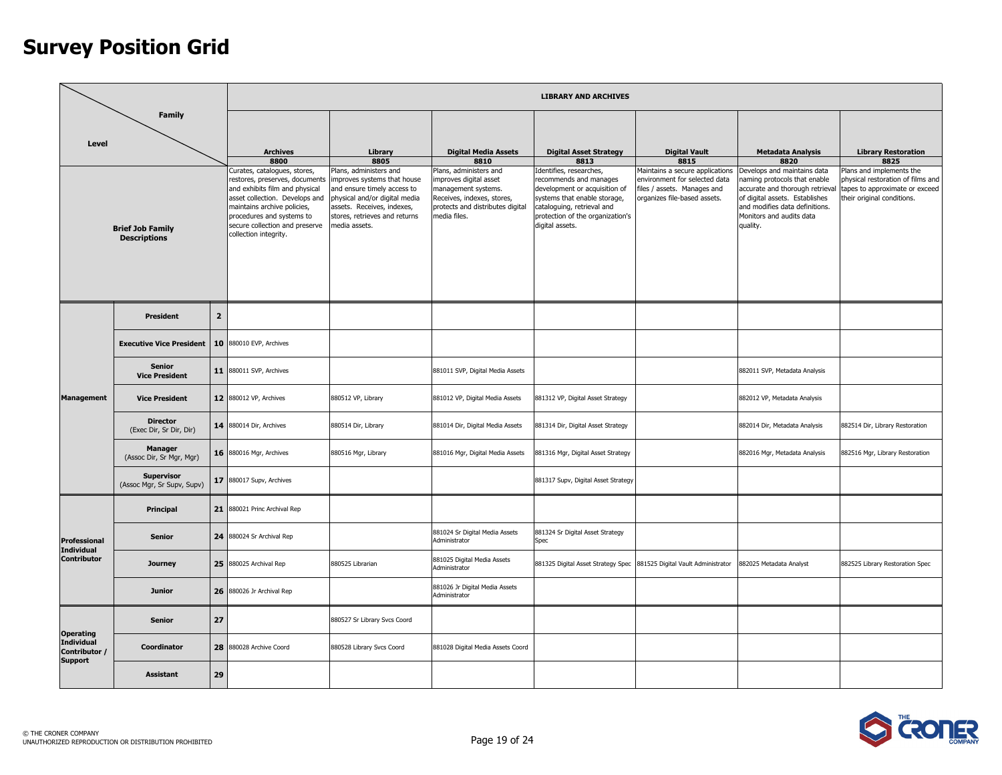|                                                      |                                                                                                                                                   |              |                                                                                                                                                                                                                                                           |                                                                                                                                                                                                       |                                                                                                                                                           | <b>LIBRARY AND ARCHIVES</b>                                                                                                                                                                             |                                                                                                                                 |                                                                                                                                                                                                            |                                                                                                                               |
|------------------------------------------------------|---------------------------------------------------------------------------------------------------------------------------------------------------|--------------|-----------------------------------------------------------------------------------------------------------------------------------------------------------------------------------------------------------------------------------------------------------|-------------------------------------------------------------------------------------------------------------------------------------------------------------------------------------------------------|-----------------------------------------------------------------------------------------------------------------------------------------------------------|---------------------------------------------------------------------------------------------------------------------------------------------------------------------------------------------------------|---------------------------------------------------------------------------------------------------------------------------------|------------------------------------------------------------------------------------------------------------------------------------------------------------------------------------------------------------|-------------------------------------------------------------------------------------------------------------------------------|
| Level                                                | <b>Family</b>                                                                                                                                     |              | <b>Archives</b>                                                                                                                                                                                                                                           | Library                                                                                                                                                                                               | <b>Digital Media Assets</b>                                                                                                                               | <b>Digital Asset Strategy</b>                                                                                                                                                                           | <b>Digital Vault</b>                                                                                                            | <b>Metadata Analysis</b>                                                                                                                                                                                   | <b>Library Restoration</b>                                                                                                    |
|                                                      |                                                                                                                                                   |              | 8800                                                                                                                                                                                                                                                      | 8805                                                                                                                                                                                                  | 8810                                                                                                                                                      | 8813                                                                                                                                                                                                    | 8815                                                                                                                            | 8820                                                                                                                                                                                                       | 8825                                                                                                                          |
|                                                      | <b>Brief Job Family</b><br><b>Descriptions</b><br>President<br><b>Senior</b><br><b>Vice President</b><br><b>Vice President</b><br><b>Director</b> |              | Curates, catalogues, stores,<br>restores, preserves, documents<br>and exhibits film and physical<br>asset collection. Develops and<br>maintains archive policies,<br>procedures and systems to<br>secure collection and preserve<br>collection integrity. | Plans, administers and<br>improves systems that house<br>and ensure timely access to<br>physical and/or digital media<br>assets. Receives, indexes,<br>stores, retrieves and returns<br>media assets. | Plans, administers and<br>improves digital asset<br>management systems.<br>Receives, indexes, stores,<br>protects and distributes digital<br>media files. | Identifies, researches,<br>recommends and manages<br>development or acquisition of<br>systems that enable storage,<br>cataloguing, retrieval and<br>protection of the organization's<br>digital assets. | Maintains a secure applications<br>environment for selected data<br>files / assets. Manages and<br>organizes file-based assets. | Develops and maintains data<br>naming protocols that enable<br>accurate and thorough retrieval<br>of digital assets. Establishes<br>and modifies data definitions.<br>Monitors and audits data<br>quality. | Plans and implements the<br>physical restoration of films and<br>tapes to approximate or exceed<br>their original conditions. |
|                                                      |                                                                                                                                                   | $\mathbf{2}$ |                                                                                                                                                                                                                                                           |                                                                                                                                                                                                       |                                                                                                                                                           |                                                                                                                                                                                                         |                                                                                                                                 |                                                                                                                                                                                                            |                                                                                                                               |
|                                                      | <b>Executive Vice President</b>                                                                                                                   |              | 10 880010 EVP, Archives                                                                                                                                                                                                                                   |                                                                                                                                                                                                       |                                                                                                                                                           |                                                                                                                                                                                                         |                                                                                                                                 |                                                                                                                                                                                                            |                                                                                                                               |
|                                                      |                                                                                                                                                   |              | 11 880011 SVP, Archives                                                                                                                                                                                                                                   |                                                                                                                                                                                                       | 881011 SVP, Digital Media Assets                                                                                                                          |                                                                                                                                                                                                         |                                                                                                                                 | 882011 SVP, Metadata Analysis                                                                                                                                                                              |                                                                                                                               |
| <b>Management</b>                                    |                                                                                                                                                   |              | 12 880012 VP, Archives                                                                                                                                                                                                                                    | 880512 VP, Library                                                                                                                                                                                    | 881012 VP, Digital Media Assets                                                                                                                           | 881312 VP, Digital Asset Strategy                                                                                                                                                                       |                                                                                                                                 | 882012 VP, Metadata Analysis                                                                                                                                                                               |                                                                                                                               |
|                                                      | (Exec Dir, Sr Dir, Dir)                                                                                                                           |              | <b>14</b> 880014 Dir, Archives                                                                                                                                                                                                                            | 880514 Dir, Library                                                                                                                                                                                   | 881014 Dir, Digital Media Assets                                                                                                                          | 881314 Dir, Digital Asset Strategy                                                                                                                                                                      |                                                                                                                                 | 882014 Dir, Metadata Analysis                                                                                                                                                                              | 882514 Dir, Library Restoration                                                                                               |
|                                                      | <b>Manager</b><br>(Assoc Dir, Sr Mgr, Mgr)                                                                                                        |              | 16 880016 Mgr, Archives                                                                                                                                                                                                                                   | 880516 Mgr, Library                                                                                                                                                                                   | 881016 Mgr, Digital Media Assets                                                                                                                          | 881316 Mgr, Digital Asset Strategy                                                                                                                                                                      |                                                                                                                                 | 882016 Mgr, Metadata Analysis                                                                                                                                                                              | 882516 Mgr, Library Restoration                                                                                               |
|                                                      | <b>Supervisor</b><br>(Assoc Mgr, Sr Supv, Supv)                                                                                                   |              | 17 880017 Supv, Archives                                                                                                                                                                                                                                  |                                                                                                                                                                                                       |                                                                                                                                                           | 881317 Supv, Digital Asset Strategy                                                                                                                                                                     |                                                                                                                                 |                                                                                                                                                                                                            |                                                                                                                               |
|                                                      | Principal                                                                                                                                         |              | 21 880021 Princ Archival Rep                                                                                                                                                                                                                              |                                                                                                                                                                                                       |                                                                                                                                                           |                                                                                                                                                                                                         |                                                                                                                                 |                                                                                                                                                                                                            |                                                                                                                               |
| <b>Professional</b><br><b>Individual</b>             | <b>Senior</b>                                                                                                                                     |              | 24 880024 Sr Archival Rep                                                                                                                                                                                                                                 |                                                                                                                                                                                                       | 881024 Sr Digital Media Assets<br>Administrator                                                                                                           | 881324 Sr Digital Asset Strategy<br>Spec                                                                                                                                                                |                                                                                                                                 |                                                                                                                                                                                                            |                                                                                                                               |
| <b>Contributor</b>                                   | <b>Journey</b>                                                                                                                                    |              | 25 880025 Archival Rep                                                                                                                                                                                                                                    | 880525 Librarian                                                                                                                                                                                      | 881025 Digital Media Assets<br>Administrator                                                                                                              | 881325 Digital Asset Strategy Spec                                                                                                                                                                      | 881525 Digital Vault Administrator                                                                                              | 882025 Metadata Analyst                                                                                                                                                                                    | 882525 Library Restoration Spec                                                                                               |
|                                                      | <b>Junior</b>                                                                                                                                     |              | 26 880026 Jr Archival Rep                                                                                                                                                                                                                                 |                                                                                                                                                                                                       | 881026 Jr Digital Media Assets<br>Administrator                                                                                                           |                                                                                                                                                                                                         |                                                                                                                                 |                                                                                                                                                                                                            |                                                                                                                               |
| <b>Operating</b>                                     | <b>Senior</b>                                                                                                                                     | 27           |                                                                                                                                                                                                                                                           | 880527 Sr Library Svcs Coord                                                                                                                                                                          |                                                                                                                                                           |                                                                                                                                                                                                         |                                                                                                                                 |                                                                                                                                                                                                            |                                                                                                                               |
| <b>Individual</b><br>Contributor /<br><b>Support</b> | Coordinator                                                                                                                                       |              | 28 880028 Archive Coord                                                                                                                                                                                                                                   | 880528 Library Svcs Coord                                                                                                                                                                             | 881028 Digital Media Assets Coord                                                                                                                         |                                                                                                                                                                                                         |                                                                                                                                 |                                                                                                                                                                                                            |                                                                                                                               |
|                                                      | <b>Assistant</b>                                                                                                                                  | 29           |                                                                                                                                                                                                                                                           |                                                                                                                                                                                                       |                                                                                                                                                           |                                                                                                                                                                                                         |                                                                                                                                 |                                                                                                                                                                                                            |                                                                                                                               |

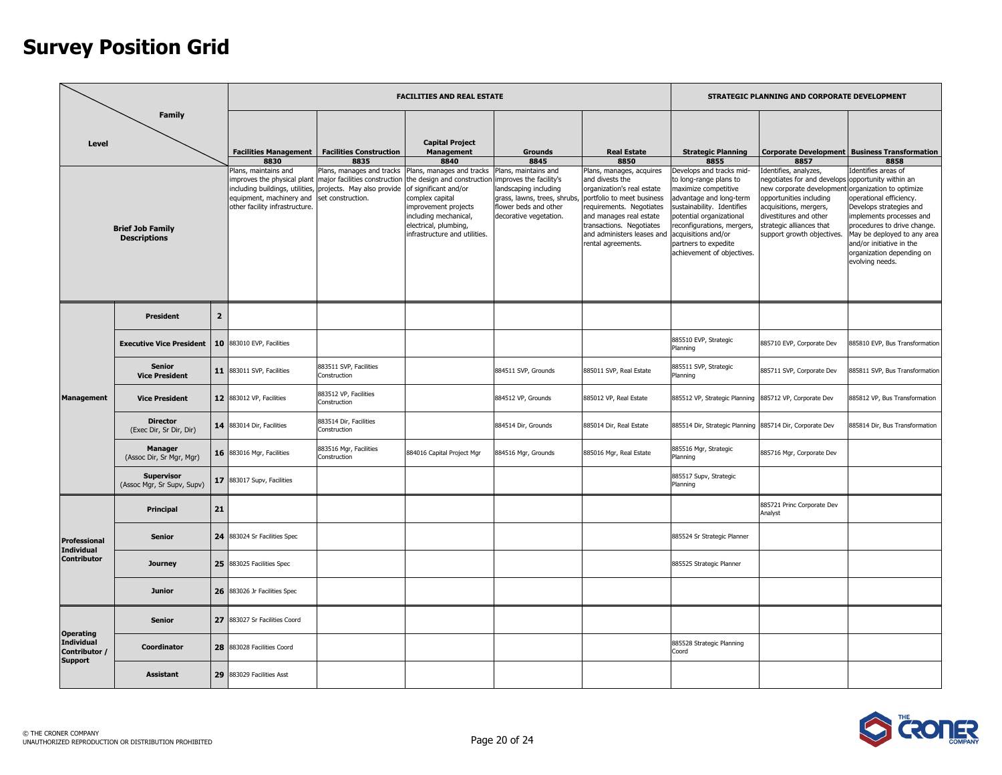|                                                                          |                                                 |                |                                                                                                                                     |                                                                                                                          | <b>FACILITIES AND REAL ESTATE</b>                                                                                                                                                                               |                                                                                                                                                             |                                                                                                                                                                                                                                                |                                                                                                                                                                                                                                                                            | STRATEGIC PLANNING AND CORPORATE DEVELOPMENT                                                                                                                                                                                                       |                                                                                                                                                                                                                                                                          |
|--------------------------------------------------------------------------|-------------------------------------------------|----------------|-------------------------------------------------------------------------------------------------------------------------------------|--------------------------------------------------------------------------------------------------------------------------|-----------------------------------------------------------------------------------------------------------------------------------------------------------------------------------------------------------------|-------------------------------------------------------------------------------------------------------------------------------------------------------------|------------------------------------------------------------------------------------------------------------------------------------------------------------------------------------------------------------------------------------------------|----------------------------------------------------------------------------------------------------------------------------------------------------------------------------------------------------------------------------------------------------------------------------|----------------------------------------------------------------------------------------------------------------------------------------------------------------------------------------------------------------------------------------------------|--------------------------------------------------------------------------------------------------------------------------------------------------------------------------------------------------------------------------------------------------------------------------|
| Level                                                                    | <b>Family</b>                                   |                | <b>Facilities Management</b><br>8830                                                                                                | <b>Facilities Construction</b><br>8835                                                                                   | <b>Capital Project</b><br><b>Management</b><br>8840                                                                                                                                                             | <b>Grounds</b><br>8845                                                                                                                                      | <b>Real Estate</b><br>8850                                                                                                                                                                                                                     | <b>Strategic Planning</b><br>8855                                                                                                                                                                                                                                          | 8857                                                                                                                                                                                                                                               | <b>Corporate Development Business Transformation</b><br>8858                                                                                                                                                                                                             |
|                                                                          | <b>Brief Job Family</b><br><b>Descriptions</b>  |                | Plans, maintains and<br>improves the physical plant<br>equipment, machinery and set construction.<br>other facility infrastructure. | Plans, manages and tracks<br>major facilities construction<br>including buildings, utilities, projects. May also provide | Plans, manages and tracks<br>the design and construction<br>of significant and/or<br>complex capital<br>improvement projects<br>including mechanical,<br>electrical, plumbing,<br>infrastructure and utilities. | Plans, maintains and<br>improves the facility's<br>landscaping including<br>grass, lawns, trees, shrubs,<br>flower beds and other<br>decorative vegetation. | Plans, manages, acquires<br>and divests the<br>organization's real estate<br>portfolio to meet business<br>requirements. Negotiates<br>and manages real estate<br>transactions. Negotiates<br>and administers leases and<br>rental agreements. | Develops and tracks mid-<br>to long-range plans to<br>maximize competitive<br>advantage and long-term<br>sustainability. Identifies<br>potential organizational<br>reconfigurations, mergers,<br>acquisitions and/or<br>partners to expedite<br>achievement of objectives. | Identifies, analyzes,<br>eqotiates for and develops<br>new corporate development organization to optimize<br>opportunities including<br>acquisitions, mergers,<br>divestitures and other<br>strategic alliances that<br>support growth objectives. | Identifies areas of<br>opportunity within an<br>operational efficiency.<br>Develops strategies and<br>implements processes and<br>procedures to drive change.<br>May be deployed to any area<br>and/or initiative in the<br>organization depending on<br>evolving needs. |
|                                                                          | <b>President</b>                                | $\overline{2}$ |                                                                                                                                     |                                                                                                                          |                                                                                                                                                                                                                 |                                                                                                                                                             |                                                                                                                                                                                                                                                |                                                                                                                                                                                                                                                                            |                                                                                                                                                                                                                                                    |                                                                                                                                                                                                                                                                          |
|                                                                          | <b>Executive Vice President</b>                 |                | 10 883010 EVP, Facilities                                                                                                           |                                                                                                                          |                                                                                                                                                                                                                 |                                                                                                                                                             |                                                                                                                                                                                                                                                | 885510 EVP, Strategic<br>Planning                                                                                                                                                                                                                                          | 885710 EVP, Corporate Dev                                                                                                                                                                                                                          | 885810 EVP, Bus Transformation                                                                                                                                                                                                                                           |
|                                                                          | <b>Senior</b><br><b>Vice President</b>          |                | <b>11</b> 883011 SVP, Facilities                                                                                                    | 883511 SVP, Facilities<br>Construction                                                                                   |                                                                                                                                                                                                                 | 884511 SVP, Grounds                                                                                                                                         | 885011 SVP, Real Estate                                                                                                                                                                                                                        | 885511 SVP, Strategic<br>Planning                                                                                                                                                                                                                                          | 885711 SVP, Corporate Dev                                                                                                                                                                                                                          | 885811 SVP, Bus Transformation                                                                                                                                                                                                                                           |
| <b>Management</b>                                                        | <b>Vice President</b>                           |                | 12 883012 VP, Facilities                                                                                                            | 883512 VP, Facilities<br>Construction                                                                                    |                                                                                                                                                                                                                 | 884512 VP, Grounds                                                                                                                                          | 885012 VP, Real Estate                                                                                                                                                                                                                         | 885512 VP, Strategic Planning                                                                                                                                                                                                                                              | 885712 VP, Corporate Dev                                                                                                                                                                                                                           | 885812 VP, Bus Transformation                                                                                                                                                                                                                                            |
|                                                                          | <b>Director</b><br>(Exec Dir, Sr Dir, Dir)      |                | <b>14</b> 883014 Dir, Facilities                                                                                                    | 883514 Dir, Facilities<br>Construction                                                                                   |                                                                                                                                                                                                                 | 884514 Dir, Grounds                                                                                                                                         | 885014 Dir, Real Estate                                                                                                                                                                                                                        | 885514 Dir, Strategic Planning                                                                                                                                                                                                                                             | 885714 Dir, Corporate Dev                                                                                                                                                                                                                          | 885814 Dir, Bus Transformation                                                                                                                                                                                                                                           |
|                                                                          | <b>Manager</b><br>(Assoc Dir, Sr Mgr, Mgr)      |                | 16 883016 Mgr, Facilities                                                                                                           | 883516 Mgr, Facilities<br>Construction                                                                                   | 884016 Capital Project Mgr                                                                                                                                                                                      | 884516 Mgr, Grounds                                                                                                                                         | 885016 Mgr, Real Estate                                                                                                                                                                                                                        | 885516 Mgr, Strategic<br>Planning                                                                                                                                                                                                                                          | 885716 Mgr, Corporate Dev                                                                                                                                                                                                                          |                                                                                                                                                                                                                                                                          |
|                                                                          | <b>Supervisor</b><br>(Assoc Mgr, Sr Supv, Supv) |                | 17 883017 Supv, Facilities                                                                                                          |                                                                                                                          |                                                                                                                                                                                                                 |                                                                                                                                                             |                                                                                                                                                                                                                                                | 885517 Supv, Strategic<br>Planning                                                                                                                                                                                                                                         |                                                                                                                                                                                                                                                    |                                                                                                                                                                                                                                                                          |
|                                                                          | Principal                                       | 21             |                                                                                                                                     |                                                                                                                          |                                                                                                                                                                                                                 |                                                                                                                                                             |                                                                                                                                                                                                                                                |                                                                                                                                                                                                                                                                            | 885721 Princ Corporate Dev<br>Analyst                                                                                                                                                                                                              |                                                                                                                                                                                                                                                                          |
| <b>Professional</b><br><b>Individual</b>                                 | <b>Senior</b>                                   |                | 24 883024 Sr Facilities Spec                                                                                                        |                                                                                                                          |                                                                                                                                                                                                                 |                                                                                                                                                             |                                                                                                                                                                                                                                                | 885524 Sr Strategic Planner                                                                                                                                                                                                                                                |                                                                                                                                                                                                                                                    |                                                                                                                                                                                                                                                                          |
| <b>Contributor</b>                                                       | <b>Journey</b>                                  |                | 25 883025 Facilities Spec                                                                                                           |                                                                                                                          |                                                                                                                                                                                                                 |                                                                                                                                                             |                                                                                                                                                                                                                                                | 885525 Strategic Planner                                                                                                                                                                                                                                                   |                                                                                                                                                                                                                                                    |                                                                                                                                                                                                                                                                          |
|                                                                          | <b>Junior</b>                                   |                | 26 883026 Jr Facilities Spec                                                                                                        |                                                                                                                          |                                                                                                                                                                                                                 |                                                                                                                                                             |                                                                                                                                                                                                                                                |                                                                                                                                                                                                                                                                            |                                                                                                                                                                                                                                                    |                                                                                                                                                                                                                                                                          |
|                                                                          | <b>Senior</b>                                   |                | 27 883027 Sr Facilities Coord                                                                                                       |                                                                                                                          |                                                                                                                                                                                                                 |                                                                                                                                                             |                                                                                                                                                                                                                                                |                                                                                                                                                                                                                                                                            |                                                                                                                                                                                                                                                    |                                                                                                                                                                                                                                                                          |
| <b>Operating</b><br><b>Individual</b><br>Contributor /<br><b>Support</b> | <b>Coordinator</b>                              | 28             | 883028 Facilities Coord                                                                                                             |                                                                                                                          |                                                                                                                                                                                                                 |                                                                                                                                                             |                                                                                                                                                                                                                                                | 885528 Strategic Planning<br>Coord                                                                                                                                                                                                                                         |                                                                                                                                                                                                                                                    |                                                                                                                                                                                                                                                                          |
|                                                                          | <b>Assistant</b>                                | 29             | 883029 Facilities Asst                                                                                                              |                                                                                                                          |                                                                                                                                                                                                                 |                                                                                                                                                             |                                                                                                                                                                                                                                                |                                                                                                                                                                                                                                                                            |                                                                                                                                                                                                                                                    |                                                                                                                                                                                                                                                                          |

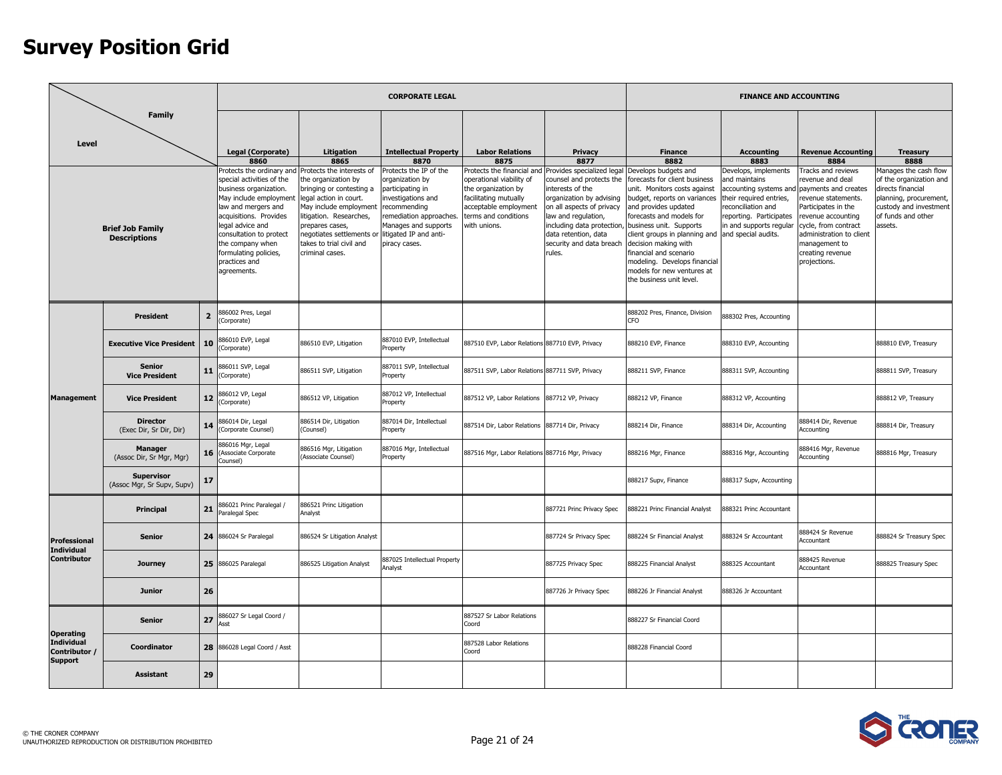|                                                 |                                                                      |                |                                                                                                                                                                                                                                                                                         |                                                                                                                                                                                                                                                            | <b>CORPORATE LEGAL</b>                                                                                                                                                                           |                                                                                                                                           |                                                                                                                                                                                                                                                                                                        |                                                                                                                                                                                                                                                                                                                                                                              | <b>FINANCE AND ACCOUNTING</b>                                                                                                                                          |                                                                                                                                                                                                                                            |                                                                                                                                                            |
|-------------------------------------------------|----------------------------------------------------------------------|----------------|-----------------------------------------------------------------------------------------------------------------------------------------------------------------------------------------------------------------------------------------------------------------------------------------|------------------------------------------------------------------------------------------------------------------------------------------------------------------------------------------------------------------------------------------------------------|--------------------------------------------------------------------------------------------------------------------------------------------------------------------------------------------------|-------------------------------------------------------------------------------------------------------------------------------------------|--------------------------------------------------------------------------------------------------------------------------------------------------------------------------------------------------------------------------------------------------------------------------------------------------------|------------------------------------------------------------------------------------------------------------------------------------------------------------------------------------------------------------------------------------------------------------------------------------------------------------------------------------------------------------------------------|------------------------------------------------------------------------------------------------------------------------------------------------------------------------|--------------------------------------------------------------------------------------------------------------------------------------------------------------------------------------------------------------------------------------------|------------------------------------------------------------------------------------------------------------------------------------------------------------|
| Level                                           | <b>Family</b><br><b>Brief Job Family</b><br><b>Descriptions</b>      |                | Legal (Corporate)<br>8860                                                                                                                                                                                                                                                               | Litigation<br>8865                                                                                                                                                                                                                                         | <b>Intellectual Property</b><br>8870                                                                                                                                                             | <b>Labor Relations</b><br>8875                                                                                                            | Privacy<br>8877                                                                                                                                                                                                                                                                                        | <b>Finance</b><br>8882                                                                                                                                                                                                                                                                                                                                                       | Accounting<br>8883                                                                                                                                                     | <b>Revenue Accounting</b><br>8884                                                                                                                                                                                                          | <b>Treasury</b><br>8888                                                                                                                                    |
|                                                 | <b>President</b><br><b>Executive Vice President</b><br><b>Senior</b> |                | Protects the ordinary and<br>special activities of the<br>business organization.<br>May include employment<br>law and mergers and<br>acquisitions. Provides<br>legal advice and<br>consultation to protect<br>the company when<br>formulating policies,<br>practices and<br>agreements. | Protects the interests of<br>the organization by<br>bringing or contesting a<br>legal action in court.<br>May include employment<br>litigation. Researches,<br>prepares cases,<br>negotiates settlements or<br>takes to trial civil and<br>criminal cases. | Protects the IP of the<br>organization by<br>participating in<br>nvestigations and<br>recommending<br>remediation approaches.<br>Manages and supports<br>litigated IP and anti-<br>piracy cases. | operational viability of<br>the organization by<br>facilitating mutually<br>acceptable employment<br>terms and conditions<br>with unions. | Protects the financial and Provides specialized legal Develops budgets and<br>counsel and protects the<br>interests of the<br>organization by advising<br>on all aspects of privacy<br>law and regulation,<br>including data protection,<br>data retention, data<br>security and data breach<br>rules. | orecasts for client business<br>unit. Monitors costs against<br>budget, reports on variances<br>and provides updated<br>forecasts and models for<br>business unit. Supports<br>client groups in planning and and special audits.<br>decision making with<br>financial and scenario<br>modeling. Develops financial<br>models for new ventures at<br>the business unit level. | Develops, implements<br>and maintains<br>accounting systems and<br>their required entries,<br>reconciliation and<br>reporting. Participates<br>in and supports regular | racks and reviews<br>revenue and deal<br>payments and creates<br>revenue statements.<br>Participates in the<br>revenue accounting<br>cycle, from contract<br>administration to client<br>management to<br>creating revenue<br>projections. | Manages the cash flow<br>of the organization and<br>directs financial<br>planning, procurement,<br>custody and investment<br>of funds and other<br>assets. |
|                                                 |                                                                      | $\overline{2}$ | 886002 Pres, Legal<br>(Corporate)                                                                                                                                                                                                                                                       |                                                                                                                                                                                                                                                            |                                                                                                                                                                                                  |                                                                                                                                           |                                                                                                                                                                                                                                                                                                        | 888202 Pres, Finance, Division<br>CFO                                                                                                                                                                                                                                                                                                                                        | 888302 Pres, Accounting                                                                                                                                                |                                                                                                                                                                                                                                            |                                                                                                                                                            |
|                                                 |                                                                      | 10             | 886010 EVP, Legal<br>Corporate)                                                                                                                                                                                                                                                         | 886510 EVP, Litigation                                                                                                                                                                                                                                     | 87010 EVP, Intellectual<br>Property                                                                                                                                                              | 887510 EVP, Labor Relations 887710 EVP, Privacy                                                                                           |                                                                                                                                                                                                                                                                                                        | 888210 EVP, Finance                                                                                                                                                                                                                                                                                                                                                          | 888310 EVP, Accounting                                                                                                                                                 |                                                                                                                                                                                                                                            | 888810 EVP, Treasury                                                                                                                                       |
|                                                 | <b>Vice President</b>                                                | 11             | 886011 SVP, Legal<br>Corporate)                                                                                                                                                                                                                                                         | 886511 SVP, Litigation                                                                                                                                                                                                                                     | 887011 SVP, Intellectual<br>Property                                                                                                                                                             | 887511 SVP, Labor Relations 887711 SVP, Privacy                                                                                           |                                                                                                                                                                                                                                                                                                        | 888211 SVP, Finance                                                                                                                                                                                                                                                                                                                                                          | 888311 SVP, Accounting                                                                                                                                                 |                                                                                                                                                                                                                                            | 888811 SVP, Treasury                                                                                                                                       |
| <b>Management</b>                               | <b>Vice President</b>                                                | 12             | 886012 VP, Legal<br>(Corporate)                                                                                                                                                                                                                                                         | 886512 VP, Litigation                                                                                                                                                                                                                                      | 887012 VP, Intellectual<br>Property                                                                                                                                                              | 887512 VP, Labor Relations                                                                                                                | 887712 VP, Privacy                                                                                                                                                                                                                                                                                     | 888212 VP, Finance                                                                                                                                                                                                                                                                                                                                                           | 888312 VP, Accounting                                                                                                                                                  |                                                                                                                                                                                                                                            | 888812 VP, Treasury                                                                                                                                        |
|                                                 | <b>Director</b><br>(Exec Dir, Sr Dir, Dir)                           | 14             | 886014 Dir, Legal<br>(Corporate Counsel)                                                                                                                                                                                                                                                | 886514 Dir, Litigation<br>(Counsel)                                                                                                                                                                                                                        | 887014 Dir, Intellectual<br>Property                                                                                                                                                             | 887514 Dir, Labor Relations                                                                                                               | 887714 Dir, Privacy                                                                                                                                                                                                                                                                                    | 888214 Dir, Finance                                                                                                                                                                                                                                                                                                                                                          | 888314 Dir, Accounting                                                                                                                                                 | 388414 Dir, Revenue<br>Accounting                                                                                                                                                                                                          | 888814 Dir, Treasury                                                                                                                                       |
|                                                 | <b>Manager</b><br>(Assoc Dir, Sr Mgr, Mgr)                           | 16             | 886016 Mgr, Legal<br>(Associate Corporate<br>Counsel)                                                                                                                                                                                                                                   | 886516 Mgr, Litigation<br>(Associate Counsel)                                                                                                                                                                                                              | 887016 Mgr, Intellectual<br>Property                                                                                                                                                             | 887516 Mgr, Labor Relations 887716 Mgr, Privacy                                                                                           |                                                                                                                                                                                                                                                                                                        | 888216 Mgr, Finance                                                                                                                                                                                                                                                                                                                                                          | 888316 Mgr, Accounting                                                                                                                                                 | 888416 Mgr, Revenue<br>Accounting                                                                                                                                                                                                          | 888816 Mgr, Treasury                                                                                                                                       |
|                                                 | <b>Supervisor</b><br>(Assoc Mgr, Sr Supv, Supv)                      | 17             |                                                                                                                                                                                                                                                                                         |                                                                                                                                                                                                                                                            |                                                                                                                                                                                                  |                                                                                                                                           |                                                                                                                                                                                                                                                                                                        | 888217 Supv, Finance                                                                                                                                                                                                                                                                                                                                                         | 888317 Supv, Accounting                                                                                                                                                |                                                                                                                                                                                                                                            |                                                                                                                                                            |
|                                                 | Principal                                                            | 21             | 886021 Princ Paralegal /<br>Paralegal Spec                                                                                                                                                                                                                                              | 386521 Princ Litigation<br>Analyst                                                                                                                                                                                                                         |                                                                                                                                                                                                  |                                                                                                                                           | 887721 Princ Privacy Spec                                                                                                                                                                                                                                                                              | 888221 Princ Financial Analyst                                                                                                                                                                                                                                                                                                                                               | 888321 Princ Accountant                                                                                                                                                |                                                                                                                                                                                                                                            |                                                                                                                                                            |
| <b>Professional</b>                             | <b>Senior</b>                                                        | 24             | 886024 Sr Paralegal                                                                                                                                                                                                                                                                     | 386524 Sr Litigation Analyst                                                                                                                                                                                                                               |                                                                                                                                                                                                  |                                                                                                                                           | 887724 Sr Privacy Spec                                                                                                                                                                                                                                                                                 | 888224 Sr Financial Analyst                                                                                                                                                                                                                                                                                                                                                  | 888324 Sr Accountant                                                                                                                                                   | 888424 Sr Revenue<br>Accountant                                                                                                                                                                                                            | 888824 Sr Treasury Spec                                                                                                                                    |
| <b>Individual</b><br><b>Contributor</b>         | <b>Journey</b>                                                       |                | 25 886025 Paralegal                                                                                                                                                                                                                                                                     | 886525 Litigation Analyst                                                                                                                                                                                                                                  | 887025 Intellectual Property<br>Analyst                                                                                                                                                          |                                                                                                                                           | 887725 Privacy Spec                                                                                                                                                                                                                                                                                    | 888225 Financial Analyst                                                                                                                                                                                                                                                                                                                                                     | 888325 Accountant                                                                                                                                                      | 888425 Revenue<br>Accountant                                                                                                                                                                                                               | 888825 Treasury Spec                                                                                                                                       |
|                                                 | <b>Junior</b>                                                        | 26             |                                                                                                                                                                                                                                                                                         |                                                                                                                                                                                                                                                            |                                                                                                                                                                                                  |                                                                                                                                           | 887726 Jr Privacy Spec                                                                                                                                                                                                                                                                                 | 888226 Jr Financial Analyst                                                                                                                                                                                                                                                                                                                                                  | 888326 Jr Accountant                                                                                                                                                   |                                                                                                                                                                                                                                            |                                                                                                                                                            |
|                                                 | <b>Senior</b>                                                        | 27             | 886027 Sr Legal Coord /<br>Asst                                                                                                                                                                                                                                                         |                                                                                                                                                                                                                                                            |                                                                                                                                                                                                  | 887527 Sr Labor Relations<br>Coord                                                                                                        |                                                                                                                                                                                                                                                                                                        | 888227 Sr Financial Coord                                                                                                                                                                                                                                                                                                                                                    |                                                                                                                                                                        |                                                                                                                                                                                                                                            |                                                                                                                                                            |
| <b>Operating</b><br>Individual<br>Contributor / | Coordinator                                                          |                | 28 886028 Legal Coord / Asst                                                                                                                                                                                                                                                            |                                                                                                                                                                                                                                                            |                                                                                                                                                                                                  | 887528 Labor Relations<br>Coord                                                                                                           |                                                                                                                                                                                                                                                                                                        | 888228 Financial Coord                                                                                                                                                                                                                                                                                                                                                       |                                                                                                                                                                        |                                                                                                                                                                                                                                            |                                                                                                                                                            |
| <b>Support</b>                                  | Assistant                                                            | 29             |                                                                                                                                                                                                                                                                                         |                                                                                                                                                                                                                                                            |                                                                                                                                                                                                  |                                                                                                                                           |                                                                                                                                                                                                                                                                                                        |                                                                                                                                                                                                                                                                                                                                                                              |                                                                                                                                                                        |                                                                                                                                                                                                                                            |                                                                                                                                                            |

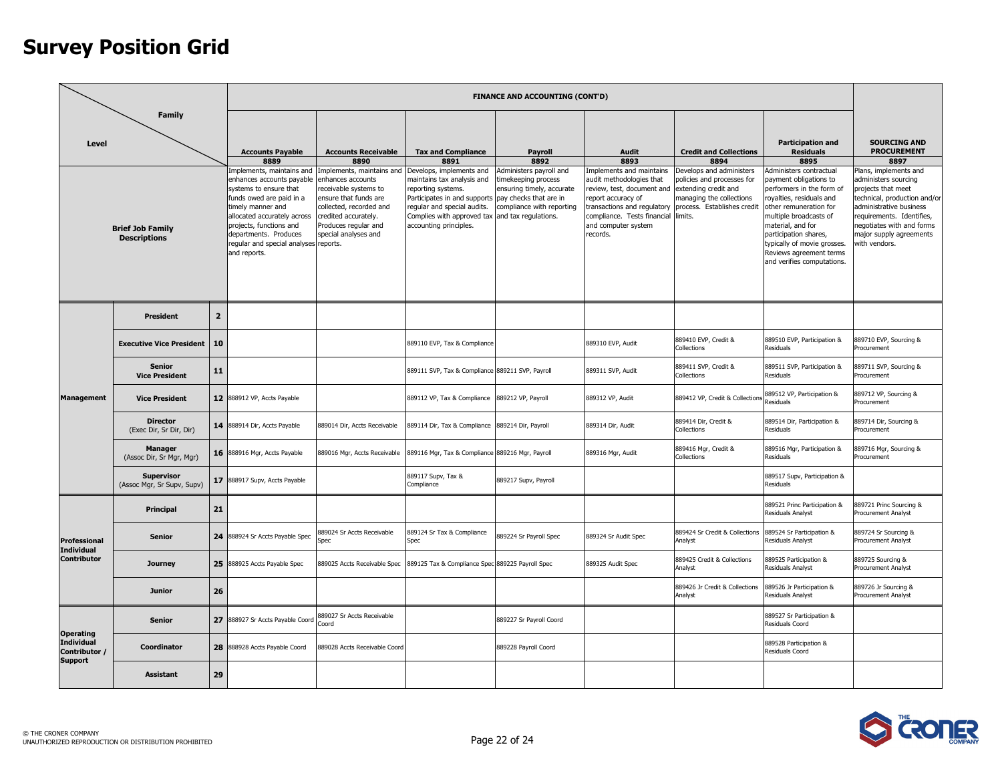|                                                      |                                                 |                |                                                                                                                                                                                                                                                                               |                                                                                                                                                                                                     |                                                                                                                                                                                                                                                 | <b>FINANCE AND ACCOUNTING (CONT'D)</b>                                                                   |                                                                                                                                                                                                           |                                                                                                                                                      |                                                                                                                                                                                                                                                                                                      |                                                                                                                                                                                                                                      |
|------------------------------------------------------|-------------------------------------------------|----------------|-------------------------------------------------------------------------------------------------------------------------------------------------------------------------------------------------------------------------------------------------------------------------------|-----------------------------------------------------------------------------------------------------------------------------------------------------------------------------------------------------|-------------------------------------------------------------------------------------------------------------------------------------------------------------------------------------------------------------------------------------------------|----------------------------------------------------------------------------------------------------------|-----------------------------------------------------------------------------------------------------------------------------------------------------------------------------------------------------------|------------------------------------------------------------------------------------------------------------------------------------------------------|------------------------------------------------------------------------------------------------------------------------------------------------------------------------------------------------------------------------------------------------------------------------------------------------------|--------------------------------------------------------------------------------------------------------------------------------------------------------------------------------------------------------------------------------------|
| <b>Level</b>                                         | <b>Family</b>                                   |                | <b>Accounts Payable</b><br>8889                                                                                                                                                                                                                                               | <b>Accounts Receivable</b><br>8890                                                                                                                                                                  | <b>Tax and Compliance</b><br>8891                                                                                                                                                                                                               | <b>Payroll</b><br>8892                                                                                   | <b>Audit</b><br>8893                                                                                                                                                                                      | <b>Credit and Collections</b><br>8894                                                                                                                | <b>Participation and</b><br><b>Residuals</b><br>8895                                                                                                                                                                                                                                                 | <b>SOURCING AND</b><br><b>PROCUREMENT</b><br>8897                                                                                                                                                                                    |
|                                                      | <b>Brief Job Family</b><br><b>Descriptions</b>  |                | Implements, maintains and<br>enhances accounts payable<br>systems to ensure that<br>funds owed are paid in a<br>timely manner and<br>allocated accurately across<br>projects, functions and<br>departments. Produces<br>regular and special analyses reports.<br>and reports. | Implements, maintains and<br>enhances accounts<br>receivable systems to<br>ensure that funds are<br>collected, recorded and<br>credited accurately.<br>Produces regular and<br>special analyses and | Develops, implements and<br>maintains tax analysis and<br>reporting systems.<br>Participates in and supports pay checks that are in<br>regular and special audits.<br>Complies with approved tax and tax regulations.<br>accounting principles. | Administers payroll and<br>timekeeping process<br>ensuring timely, accurate<br>compliance with reporting | Implements and maintains<br>audit methodologies that<br>review, test, document and<br>report accuracy of<br>transactions and regulatory<br>compliance. Tests financial<br>and computer system<br>records. | Develops and administers<br>policies and processes for<br>extending credit and<br>managing the collections<br>process. Establishes credit<br>limits. | Administers contractual<br>payment obligations to<br>performers in the form of<br>royalties, residuals and<br>other remuneration for<br>multiple broadcasts of<br>material, and for<br>participation shares,<br>typically of movie grosses.<br>Reviews agreement terms<br>and verifies computations. | Plans, implements and<br>administers sourcing<br>projects that meet<br>technical, production and/or<br>administrative business<br>requirements. Identifies.<br>negotiates with and forms<br>major supply agreements<br>with vendors. |
|                                                      | <b>President</b>                                | $\overline{2}$ |                                                                                                                                                                                                                                                                               |                                                                                                                                                                                                     |                                                                                                                                                                                                                                                 |                                                                                                          |                                                                                                                                                                                                           |                                                                                                                                                      |                                                                                                                                                                                                                                                                                                      |                                                                                                                                                                                                                                      |
|                                                      | <b>Executive Vice President</b>                 | 10             |                                                                                                                                                                                                                                                                               |                                                                                                                                                                                                     | 889110 EVP, Tax & Compliance                                                                                                                                                                                                                    |                                                                                                          | 889310 EVP, Audit                                                                                                                                                                                         | 889410 EVP, Credit &<br>Collections                                                                                                                  | 889510 EVP, Participation &<br>Residuals                                                                                                                                                                                                                                                             | 889710 EVP, Sourcing &<br>Procurement                                                                                                                                                                                                |
|                                                      | <b>Senior</b><br><b>Vice President</b>          | 11             |                                                                                                                                                                                                                                                                               |                                                                                                                                                                                                     | 889111 SVP, Tax & Compliance 889211 SVP, Payroll                                                                                                                                                                                                |                                                                                                          | 889311 SVP, Audit                                                                                                                                                                                         | 889411 SVP, Credit &<br>Collections                                                                                                                  | 889511 SVP, Participation &<br>Residuals                                                                                                                                                                                                                                                             | 889711 SVP, Sourcing &<br>Procurement                                                                                                                                                                                                |
| <b>Management</b>                                    | <b>Vice President</b>                           |                | 12 888912 VP, Accts Payable                                                                                                                                                                                                                                                   |                                                                                                                                                                                                     | 889112 VP, Tax & Compliance                                                                                                                                                                                                                     | 889212 VP, Payroll                                                                                       | 889312 VP, Audit                                                                                                                                                                                          | 889412 VP, Credit & Collections                                                                                                                      | 889512 VP, Participation &<br>Residuals                                                                                                                                                                                                                                                              | 889712 VP, Sourcing &<br>Procurement                                                                                                                                                                                                 |
|                                                      | <b>Director</b><br>(Exec Dir, Sr Dir, Dir)      |                | 14 888914 Dir, Accts Payable                                                                                                                                                                                                                                                  | 889014 Dir, Accts Receivable                                                                                                                                                                        | 889114 Dir, Tax & Compliance 889214 Dir, Payroll                                                                                                                                                                                                |                                                                                                          | 889314 Dir, Audit                                                                                                                                                                                         | 889414 Dir. Credit &<br>Collections                                                                                                                  | 889514 Dir, Participation &<br><b>Residuals</b>                                                                                                                                                                                                                                                      | 889714 Dir. Sourcing &<br>Procurement                                                                                                                                                                                                |
|                                                      | <b>Manager</b><br>(Assoc Dir, Sr Mgr, Mgr)      |                | 16 888916 Mgr, Accts Payable                                                                                                                                                                                                                                                  | 889016 Mgr, Accts Receivable                                                                                                                                                                        | 889116 Mgr, Tax & Compliance 889216 Mgr, Payroll                                                                                                                                                                                                |                                                                                                          | 889316 Mgr, Audit                                                                                                                                                                                         | 889416 Mgr, Credit &<br>Collections                                                                                                                  | 889516 Mgr, Participation &<br>Residuals                                                                                                                                                                                                                                                             | 889716 Mgr, Sourcing &<br>Procurement                                                                                                                                                                                                |
|                                                      | <b>Supervisor</b><br>(Assoc Mgr, Sr Supv, Supv) |                | 17 888917 Supv, Accts Payable                                                                                                                                                                                                                                                 |                                                                                                                                                                                                     | 889117 Supv, Tax &<br>Compliance                                                                                                                                                                                                                | 889217 Supv, Payroll                                                                                     |                                                                                                                                                                                                           |                                                                                                                                                      | 889517 Supv, Participation &<br>Residuals                                                                                                                                                                                                                                                            |                                                                                                                                                                                                                                      |
|                                                      | Principal                                       | 21             |                                                                                                                                                                                                                                                                               |                                                                                                                                                                                                     |                                                                                                                                                                                                                                                 |                                                                                                          |                                                                                                                                                                                                           |                                                                                                                                                      | 889521 Princ Participation &<br><b>Residuals Analyst</b>                                                                                                                                                                                                                                             | 889721 Princ Sourcing &<br><b>Procurement Analyst</b>                                                                                                                                                                                |
| Professional<br><b>Individual</b>                    | <b>Senior</b>                                   | 24             | 888924 Sr Accts Payable Spec                                                                                                                                                                                                                                                  | 389024 Sr Accts Receivable<br>Spec                                                                                                                                                                  | 889124 Sr Tax & Compliance<br>Spec                                                                                                                                                                                                              | 889224 Sr Payroll Spec                                                                                   | 889324 Sr Audit Spec                                                                                                                                                                                      | 889424 Sr Credit & Collections<br>Analyst                                                                                                            | 889524 Sr Participation &<br>Residuals Analyst                                                                                                                                                                                                                                                       | 889724 Sr Sourcing &<br>Procurement Analyst                                                                                                                                                                                          |
| Contributor                                          | <b>Journey</b>                                  | 25             | 888925 Accts Payable Spec                                                                                                                                                                                                                                                     | 889025 Accts Receivable Spec                                                                                                                                                                        | 889125 Tax & Compliance Spec 889225 Payroll Spec                                                                                                                                                                                                |                                                                                                          | 889325 Audit Spec                                                                                                                                                                                         | 889425 Credit & Collections<br>Analyst                                                                                                               | 889525 Participation &<br><b>Residuals Analyst</b>                                                                                                                                                                                                                                                   | 889725 Sourcing &<br><b>Procurement Analyst</b>                                                                                                                                                                                      |
|                                                      | Junior                                          | 26             |                                                                                                                                                                                                                                                                               |                                                                                                                                                                                                     |                                                                                                                                                                                                                                                 |                                                                                                          |                                                                                                                                                                                                           | 889426 Jr Credit & Collections<br>Analyst                                                                                                            | 889526 Jr Participation &<br>Residuals Analyst                                                                                                                                                                                                                                                       | 889726 Jr Sourcing &<br>Procurement Analyst                                                                                                                                                                                          |
| <b>Operating</b>                                     | <b>Senior</b>                                   | 27             | 888927 Sr Accts Payable Coord                                                                                                                                                                                                                                                 | 889027 Sr Accts Receivable<br>Coord                                                                                                                                                                 |                                                                                                                                                                                                                                                 | 889227 Sr Payroll Coord                                                                                  |                                                                                                                                                                                                           |                                                                                                                                                      | 889527 Sr Participation &<br>Residuals Coord                                                                                                                                                                                                                                                         |                                                                                                                                                                                                                                      |
| <b>Individual</b><br>Contributor /<br><b>Support</b> | Coordinator                                     | 28             | 888928 Accts Payable Coord                                                                                                                                                                                                                                                    | 889028 Accts Receivable Coord                                                                                                                                                                       |                                                                                                                                                                                                                                                 | 889228 Payroll Coord                                                                                     |                                                                                                                                                                                                           |                                                                                                                                                      | 889528 Participation &<br>Residuals Coord                                                                                                                                                                                                                                                            |                                                                                                                                                                                                                                      |
|                                                      | <b>Assistant</b>                                | 29             |                                                                                                                                                                                                                                                                               |                                                                                                                                                                                                     |                                                                                                                                                                                                                                                 |                                                                                                          |                                                                                                                                                                                                           |                                                                                                                                                      |                                                                                                                                                                                                                                                                                                      |                                                                                                                                                                                                                                      |

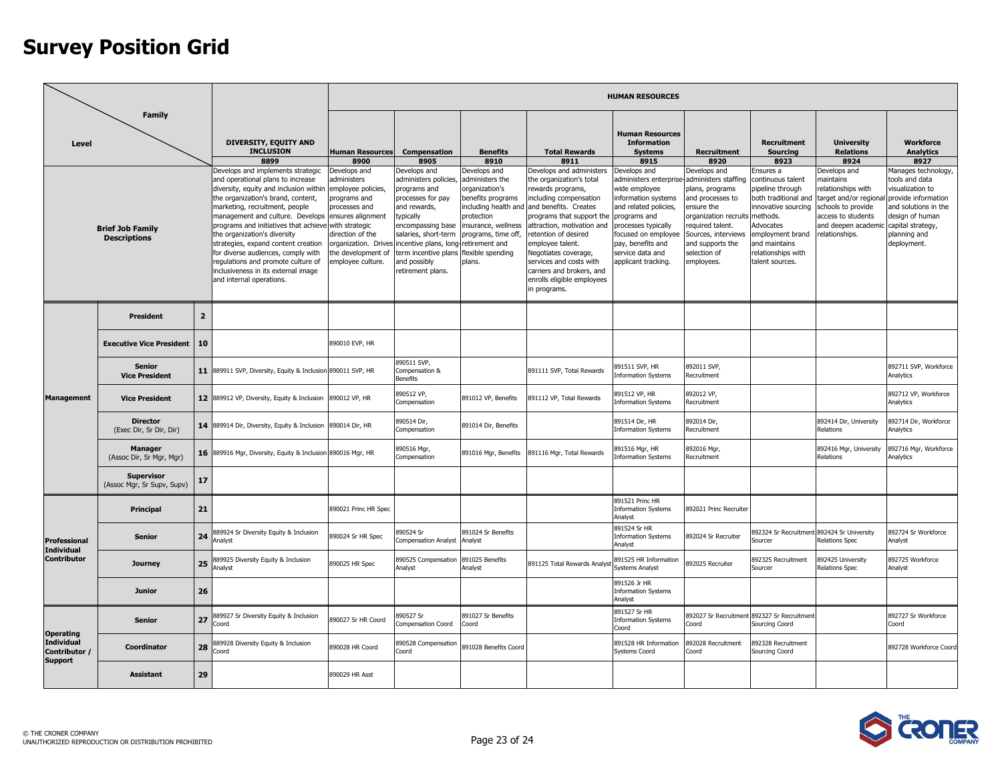| <b>Family</b>                                                      |                                                 |                |                                                                                                                                                                                                                                                                                                                                                                                                                                                                                             |                                                                                                                                                                                          |                                                                                                                                                                                                                                                                  |                                                                                                                                                                                                             |                                                                                                                                                                                                                                                                                                                                                                   | <b>HUMAN RESOURCES</b>                                                                                                                                                                                                                                     |                                                                                                                                                                                       |                                                                                                                                                                                                          |                                                                                                                                                                                   |                                                                                                                                                          |
|--------------------------------------------------------------------|-------------------------------------------------|----------------|---------------------------------------------------------------------------------------------------------------------------------------------------------------------------------------------------------------------------------------------------------------------------------------------------------------------------------------------------------------------------------------------------------------------------------------------------------------------------------------------|------------------------------------------------------------------------------------------------------------------------------------------------------------------------------------------|------------------------------------------------------------------------------------------------------------------------------------------------------------------------------------------------------------------------------------------------------------------|-------------------------------------------------------------------------------------------------------------------------------------------------------------------------------------------------------------|-------------------------------------------------------------------------------------------------------------------------------------------------------------------------------------------------------------------------------------------------------------------------------------------------------------------------------------------------------------------|------------------------------------------------------------------------------------------------------------------------------------------------------------------------------------------------------------------------------------------------------------|---------------------------------------------------------------------------------------------------------------------------------------------------------------------------------------|----------------------------------------------------------------------------------------------------------------------------------------------------------------------------------------------------------|-----------------------------------------------------------------------------------------------------------------------------------------------------------------------------------|----------------------------------------------------------------------------------------------------------------------------------------------------------|
| Level                                                              |                                                 |                | <b>DIVERSITY, EQUITY AND</b><br><b>INCLUSION</b><br>8899                                                                                                                                                                                                                                                                                                                                                                                                                                    | <b>Human Resources</b><br>8900                                                                                                                                                           | Compensation<br>8905                                                                                                                                                                                                                                             | <b>Benefits</b><br>8910                                                                                                                                                                                     | <b>Total Rewards</b><br>8911                                                                                                                                                                                                                                                                                                                                      | <b>Human Resources</b><br><b>Information</b><br><b>Systems</b><br>8915                                                                                                                                                                                     | Recruitment<br>8920                                                                                                                                                                   | <b>Recruitment</b><br><b>Sourcing</b><br>8923                                                                                                                                                            | <b>University</b><br><b>Relations</b><br>8924                                                                                                                                     | <b>Workforce</b><br><b>Analytics</b><br>8927                                                                                                             |
| <b>Brief Job Family</b><br><b>Descriptions</b><br><b>President</b> |                                                 |                | Develops and implements strategic<br>and operational plans to increase<br>diversity, equity and inclusion within<br>the organization's brand, content,<br>marketing, recruitment, people<br>management and culture. Develops<br>programs and initiatives that achieve<br>the organization's diversity<br>strategies, expand content creation<br>for diverse audiences, comply with<br>regulations and promote culture of<br>inclusiveness in its external image<br>and internal operations. | Develops and<br>administers<br>employee policies,<br>programs and<br>processes and<br>ensures alignment<br>with strategic<br>direction of the<br>the development of<br>employee culture. | Develops and<br>administers policies,<br>programs and<br>processes for pay<br>and rewards,<br>typically<br>encompassing base<br>salaries, short-term<br>organization. Drives incentive plans, long-<br>term incentive plans<br>and possibly<br>retirement plans. | Develops and<br>administers the<br>organization's<br>benefits programs<br>including health and<br>protection<br>insurance, wellness<br>programs, time off,<br>retirement and<br>flexible spending<br>plans. | Develops and administers<br>the organization's total<br>rewards programs,<br>including compensation<br>and benefits. Creates<br>programs that support the<br>attraction, motivation and<br>retention of desired<br>employee talent.<br>Negotiates coverage,<br>services and costs with<br>carriers and brokers, and<br>enrolls eligible employees<br>in programs. | Develops and<br>administers enterprise-administers staffing<br>wide employee<br>information systems<br>and related policies,<br>programs and<br>processes typically<br>focused on employee<br>pay, benefits and<br>service data and<br>applicant tracking. | Develops and<br>plans, programs<br>and processes to<br>ensure the<br>organization recruit<br>equired talent.<br>Sources, interviews<br>and supports the<br>selection of<br>employees. | Ensures a<br>continuous talent<br>pipeline through<br>both traditional and<br>innovative sourcing<br>methods.<br>Advocates<br>employment brand<br>and maintains<br>relationships with<br>talent sources. | Develops and<br>naintains<br>relationships with<br>target and/or regional provide information<br>schools to provide<br>access to students<br>and deepen academi<br>relationships. | Manages technology,<br>tools and data<br>visualization to<br>and solutions in the<br>design of human<br>capital strategy,<br>planning and<br>deployment. |
|                                                                    |                                                 | $\overline{2}$ |                                                                                                                                                                                                                                                                                                                                                                                                                                                                                             |                                                                                                                                                                                          |                                                                                                                                                                                                                                                                  |                                                                                                                                                                                                             |                                                                                                                                                                                                                                                                                                                                                                   |                                                                                                                                                                                                                                                            |                                                                                                                                                                                       |                                                                                                                                                                                                          |                                                                                                                                                                                   |                                                                                                                                                          |
|                                                                    | <b>Executive Vice President</b>                 | 10             |                                                                                                                                                                                                                                                                                                                                                                                                                                                                                             | 890010 EVP, HR                                                                                                                                                                           |                                                                                                                                                                                                                                                                  |                                                                                                                                                                                                             |                                                                                                                                                                                                                                                                                                                                                                   |                                                                                                                                                                                                                                                            |                                                                                                                                                                                       |                                                                                                                                                                                                          |                                                                                                                                                                                   |                                                                                                                                                          |
|                                                                    | <b>Senior</b><br><b>Vice President</b>          |                | 11 889911 SVP, Diversity, Equity & Inclusion 890011 SVP, HR                                                                                                                                                                                                                                                                                                                                                                                                                                 |                                                                                                                                                                                          | 390511 SVP,<br>Compensation &<br>Benefits                                                                                                                                                                                                                        |                                                                                                                                                                                                             | 891111 SVP, Total Rewards                                                                                                                                                                                                                                                                                                                                         | 891511 SVP, HR<br><b>Information Systems</b>                                                                                                                                                                                                               | 892011 SVP,<br>Recruitment                                                                                                                                                            |                                                                                                                                                                                                          |                                                                                                                                                                                   | 892711 SVP, Workforce<br>Analytics                                                                                                                       |
| <b>Management</b>                                                  | <b>Vice President</b>                           |                | 12 889912 VP, Diversity, Equity & Inclusion                                                                                                                                                                                                                                                                                                                                                                                                                                                 | 890012 VP, HR                                                                                                                                                                            | 390512 VP,<br>Compensation                                                                                                                                                                                                                                       | 891012 VP, Benefits                                                                                                                                                                                         | 891112 VP, Total Rewards                                                                                                                                                                                                                                                                                                                                          | 891512 VP, HR<br><b>Information Systems</b>                                                                                                                                                                                                                | 892012 VP.<br>Recruitment                                                                                                                                                             |                                                                                                                                                                                                          |                                                                                                                                                                                   | 892712 VP. Workforce<br>Analytics                                                                                                                        |
|                                                                    | <b>Director</b><br>(Exec Dir, Sr Dir, Dir)      |                | 14 889914 Dir, Diversity, Equity & Inclusion                                                                                                                                                                                                                                                                                                                                                                                                                                                | 890014 Dir, HR                                                                                                                                                                           | 390514 Dir,<br>Compensation                                                                                                                                                                                                                                      | 891014 Dir, Benefits                                                                                                                                                                                        |                                                                                                                                                                                                                                                                                                                                                                   | 891514 Dir, HR<br><b>Information Systems</b>                                                                                                                                                                                                               | 892014 Dir,<br>Recruitment                                                                                                                                                            |                                                                                                                                                                                                          | 892414 Dir, University<br>Relations                                                                                                                                               | 892714 Dir, Workforce<br>Analytics                                                                                                                       |
|                                                                    | <b>Manager</b><br>(Assoc Dir, Sr Mgr, Mgr)      |                | 16 889916 Mgr, Diversity, Equity & Inclusion 890016 Mgr, HR                                                                                                                                                                                                                                                                                                                                                                                                                                 |                                                                                                                                                                                          | 390516 Mgr,<br>Compensation                                                                                                                                                                                                                                      | 891016 Mgr, Benefits                                                                                                                                                                                        | 891116 Mgr, Total Rewards                                                                                                                                                                                                                                                                                                                                         | 891516 Mgr, HR<br><b>Information Systems</b>                                                                                                                                                                                                               | 892016 Mgr,<br>Recruitment                                                                                                                                                            |                                                                                                                                                                                                          | 892416 Mgr, University<br>Relations                                                                                                                                               | 392716 Mgr, Workforce<br>Analytics                                                                                                                       |
|                                                                    | <b>Supervisor</b><br>(Assoc Mgr, Sr Supv, Supv) | 17             |                                                                                                                                                                                                                                                                                                                                                                                                                                                                                             |                                                                                                                                                                                          |                                                                                                                                                                                                                                                                  |                                                                                                                                                                                                             |                                                                                                                                                                                                                                                                                                                                                                   |                                                                                                                                                                                                                                                            |                                                                                                                                                                                       |                                                                                                                                                                                                          |                                                                                                                                                                                   |                                                                                                                                                          |
|                                                                    | Principal                                       | 21             |                                                                                                                                                                                                                                                                                                                                                                                                                                                                                             | 890021 Princ HR Spec                                                                                                                                                                     |                                                                                                                                                                                                                                                                  |                                                                                                                                                                                                             |                                                                                                                                                                                                                                                                                                                                                                   | 891521 Princ HR<br><b>Information Systems</b><br>Analyst                                                                                                                                                                                                   | 892021 Princ Recruiter                                                                                                                                                                |                                                                                                                                                                                                          |                                                                                                                                                                                   |                                                                                                                                                          |
| Professional<br><b>Individual</b>                                  | <b>Senior</b>                                   | 24             | 889924 Sr Diversity Equity & Inclusion<br>Analyst                                                                                                                                                                                                                                                                                                                                                                                                                                           | 390024 Sr HR Spec                                                                                                                                                                        | 390524 Sr<br>Compensation Analyst                                                                                                                                                                                                                                | 891024 Sr Benefits<br>Analyst                                                                                                                                                                               |                                                                                                                                                                                                                                                                                                                                                                   | 891524 Sr HR<br><b>Information Systems</b><br>Analyst                                                                                                                                                                                                      | 892024 Sr Recruiter                                                                                                                                                                   | 892324 Sr Recruitment 892424 Sr University<br>Sourcer                                                                                                                                                    | Relations Spec                                                                                                                                                                    | 892724 Sr Workforce<br>Analyst                                                                                                                           |
| <b>Contributor</b>                                                 | <b>Journey</b>                                  | 25             | 889925 Diversity Equity & Inclusion<br>Analyst                                                                                                                                                                                                                                                                                                                                                                                                                                              | 890025 HR Spec                                                                                                                                                                           | 390525 Compensation<br>Analyst                                                                                                                                                                                                                                   | 891025 Benefits<br>Analyst                                                                                                                                                                                  | 391125 Total Rewards Analys                                                                                                                                                                                                                                                                                                                                       | 891525 HR Information<br><b>Systems Analyst</b>                                                                                                                                                                                                            | 892025 Recruiter                                                                                                                                                                      | 892325 Recruitment<br>Sourcer                                                                                                                                                                            | 392425 University<br><b>Relations Spec</b>                                                                                                                                        | 892725 Workforce<br>Analyst                                                                                                                              |
|                                                                    | Junior                                          | 26             |                                                                                                                                                                                                                                                                                                                                                                                                                                                                                             |                                                                                                                                                                                          |                                                                                                                                                                                                                                                                  |                                                                                                                                                                                                             |                                                                                                                                                                                                                                                                                                                                                                   | 891526 Jr HR<br><b>Information Systems</b><br>Analyst                                                                                                                                                                                                      |                                                                                                                                                                                       |                                                                                                                                                                                                          |                                                                                                                                                                                   |                                                                                                                                                          |
| <b>Operating</b>                                                   | <b>Senior</b>                                   | 27             | 389927 Sr Diversity Equity & Inclusion<br>Coord                                                                                                                                                                                                                                                                                                                                                                                                                                             | 890027 Sr HR Coord                                                                                                                                                                       | 90527 Sr<br>Compensation Coord                                                                                                                                                                                                                                   | 891027 Sr Benefits<br>Coord                                                                                                                                                                                 |                                                                                                                                                                                                                                                                                                                                                                   | 891527 Sr HR<br><b>Information Systems</b><br>Coord                                                                                                                                                                                                        | 392027 Sr Recruitmer<br>Coord                                                                                                                                                         | 892327 Sr Recruitment<br>Sourcing Coord                                                                                                                                                                  |                                                                                                                                                                                   | 892727 Sr Workforce<br>Coord                                                                                                                             |
| <b>Individual</b><br>Contributor /<br><b>Support</b>               | Coordinator                                     | 28             | 889928 Diversity Equity & Inclusion<br>Coord                                                                                                                                                                                                                                                                                                                                                                                                                                                | 890028 HR Coord                                                                                                                                                                          | 390528 Compensation<br>Coord                                                                                                                                                                                                                                     | 891028 Benefits Coord                                                                                                                                                                                       |                                                                                                                                                                                                                                                                                                                                                                   | 891528 HR Information<br>Systems Coord                                                                                                                                                                                                                     | 892028 Recruitment<br>Coord                                                                                                                                                           | 892328 Recruitment<br>Sourcing Coord                                                                                                                                                                     |                                                                                                                                                                                   | 892728 Workforce Coord                                                                                                                                   |
|                                                                    | <b>Assistant</b>                                | 29             |                                                                                                                                                                                                                                                                                                                                                                                                                                                                                             | 890029 HR Asst                                                                                                                                                                           |                                                                                                                                                                                                                                                                  |                                                                                                                                                                                                             |                                                                                                                                                                                                                                                                                                                                                                   |                                                                                                                                                                                                                                                            |                                                                                                                                                                                       |                                                                                                                                                                                                          |                                                                                                                                                                                   |                                                                                                                                                          |